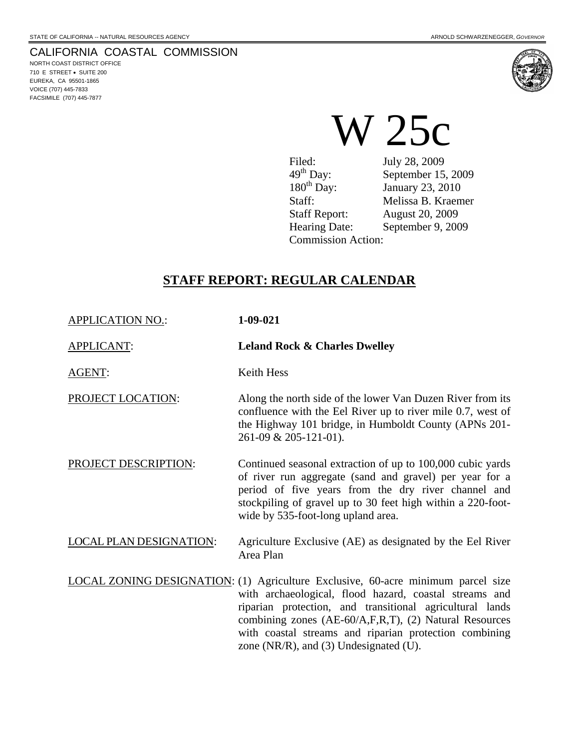NORTH COAST DISTRICT OFFICE 710 E STREET • SUITE 200 EUREKA, CA 95501-1865 VOICE (707) 445-7833 FACSIMILE (707) 445-7877



Filed: **July 28, 2009**  $49<sup>th</sup>$  Day: September 15, 2009<br>180<sup>th</sup> Day: January 23, 2010 January 23, 2010 Staff: Melissa B. Kraemer Staff Report: August 20, 2009 Hearing Date: September 9, 2009 Commission Action:

## **STAFF REPORT: REGULAR CALENDAR**

APPLICATION NO.: **1-09-021**

APPLICANT: **Leland Rock & Charles Dwelley** 

AGENT: Keith Hess

PROJECT LOCATION: Along the north side of the lower Van Duzen River from its confluence with the Eel River up to river mile 0.7, west of the Highway 101 bridge, in Humboldt County (APNs 201- 261-09 & 205-121-01).

PROJECT DESCRIPTION: Continued seasonal extraction of up to 100,000 cubic yards of river run aggregate (sand and gravel) per year for a period of five years from the dry river channel and stockpiling of gravel up to 30 feet high within a 220-footwide by 535-foot-long upland area.

LOCAL PLAN DESIGNATION: Agriculture Exclusive (AE) as designated by the Eel River Area Plan

LOCAL ZONING DESIGNATION: (1) Agriculture Exclusive, 60-acre minimum parcel size with archaeological, flood hazard, coastal streams and riparian protection, and transitional agricultural lands combining zones (AE-60/A,F,R,T), (2) Natural Resources with coastal streams and riparian protection combining zone (NR/R), and (3) Undesignated (U).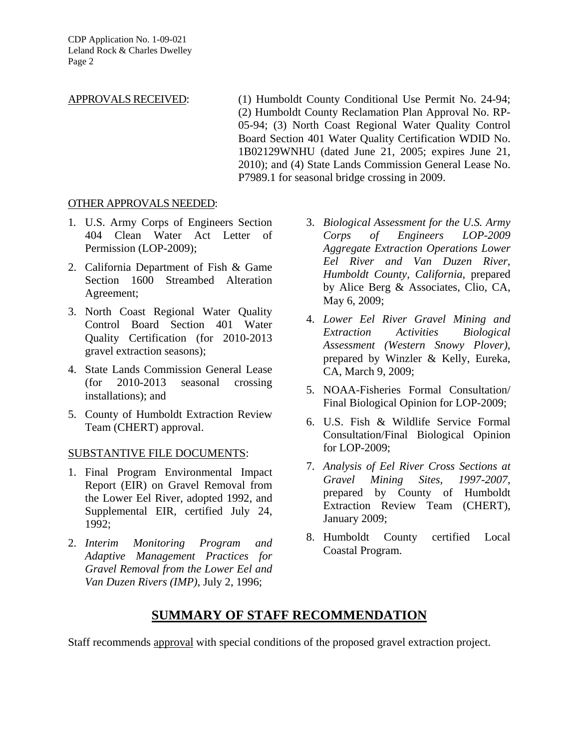CDP Application No. 1-09-021 Leland Rock & Charles Dwelley Page 2

APPROVALS RECEIVED: (1) Humboldt County Conditional Use Permit No. 24-94; (2) Humboldt County Reclamation Plan Approval No. RP-05-94; (3) North Coast Regional Water Quality Control Board Section 401 Water Quality Certification WDID No. 1B02129WNHU (dated June 21, 2005; expires June 21, 2010); and (4) State Lands Commission General Lease No. P7989.1 for seasonal bridge crossing in 2009.

#### OTHER APPROVALS NEEDED:

- 1. U.S. Army Corps of Engineers Section 404 Clean Water Act Letter of Permission (LOP-2009);
- 2. California Department of Fish & Game Section 1600 Streambed Alteration Agreement;
- 3. North Coast Regional Water Quality Control Board Section 401 Water Quality Certification (for 2010-2013 gravel extraction seasons);
- 4. State Lands Commission General Lease (for 2010-2013 seasonal crossing installations); and
- 5. County of Humboldt Extraction Review Team (CHERT) approval.

#### SUBSTANTIVE FILE DOCUMENTS:

- 1. Final Program Environmental Impact Report (EIR) on Gravel Removal from the Lower Eel River, adopted 1992, and Supplemental EIR, certified July 24, 1992;
- 2. *Interim Monitoring Program and Adaptive Management Practices for Gravel Removal from the Lower Eel and Van Duzen Rivers (IMP)*, July 2, 1996;
- 3. *Biological Assessment for the U.S. Army Corps of Engineers LOP-2009 Aggregate Extraction Operations Lower Eel River and Van Duzen River, Humboldt County, California*, prepared by Alice Berg & Associates, Clio, CA, May 6, 2009;
- 4. *Lower Eel River Gravel Mining and Extraction Activities Biological Assessment (Western Snowy Plover)*, prepared by Winzler & Kelly, Eureka, CA, March 9, 2009;
- 5. NOAA-Fisheries Formal Consultation/ Final Biological Opinion for LOP-2009;
- 6. U.S. Fish & Wildlife Service Formal Consultation/Final Biological Opinion for LOP-2009;
- 7. *Analysis of Eel River Cross Sections at Gravel Mining Sites, 1997-2007*, prepared by County of Humboldt Extraction Review Team (CHERT), January 2009;
- 8. Humboldt County certified Local Coastal Program.

## **SUMMARY OF STAFF RECOMMENDATION**

Staff recommends approval with special conditions of the proposed gravel extraction project.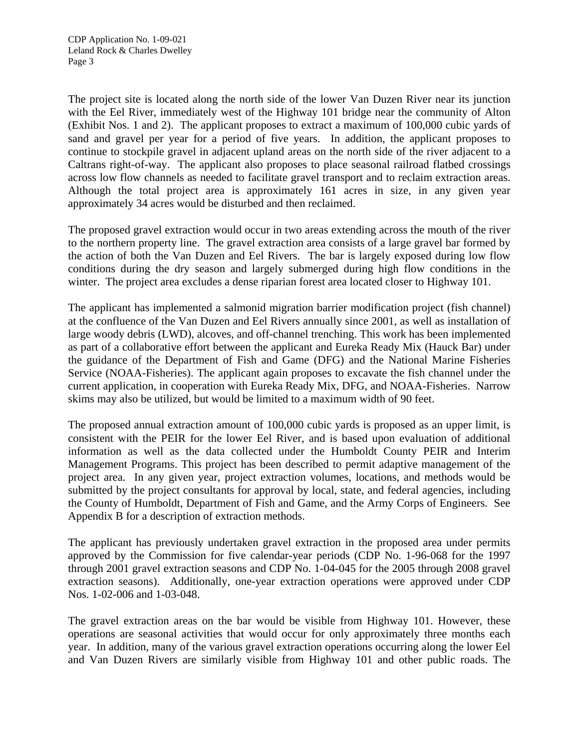The project site is located along the north side of the lower Van Duzen River near its junction with the Eel River, immediately west of the Highway 101 bridge near the community of Alton (Exhibit Nos. 1 and 2). The applicant proposes to extract a maximum of 100,000 cubic yards of sand and gravel per year for a period of five years. In addition, the applicant proposes to continue to stockpile gravel in adjacent upland areas on the north side of the river adjacent to a Caltrans right-of-way. The applicant also proposes to place seasonal railroad flatbed crossings across low flow channels as needed to facilitate gravel transport and to reclaim extraction areas. Although the total project area is approximately 161 acres in size, in any given year approximately 34 acres would be disturbed and then reclaimed.

The proposed gravel extraction would occur in two areas extending across the mouth of the river to the northern property line. The gravel extraction area consists of a large gravel bar formed by the action of both the Van Duzen and Eel Rivers. The bar is largely exposed during low flow conditions during the dry season and largely submerged during high flow conditions in the winter. The project area excludes a dense riparian forest area located closer to Highway 101.

The applicant has implemented a salmonid migration barrier modification project (fish channel) at the confluence of the Van Duzen and Eel Rivers annually since 2001, as well as installation of large woody debris (LWD), alcoves, and off-channel trenching. This work has been implemented as part of a collaborative effort between the applicant and Eureka Ready Mix (Hauck Bar) under the guidance of the Department of Fish and Game (DFG) and the National Marine Fisheries Service (NOAA-Fisheries). The applicant again proposes to excavate the fish channel under the current application, in cooperation with Eureka Ready Mix, DFG, and NOAA-Fisheries. Narrow skims may also be utilized, but would be limited to a maximum width of 90 feet.

The proposed annual extraction amount of 100,000 cubic yards is proposed as an upper limit, is consistent with the PEIR for the lower Eel River, and is based upon evaluation of additional information as well as the data collected under the Humboldt County PEIR and Interim Management Programs. This project has been described to permit adaptive management of the project area. In any given year, project extraction volumes, locations, and methods would be submitted by the project consultants for approval by local, state, and federal agencies, including the County of Humboldt, Department of Fish and Game, and the Army Corps of Engineers. See Appendix B for a description of extraction methods.

The applicant has previously undertaken gravel extraction in the proposed area under permits approved by the Commission for five calendar-year periods (CDP No. 1-96-068 for the 1997 through 2001 gravel extraction seasons and CDP No. 1-04-045 for the 2005 through 2008 gravel extraction seasons). Additionally, one-year extraction operations were approved under CDP Nos. 1-02-006 and 1-03-048.

The gravel extraction areas on the bar would be visible from Highway 101. However, these operations are seasonal activities that would occur for only approximately three months each year. In addition, many of the various gravel extraction operations occurring along the lower Eel and Van Duzen Rivers are similarly visible from Highway 101 and other public roads. The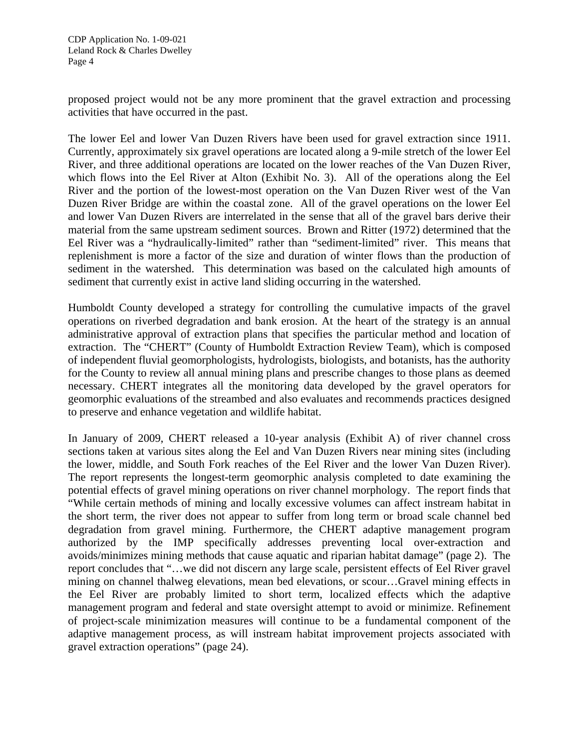proposed project would not be any more prominent that the gravel extraction and processing activities that have occurred in the past.

The lower Eel and lower Van Duzen Rivers have been used for gravel extraction since 1911. Currently, approximately six gravel operations are located along a 9-mile stretch of the lower Eel River, and three additional operations are located on the lower reaches of the Van Duzen River, which flows into the Eel River at Alton (Exhibit No. 3). All of the operations along the Eel River and the portion of the lowest-most operation on the Van Duzen River west of the Van Duzen River Bridge are within the coastal zone. All of the gravel operations on the lower Eel and lower Van Duzen Rivers are interrelated in the sense that all of the gravel bars derive their material from the same upstream sediment sources. Brown and Ritter (1972) determined that the Eel River was a "hydraulically-limited" rather than "sediment-limited" river. This means that replenishment is more a factor of the size and duration of winter flows than the production of sediment in the watershed. This determination was based on the calculated high amounts of sediment that currently exist in active land sliding occurring in the watershed.

Humboldt County developed a strategy for controlling the cumulative impacts of the gravel operations on riverbed degradation and bank erosion. At the heart of the strategy is an annual administrative approval of extraction plans that specifies the particular method and location of extraction. The "CHERT" (County of Humboldt Extraction Review Team), which is composed of independent fluvial geomorphologists, hydrologists, biologists, and botanists, has the authority for the County to review all annual mining plans and prescribe changes to those plans as deemed necessary. CHERT integrates all the monitoring data developed by the gravel operators for geomorphic evaluations of the streambed and also evaluates and recommends practices designed to preserve and enhance vegetation and wildlife habitat.

In January of 2009, CHERT released a 10-year analysis (Exhibit A) of river channel cross sections taken at various sites along the Eel and Van Duzen Rivers near mining sites (including the lower, middle, and South Fork reaches of the Eel River and the lower Van Duzen River). The report represents the longest-term geomorphic analysis completed to date examining the potential effects of gravel mining operations on river channel morphology. The report finds that "While certain methods of mining and locally excessive volumes can affect instream habitat in the short term, the river does not appear to suffer from long term or broad scale channel bed degradation from gravel mining. Furthermore, the CHERT adaptive management program authorized by the IMP specifically addresses preventing local over-extraction and avoids/minimizes mining methods that cause aquatic and riparian habitat damage" (page 2). The report concludes that "…we did not discern any large scale, persistent effects of Eel River gravel mining on channel thalweg elevations, mean bed elevations, or scour…Gravel mining effects in the Eel River are probably limited to short term, localized effects which the adaptive management program and federal and state oversight attempt to avoid or minimize. Refinement of project-scale minimization measures will continue to be a fundamental component of the adaptive management process, as will instream habitat improvement projects associated with gravel extraction operations" (page 24).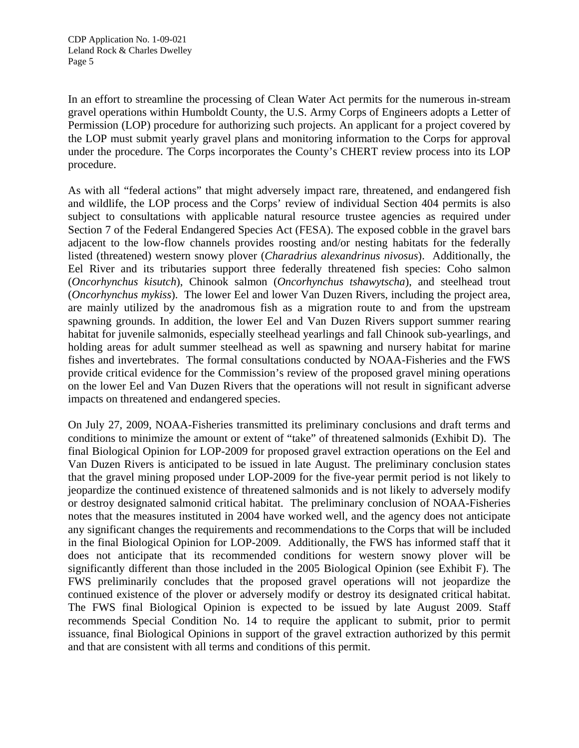In an effort to streamline the processing of Clean Water Act permits for the numerous in-stream gravel operations within Humboldt County, the U.S. Army Corps of Engineers adopts a Letter of Permission (LOP) procedure for authorizing such projects. An applicant for a project covered by the LOP must submit yearly gravel plans and monitoring information to the Corps for approval under the procedure. The Corps incorporates the County's CHERT review process into its LOP procedure.

As with all "federal actions" that might adversely impact rare, threatened, and endangered fish and wildlife, the LOP process and the Corps' review of individual Section 404 permits is also subject to consultations with applicable natural resource trustee agencies as required under Section 7 of the Federal Endangered Species Act (FESA). The exposed cobble in the gravel bars adjacent to the low-flow channels provides roosting and/or nesting habitats for the federally listed (threatened) western snowy plover (*Charadrius alexandrinus nivosus*). Additionally, the Eel River and its tributaries support three federally threatened fish species: Coho salmon (*Oncorhynchus kisutch*), Chinook salmon (*Oncorhynchus tshawytscha*), and steelhead trout (*Oncorhynchus mykiss*). The lower Eel and lower Van Duzen Rivers, including the project area, are mainly utilized by the anadromous fish as a migration route to and from the upstream spawning grounds. In addition, the lower Eel and Van Duzen Rivers support summer rearing habitat for juvenile salmonids, especially steelhead yearlings and fall Chinook sub-yearlings, and holding areas for adult summer steelhead as well as spawning and nursery habitat for marine fishes and invertebrates. The formal consultations conducted by NOAA-Fisheries and the FWS provide critical evidence for the Commission's review of the proposed gravel mining operations on the lower Eel and Van Duzen Rivers that the operations will not result in significant adverse impacts on threatened and endangered species.

On July 27, 2009, NOAA-Fisheries transmitted its preliminary conclusions and draft terms and conditions to minimize the amount or extent of "take" of threatened salmonids (Exhibit D). The final Biological Opinion for LOP-2009 for proposed gravel extraction operations on the Eel and Van Duzen Rivers is anticipated to be issued in late August. The preliminary conclusion states that the gravel mining proposed under LOP-2009 for the five-year permit period is not likely to jeopardize the continued existence of threatened salmonids and is not likely to adversely modify or destroy designated salmonid critical habitat. The preliminary conclusion of NOAA-Fisheries notes that the measures instituted in 2004 have worked well, and the agency does not anticipate any significant changes the requirements and recommendations to the Corps that will be included in the final Biological Opinion for LOP-2009. Additionally, the FWS has informed staff that it does not anticipate that its recommended conditions for western snowy plover will be significantly different than those included in the 2005 Biological Opinion (see Exhibit F). The FWS preliminarily concludes that the proposed gravel operations will not jeopardize the continued existence of the plover or adversely modify or destroy its designated critical habitat. The FWS final Biological Opinion is expected to be issued by late August 2009. Staff recommends Special Condition No. 14 to require the applicant to submit, prior to permit issuance, final Biological Opinions in support of the gravel extraction authorized by this permit and that are consistent with all terms and conditions of this permit.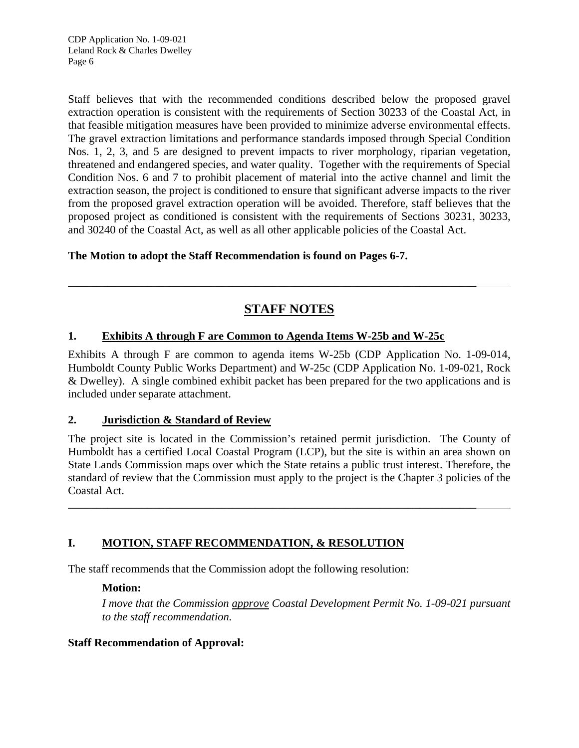Staff believes that with the recommended conditions described below the proposed gravel extraction operation is consistent with the requirements of Section 30233 of the Coastal Act, in that feasible mitigation measures have been provided to minimize adverse environmental effects. The gravel extraction limitations and performance standards imposed through Special Condition Nos. 1, 2, 3, and 5 are designed to prevent impacts to river morphology, riparian vegetation, threatened and endangered species, and water quality. Together with the requirements of Special Condition Nos. 6 and 7 to prohibit placement of material into the active channel and limit the extraction season, the project is conditioned to ensure that significant adverse impacts to the river from the proposed gravel extraction operation will be avoided. Therefore, staff believes that the proposed project as conditioned is consistent with the requirements of Sections 30231, 30233, and 30240 of the Coastal Act, as well as all other applicable policies of the Coastal Act.

## **The Motion to adopt the Staff Recommendation is found on Pages 6-7.**

# **STAFF NOTES**

\_\_\_\_\_\_\_\_\_\_\_\_\_\_\_\_\_\_\_\_\_\_\_\_\_\_\_\_\_\_\_\_\_\_\_\_\_\_\_\_\_\_\_\_\_\_\_\_\_\_\_\_\_\_\_\_\_\_\_\_\_\_\_\_\_\_\_\_\_\_\_\_

## **1. Exhibits A through F are Common to Agenda Items W-25b and W-25c**

Exhibits A through F are common to agenda items W-25b (CDP Application No. 1-09-014, Humboldt County Public Works Department) and W-25c (CDP Application No. 1-09-021, Rock & Dwelley). A single combined exhibit packet has been prepared for the two applications and is included under separate attachment.

## **2. Jurisdiction & Standard of Review**

The project site is located in the Commission's retained permit jurisdiction. The County of Humboldt has a certified Local Coastal Program (LCP), but the site is within an area shown on State Lands Commission maps over which the State retains a public trust interest. Therefore, the standard of review that the Commission must apply to the project is the Chapter 3 policies of the Coastal Act.

\_\_\_\_\_\_\_\_\_\_\_\_\_\_\_\_\_\_\_\_\_\_\_\_\_\_\_\_\_\_\_\_\_\_\_\_\_\_\_\_\_\_\_\_\_\_\_\_\_\_\_\_\_\_\_\_\_\_\_\_\_\_\_\_\_\_\_\_\_\_\_\_

## **I. MOTION, STAFF RECOMMENDATION, & RESOLUTION**

The staff recommends that the Commission adopt the following resolution:

## **Motion:**

*I move that the Commission approve Coastal Development Permit No. 1-09-021 pursuant to the staff recommendation.* 

## **Staff Recommendation of Approval:**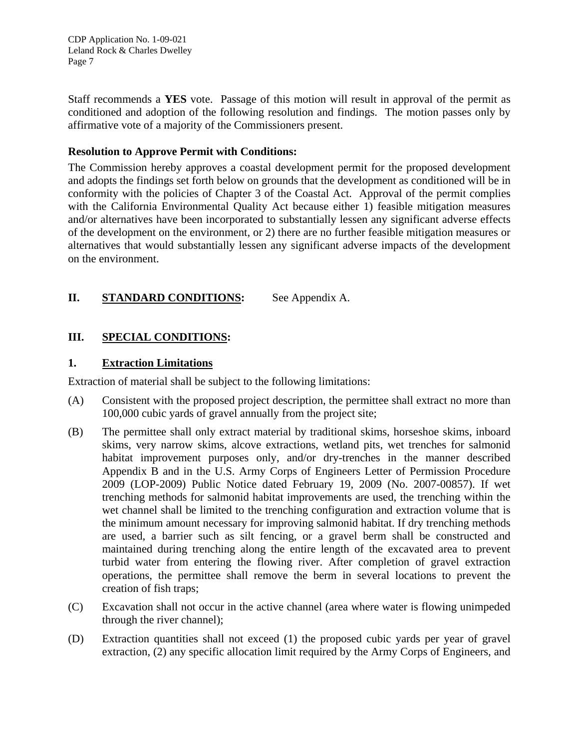CDP Application No. 1-09-021 Leland Rock & Charles Dwelley Page 7

Staff recommends a **YES** vote. Passage of this motion will result in approval of the permit as conditioned and adoption of the following resolution and findings. The motion passes only by affirmative vote of a majority of the Commissioners present.

#### **Resolution to Approve Permit with Conditions:**

The Commission hereby approves a coastal development permit for the proposed development and adopts the findings set forth below on grounds that the development as conditioned will be in conformity with the policies of Chapter 3 of the Coastal Act. Approval of the permit complies with the California Environmental Quality Act because either 1) feasible mitigation measures and/or alternatives have been incorporated to substantially lessen any significant adverse effects of the development on the environment, or 2) there are no further feasible mitigation measures or alternatives that would substantially lessen any significant adverse impacts of the development on the environment.

## **II.** STANDARD CONDITIONS: See Appendix A.

## **III. SPECIAL CONDITIONS:**

#### **1. Extraction Limitations**

Extraction of material shall be subject to the following limitations:

- (A) Consistent with the proposed project description, the permittee shall extract no more than 100,000 cubic yards of gravel annually from the project site;
- (B) The permittee shall only extract material by traditional skims, horseshoe skims, inboard skims, very narrow skims, alcove extractions, wetland pits, wet trenches for salmonid habitat improvement purposes only, and/or dry-trenches in the manner described Appendix B and in the U.S. Army Corps of Engineers Letter of Permission Procedure 2009 (LOP-2009) Public Notice dated February 19, 2009 (No. 2007-00857). If wet trenching methods for salmonid habitat improvements are used, the trenching within the wet channel shall be limited to the trenching configuration and extraction volume that is the minimum amount necessary for improving salmonid habitat. If dry trenching methods are used, a barrier such as silt fencing, or a gravel berm shall be constructed and maintained during trenching along the entire length of the excavated area to prevent turbid water from entering the flowing river. After completion of gravel extraction operations, the permittee shall remove the berm in several locations to prevent the creation of fish traps;
- (C) Excavation shall not occur in the active channel (area where water is flowing unimpeded through the river channel);
- (D) Extraction quantities shall not exceed (1) the proposed cubic yards per year of gravel extraction, (2) any specific allocation limit required by the Army Corps of Engineers, and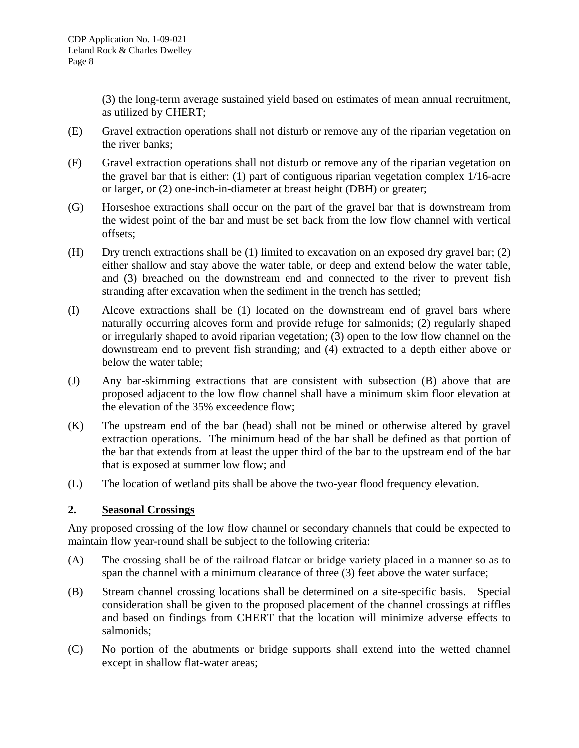(3) the long-term average sustained yield based on estimates of mean annual recruitment, as utilized by CHERT;

- (E) Gravel extraction operations shall not disturb or remove any of the riparian vegetation on the river banks;
- (F) Gravel extraction operations shall not disturb or remove any of the riparian vegetation on the gravel bar that is either: (1) part of contiguous riparian vegetation complex 1/16-acre or larger, or (2) one-inch-in-diameter at breast height (DBH) or greater;
- (G) Horseshoe extractions shall occur on the part of the gravel bar that is downstream from the widest point of the bar and must be set back from the low flow channel with vertical offsets;
- (H) Dry trench extractions shall be (1) limited to excavation on an exposed dry gravel bar; (2) either shallow and stay above the water table, or deep and extend below the water table, and (3) breached on the downstream end and connected to the river to prevent fish stranding after excavation when the sediment in the trench has settled;
- (I) Alcove extractions shall be (1) located on the downstream end of gravel bars where naturally occurring alcoves form and provide refuge for salmonids; (2) regularly shaped or irregularly shaped to avoid riparian vegetation; (3) open to the low flow channel on the downstream end to prevent fish stranding; and (4) extracted to a depth either above or below the water table;
- (J) Any bar-skimming extractions that are consistent with subsection (B) above that are proposed adjacent to the low flow channel shall have a minimum skim floor elevation at the elevation of the 35% exceedence flow;
- (K) The upstream end of the bar (head) shall not be mined or otherwise altered by gravel extraction operations. The minimum head of the bar shall be defined as that portion of the bar that extends from at least the upper third of the bar to the upstream end of the bar that is exposed at summer low flow; and
- (L) The location of wetland pits shall be above the two-year flood frequency elevation.

## **2. Seasonal Crossings**

Any proposed crossing of the low flow channel or secondary channels that could be expected to maintain flow year-round shall be subject to the following criteria:

- (A) The crossing shall be of the railroad flatcar or bridge variety placed in a manner so as to span the channel with a minimum clearance of three (3) feet above the water surface;
- (B) Stream channel crossing locations shall be determined on a site-specific basis. Special consideration shall be given to the proposed placement of the channel crossings at riffles and based on findings from CHERT that the location will minimize adverse effects to salmonids;
- (C) No portion of the abutments or bridge supports shall extend into the wetted channel except in shallow flat-water areas;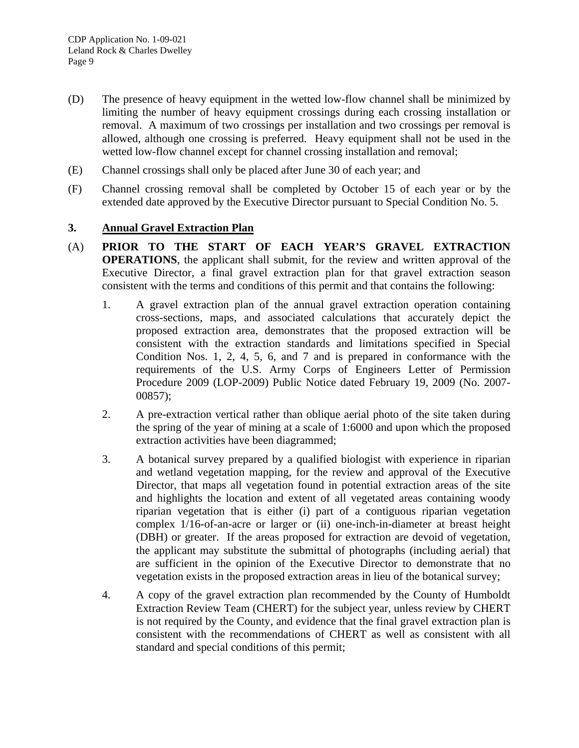- (D) The presence of heavy equipment in the wetted low-flow channel shall be minimized by limiting the number of heavy equipment crossings during each crossing installation or removal. A maximum of two crossings per installation and two crossings per removal is allowed, although one crossing is preferred. Heavy equipment shall not be used in the wetted low-flow channel except for channel crossing installation and removal;
- (E) Channel crossings shall only be placed after June 30 of each year; and
- (F) Channel crossing removal shall be completed by October 15 of each year or by the extended date approved by the Executive Director pursuant to Special Condition No. 5.

#### **3. Annual Gravel Extraction Plan**

- (A) **PRIOR TO THE START OF EACH YEAR'S GRAVEL EXTRACTION OPERATIONS**, the applicant shall submit, for the review and written approval of the Executive Director, a final gravel extraction plan for that gravel extraction season consistent with the terms and conditions of this permit and that contains the following:
	- 1. A gravel extraction plan of the annual gravel extraction operation containing cross-sections, maps, and associated calculations that accurately depict the proposed extraction area, demonstrates that the proposed extraction will be consistent with the extraction standards and limitations specified in Special Condition Nos. 1, 2, 4, 5, 6, and 7 and is prepared in conformance with the requirements of the U.S. Army Corps of Engineers Letter of Permission Procedure 2009 (LOP-2009) Public Notice dated February 19, 2009 (No. 2007- 00857);
	- 2. A pre-extraction vertical rather than oblique aerial photo of the site taken during the spring of the year of mining at a scale of 1:6000 and upon which the proposed extraction activities have been diagrammed;
	- 3. A botanical survey prepared by a qualified biologist with experience in riparian and wetland vegetation mapping, for the review and approval of the Executive Director, that maps all vegetation found in potential extraction areas of the site and highlights the location and extent of all vegetated areas containing woody riparian vegetation that is either (i) part of a contiguous riparian vegetation complex 1/16-of-an-acre or larger or (ii) one-inch-in-diameter at breast height (DBH) or greater. If the areas proposed for extraction are devoid of vegetation, the applicant may substitute the submittal of photographs (including aerial) that are sufficient in the opinion of the Executive Director to demonstrate that no vegetation exists in the proposed extraction areas in lieu of the botanical survey;
	- 4. A copy of the gravel extraction plan recommended by the County of Humboldt Extraction Review Team (CHERT) for the subject year, unless review by CHERT is not required by the County, and evidence that the final gravel extraction plan is consistent with the recommendations of CHERT as well as consistent with all standard and special conditions of this permit;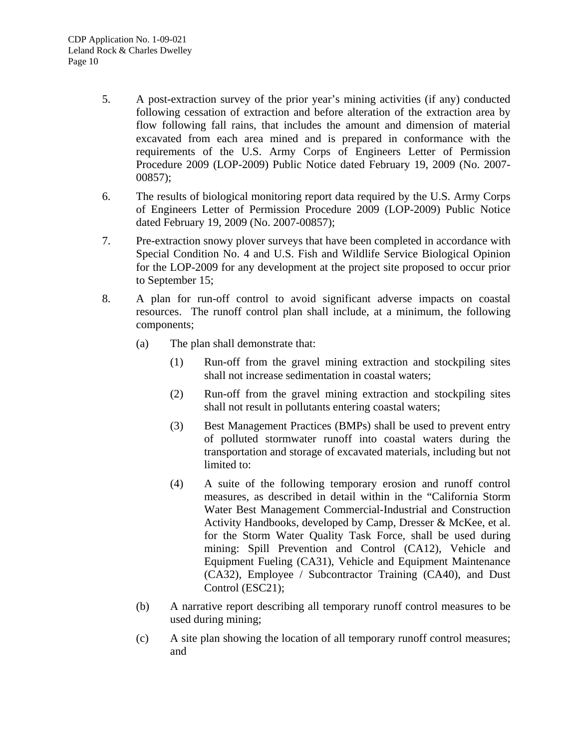- 5. A post-extraction survey of the prior year's mining activities (if any) conducted following cessation of extraction and before alteration of the extraction area by flow following fall rains, that includes the amount and dimension of material excavated from each area mined and is prepared in conformance with the requirements of the U.S. Army Corps of Engineers Letter of Permission Procedure 2009 (LOP-2009) Public Notice dated February 19, 2009 (No. 2007- 00857);
- 6. The results of biological monitoring report data required by the U.S. Army Corps of Engineers Letter of Permission Procedure 2009 (LOP-2009) Public Notice dated February 19, 2009 (No. 2007-00857);
- 7. Pre-extraction snowy plover surveys that have been completed in accordance with Special Condition No. 4 and U.S. Fish and Wildlife Service Biological Opinion for the LOP-2009 for any development at the project site proposed to occur prior to September 15;
- 8. A plan for run-off control to avoid significant adverse impacts on coastal resources. The runoff control plan shall include, at a minimum, the following components;
	- (a) The plan shall demonstrate that:
		- (1) Run-off from the gravel mining extraction and stockpiling sites shall not increase sedimentation in coastal waters;
		- (2) Run-off from the gravel mining extraction and stockpiling sites shall not result in pollutants entering coastal waters;
		- (3) Best Management Practices (BMPs) shall be used to prevent entry of polluted stormwater runoff into coastal waters during the transportation and storage of excavated materials, including but not limited to:
		- (4) A suite of the following temporary erosion and runoff control measures, as described in detail within in the "California Storm Water Best Management Commercial-Industrial and Construction Activity Handbooks, developed by Camp, Dresser & McKee, et al. for the Storm Water Quality Task Force, shall be used during mining: Spill Prevention and Control (CA12), Vehicle and Equipment Fueling (CA31), Vehicle and Equipment Maintenance (CA32), Employee / Subcontractor Training (CA40), and Dust Control (ESC21);
	- (b) A narrative report describing all temporary runoff control measures to be used during mining;
	- (c) A site plan showing the location of all temporary runoff control measures; and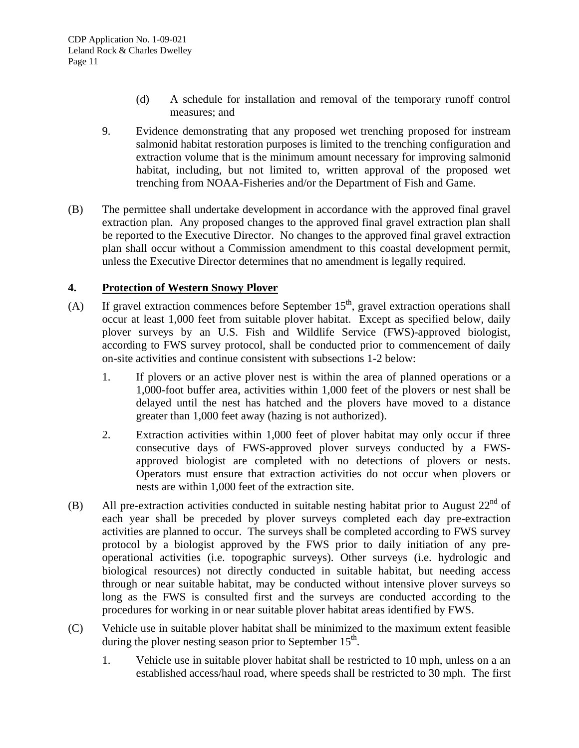- (d) A schedule for installation and removal of the temporary runoff control measures; and
- 9. Evidence demonstrating that any proposed wet trenching proposed for instream salmonid habitat restoration purposes is limited to the trenching configuration and extraction volume that is the minimum amount necessary for improving salmonid habitat, including, but not limited to, written approval of the proposed wet trenching from NOAA-Fisheries and/or the Department of Fish and Game.
- (B) The permittee shall undertake development in accordance with the approved final gravel extraction plan. Any proposed changes to the approved final gravel extraction plan shall be reported to the Executive Director. No changes to the approved final gravel extraction plan shall occur without a Commission amendment to this coastal development permit, unless the Executive Director determines that no amendment is legally required.

#### **4. Protection of Western Snowy Plover**

- (A) If gravel extraction commences before September  $15<sup>th</sup>$ , gravel extraction operations shall occur at least 1,000 feet from suitable plover habitat. Except as specified below, daily plover surveys by an U.S. Fish and Wildlife Service (FWS)-approved biologist, according to FWS survey protocol, shall be conducted prior to commencement of daily on-site activities and continue consistent with subsections 1-2 below:
	- 1. If plovers or an active plover nest is within the area of planned operations or a 1,000-foot buffer area, activities within 1,000 feet of the plovers or nest shall be delayed until the nest has hatched and the plovers have moved to a distance greater than 1,000 feet away (hazing is not authorized).
	- 2. Extraction activities within 1,000 feet of plover habitat may only occur if three consecutive days of FWS-approved plover surveys conducted by a FWSapproved biologist are completed with no detections of plovers or nests. Operators must ensure that extraction activities do not occur when plovers or nests are within 1,000 feet of the extraction site.
- (B) All pre-extraction activities conducted in suitable nesting habitat prior to August  $22^{nd}$  of each year shall be preceded by plover surveys completed each day pre-extraction activities are planned to occur. The surveys shall be completed according to FWS survey protocol by a biologist approved by the FWS prior to daily initiation of any preoperational activities (i.e. topographic surveys). Other surveys (i.e. hydrologic and biological resources) not directly conducted in suitable habitat, but needing access through or near suitable habitat, may be conducted without intensive plover surveys so long as the FWS is consulted first and the surveys are conducted according to the procedures for working in or near suitable plover habitat areas identified by FWS.
- (C) Vehicle use in suitable plover habitat shall be minimized to the maximum extent feasible during the plover nesting season prior to September  $15<sup>th</sup>$ .
	- 1. Vehicle use in suitable plover habitat shall be restricted to 10 mph, unless on a an established access/haul road, where speeds shall be restricted to 30 mph. The first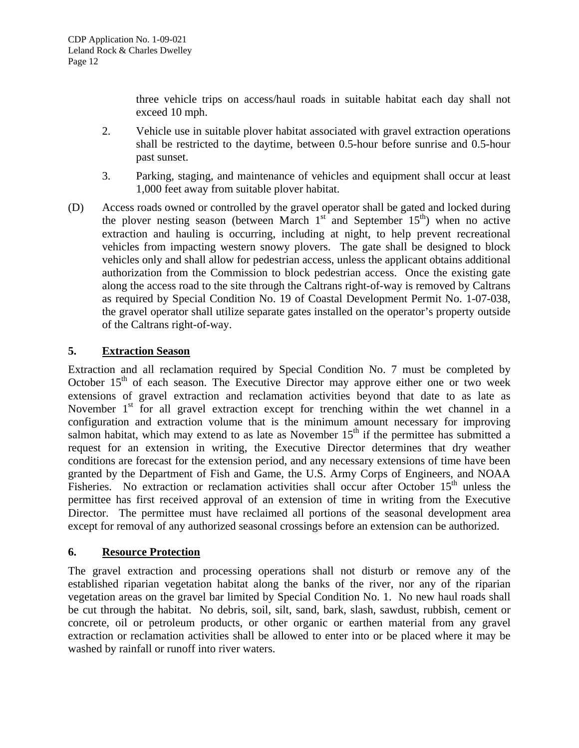three vehicle trips on access/haul roads in suitable habitat each day shall not exceed 10 mph.

- 2. Vehicle use in suitable plover habitat associated with gravel extraction operations shall be restricted to the daytime, between 0.5-hour before sunrise and 0.5-hour past sunset.
- 3. Parking, staging, and maintenance of vehicles and equipment shall occur at least 1,000 feet away from suitable plover habitat.
- (D) Access roads owned or controlled by the gravel operator shall be gated and locked during the plover nesting season (between March  $1<sup>st</sup>$  and September  $15<sup>th</sup>$ ) when no active extraction and hauling is occurring, including at night, to help prevent recreational vehicles from impacting western snowy plovers. The gate shall be designed to block vehicles only and shall allow for pedestrian access, unless the applicant obtains additional authorization from the Commission to block pedestrian access. Once the existing gate along the access road to the site through the Caltrans right-of-way is removed by Caltrans as required by Special Condition No. 19 of Coastal Development Permit No. 1-07-038, the gravel operator shall utilize separate gates installed on the operator's property outside of the Caltrans right-of-way.

## **5. Extraction Season**

Extraction and all reclamation required by Special Condition No. 7 must be completed by October  $15<sup>th</sup>$  of each season. The Executive Director may approve either one or two week extensions of gravel extraction and reclamation activities beyond that date to as late as November  $1<sup>st</sup>$  for all gravel extraction except for trenching within the wet channel in a configuration and extraction volume that is the minimum amount necessary for improving salmon habitat, which may extend to as late as November  $15<sup>th</sup>$  if the permittee has submitted a request for an extension in writing, the Executive Director determines that dry weather conditions are forecast for the extension period, and any necessary extensions of time have been granted by the Department of Fish and Game, the U.S. Army Corps of Engineers, and NOAA Fisheries. No extraction or reclamation activities shall occur after October  $15<sup>th</sup>$  unless the permittee has first received approval of an extension of time in writing from the Executive Director. The permittee must have reclaimed all portions of the seasonal development area except for removal of any authorized seasonal crossings before an extension can be authorized.

## **6. Resource Protection**

The gravel extraction and processing operations shall not disturb or remove any of the established riparian vegetation habitat along the banks of the river, nor any of the riparian vegetation areas on the gravel bar limited by Special Condition No. 1. No new haul roads shall be cut through the habitat. No debris, soil, silt, sand, bark, slash, sawdust, rubbish, cement or concrete, oil or petroleum products, or other organic or earthen material from any gravel extraction or reclamation activities shall be allowed to enter into or be placed where it may be washed by rainfall or runoff into river waters.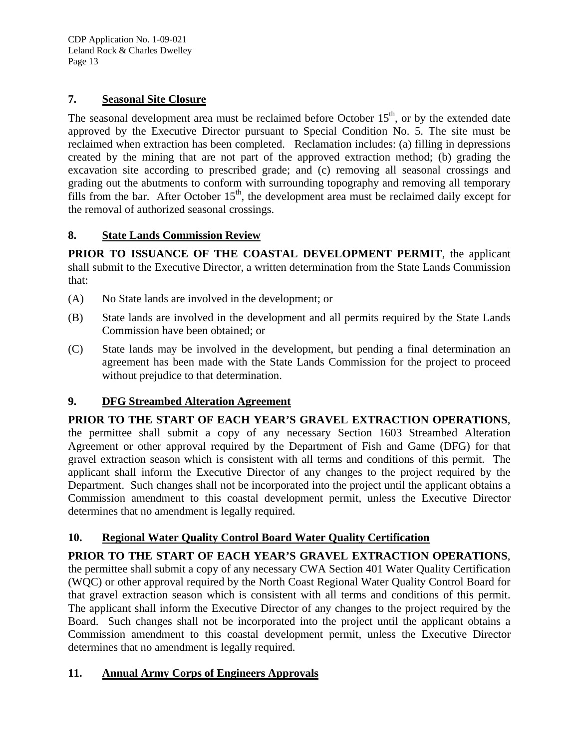CDP Application No. 1-09-021 Leland Rock & Charles Dwelley Page 13

#### **7. Seasonal Site Closure**

The seasonal development area must be reclaimed before October  $15<sup>th</sup>$ , or by the extended date approved by the Executive Director pursuant to Special Condition No. 5. The site must be reclaimed when extraction has been completed. Reclamation includes: (a) filling in depressions created by the mining that are not part of the approved extraction method; (b) grading the excavation site according to prescribed grade; and (c) removing all seasonal crossings and grading out the abutments to conform with surrounding topography and removing all temporary fills from the bar. After October  $15<sup>th</sup>$ , the development area must be reclaimed daily except for the removal of authorized seasonal crossings.

## **8. State Lands Commission Review**

**PRIOR TO ISSUANCE OF THE COASTAL DEVELOPMENT PERMIT**, the applicant shall submit to the Executive Director, a written determination from the State Lands Commission that:

- (A) No State lands are involved in the development; or
- (B) State lands are involved in the development and all permits required by the State Lands Commission have been obtained; or
- (C) State lands may be involved in the development, but pending a final determination an agreement has been made with the State Lands Commission for the project to proceed without prejudice to that determination.

## **9. DFG Streambed Alteration Agreement**

**PRIOR TO THE START OF EACH YEAR'S GRAVEL EXTRACTION OPERATIONS**, the permittee shall submit a copy of any necessary Section 1603 Streambed Alteration Agreement or other approval required by the Department of Fish and Game (DFG) for that gravel extraction season which is consistent with all terms and conditions of this permit. The applicant shall inform the Executive Director of any changes to the project required by the Department. Such changes shall not be incorporated into the project until the applicant obtains a Commission amendment to this coastal development permit, unless the Executive Director determines that no amendment is legally required.

## **10. Regional Water Quality Control Board Water Quality Certification**

**PRIOR TO THE START OF EACH YEAR'S GRAVEL EXTRACTION OPERATIONS**, the permittee shall submit a copy of any necessary CWA Section 401 Water Quality Certification (WQC) or other approval required by the North Coast Regional Water Quality Control Board for that gravel extraction season which is consistent with all terms and conditions of this permit. The applicant shall inform the Executive Director of any changes to the project required by the Board. Such changes shall not be incorporated into the project until the applicant obtains a Commission amendment to this coastal development permit, unless the Executive Director determines that no amendment is legally required.

## **11. Annual Army Corps of Engineers Approvals**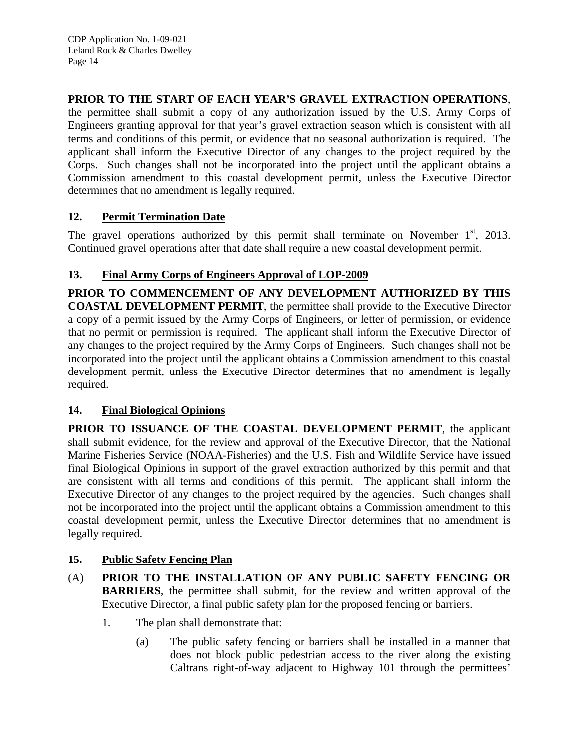## **PRIOR TO THE START OF EACH YEAR'S GRAVEL EXTRACTION OPERATIONS**,

the permittee shall submit a copy of any authorization issued by the U.S. Army Corps of Engineers granting approval for that year's gravel extraction season which is consistent with all terms and conditions of this permit, or evidence that no seasonal authorization is required. The applicant shall inform the Executive Director of any changes to the project required by the Corps. Such changes shall not be incorporated into the project until the applicant obtains a Commission amendment to this coastal development permit, unless the Executive Director determines that no amendment is legally required.

## **12. Permit Termination Date**

The gravel operations authorized by this permit shall terminate on November  $1<sup>st</sup>$ , 2013. Continued gravel operations after that date shall require a new coastal development permit.

## **13. Final Army Corps of Engineers Approval of LOP-2009**

**PRIOR TO COMMENCEMENT OF ANY DEVELOPMENT AUTHORIZED BY THIS COASTAL DEVELOPMENT PERMIT**, the permittee shall provide to the Executive Director a copy of a permit issued by the Army Corps of Engineers, or letter of permission, or evidence that no permit or permission is required. The applicant shall inform the Executive Director of any changes to the project required by the Army Corps of Engineers. Such changes shall not be incorporated into the project until the applicant obtains a Commission amendment to this coastal development permit, unless the Executive Director determines that no amendment is legally required.

## **14. Final Biological Opinions**

**PRIOR TO ISSUANCE OF THE COASTAL DEVELOPMENT PERMIT**, the applicant shall submit evidence, for the review and approval of the Executive Director, that the National Marine Fisheries Service (NOAA-Fisheries) and the U.S. Fish and Wildlife Service have issued final Biological Opinions in support of the gravel extraction authorized by this permit and that are consistent with all terms and conditions of this permit. The applicant shall inform the Executive Director of any changes to the project required by the agencies. Such changes shall not be incorporated into the project until the applicant obtains a Commission amendment to this coastal development permit, unless the Executive Director determines that no amendment is legally required.

## **15. Public Safety Fencing Plan**

- (A) **PRIOR TO THE INSTALLATION OF ANY PUBLIC SAFETY FENCING OR BARRIERS**, the permittee shall submit, for the review and written approval of the Executive Director, a final public safety plan for the proposed fencing or barriers.
	- 1. The plan shall demonstrate that:
		- (a) The public safety fencing or barriers shall be installed in a manner that does not block public pedestrian access to the river along the existing Caltrans right-of-way adjacent to Highway 101 through the permittees'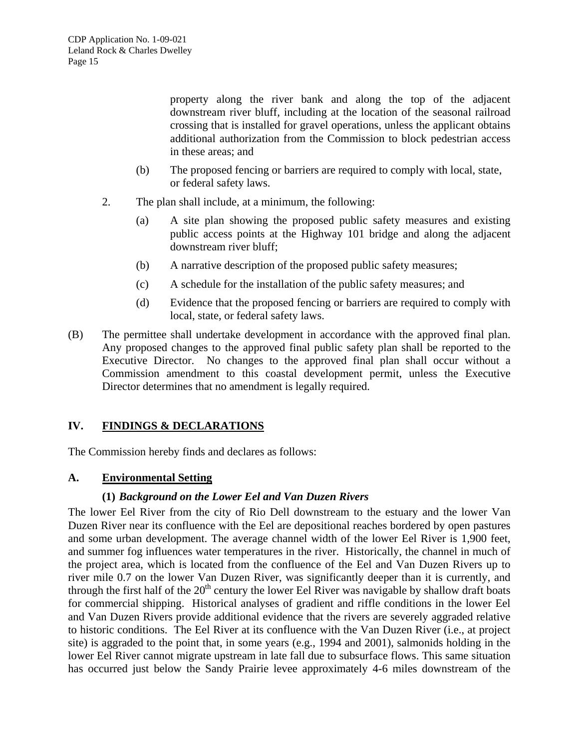property along the river bank and along the top of the adjacent downstream river bluff, including at the location of the seasonal railroad crossing that is installed for gravel operations, unless the applicant obtains additional authorization from the Commission to block pedestrian access in these areas; and

- (b) The proposed fencing or barriers are required to comply with local, state, or federal safety laws.
- 2. The plan shall include, at a minimum, the following:
	- (a) A site plan showing the proposed public safety measures and existing public access points at the Highway 101 bridge and along the adjacent downstream river bluff;
	- (b) A narrative description of the proposed public safety measures;
	- (c) A schedule for the installation of the public safety measures; and
	- (d) Evidence that the proposed fencing or barriers are required to comply with local, state, or federal safety laws.
- (B) The permittee shall undertake development in accordance with the approved final plan. Any proposed changes to the approved final public safety plan shall be reported to the Executive Director. No changes to the approved final plan shall occur without a Commission amendment to this coastal development permit, unless the Executive Director determines that no amendment is legally required.

## **IV. FINDINGS & DECLARATIONS**

The Commission hereby finds and declares as follows:

## **A. Environmental Setting**

#### **(1)** *Background on the Lower Eel and Van Duzen Rivers*

The lower Eel River from the city of Rio Dell downstream to the estuary and the lower Van Duzen River near its confluence with the Eel are depositional reaches bordered by open pastures and some urban development. The average channel width of the lower Eel River is 1,900 feet, and summer fog influences water temperatures in the river. Historically, the channel in much of the project area, which is located from the confluence of the Eel and Van Duzen Rivers up to river mile 0.7 on the lower Van Duzen River, was significantly deeper than it is currently, and through the first half of the  $20<sup>th</sup>$  century the lower Eel River was navigable by shallow draft boats for commercial shipping. Historical analyses of gradient and riffle conditions in the lower Eel and Van Duzen Rivers provide additional evidence that the rivers are severely aggraded relative to historic conditions. The Eel River at its confluence with the Van Duzen River (i.e., at project site) is aggraded to the point that, in some years (e.g., 1994 and 2001), salmonids holding in the lower Eel River cannot migrate upstream in late fall due to subsurface flows. This same situation has occurred just below the Sandy Prairie levee approximately 4-6 miles downstream of the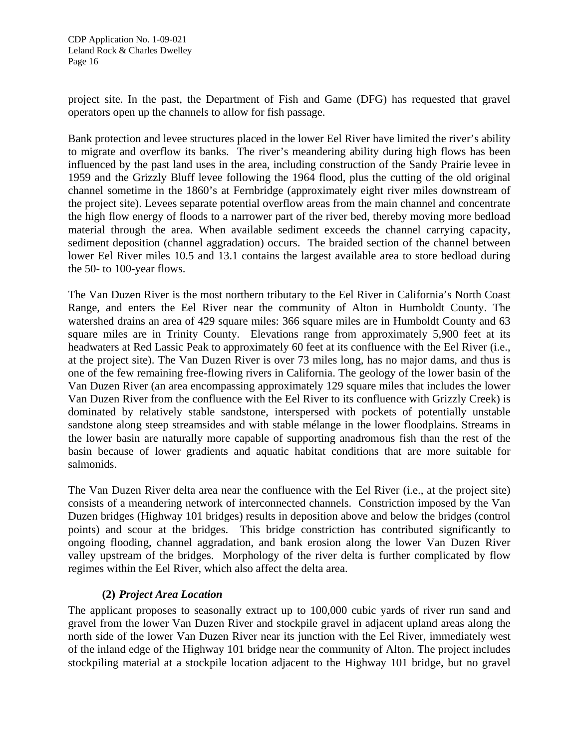project site. In the past, the Department of Fish and Game (DFG) has requested that gravel operators open up the channels to allow for fish passage.

Bank protection and levee structures placed in the lower Eel River have limited the river's ability to migrate and overflow its banks. The river's meandering ability during high flows has been influenced by the past land uses in the area, including construction of the Sandy Prairie levee in 1959 and the Grizzly Bluff levee following the 1964 flood, plus the cutting of the old original channel sometime in the 1860's at Fernbridge (approximately eight river miles downstream of the project site). Levees separate potential overflow areas from the main channel and concentrate the high flow energy of floods to a narrower part of the river bed, thereby moving more bedload material through the area. When available sediment exceeds the channel carrying capacity, sediment deposition (channel aggradation) occurs. The braided section of the channel between lower Eel River miles 10.5 and 13.1 contains the largest available area to store bedload during the 50- to 100-year flows.

The Van Duzen River is the most northern tributary to the Eel River in California's North Coast Range, and enters the Eel River near the community of Alton in Humboldt County. The watershed drains an area of 429 square miles: 366 square miles are in Humboldt County and 63 square miles are in Trinity County. Elevations range from approximately 5,900 feet at its headwaters at Red Lassic Peak to approximately 60 feet at its confluence with the Eel River (i.e., at the project site). The Van Duzen River is over 73 miles long, has no major dams, and thus is one of the few remaining free-flowing rivers in California. The geology of the lower basin of the Van Duzen River (an area encompassing approximately 129 square miles that includes the lower Van Duzen River from the confluence with the Eel River to its confluence with Grizzly Creek) is dominated by relatively stable sandstone, interspersed with pockets of potentially unstable sandstone along steep streamsides and with stable mélange in the lower floodplains. Streams in the lower basin are naturally more capable of supporting anadromous fish than the rest of the basin because of lower gradients and aquatic habitat conditions that are more suitable for salmonids.

The Van Duzen River delta area near the confluence with the Eel River (i.e., at the project site) consists of a meandering network of interconnected channels. Constriction imposed by the Van Duzen bridges (Highway 101 bridges) results in deposition above and below the bridges (control points) and scour at the bridges. This bridge constriction has contributed significantly to ongoing flooding, channel aggradation, and bank erosion along the lower Van Duzen River valley upstream of the bridges. Morphology of the river delta is further complicated by flow regimes within the Eel River, which also affect the delta area.

## **(2)** *Project Area Location*

The applicant proposes to seasonally extract up to 100,000 cubic yards of river run sand and gravel from the lower Van Duzen River and stockpile gravel in adjacent upland areas along the north side of the lower Van Duzen River near its junction with the Eel River, immediately west of the inland edge of the Highway 101 bridge near the community of Alton. The project includes stockpiling material at a stockpile location adjacent to the Highway 101 bridge, but no gravel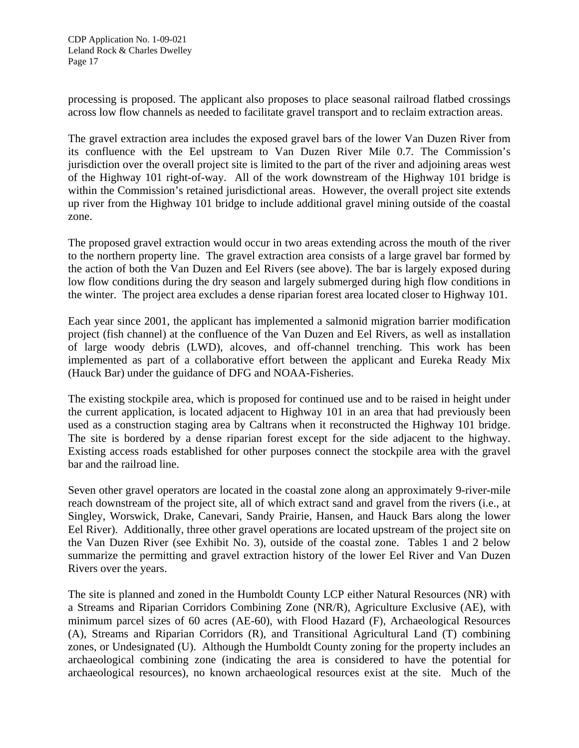processing is proposed. The applicant also proposes to place seasonal railroad flatbed crossings across low flow channels as needed to facilitate gravel transport and to reclaim extraction areas.

The gravel extraction area includes the exposed gravel bars of the lower Van Duzen River from its confluence with the Eel upstream to Van Duzen River Mile 0.7. The Commission's jurisdiction over the overall project site is limited to the part of the river and adjoining areas west of the Highway 101 right-of-way. All of the work downstream of the Highway 101 bridge is within the Commission's retained jurisdictional areas. However, the overall project site extends up river from the Highway 101 bridge to include additional gravel mining outside of the coastal zone.

The proposed gravel extraction would occur in two areas extending across the mouth of the river to the northern property line. The gravel extraction area consists of a large gravel bar formed by the action of both the Van Duzen and Eel Rivers (see above). The bar is largely exposed during low flow conditions during the dry season and largely submerged during high flow conditions in the winter. The project area excludes a dense riparian forest area located closer to Highway 101.

Each year since 2001, the applicant has implemented a salmonid migration barrier modification project (fish channel) at the confluence of the Van Duzen and Eel Rivers, as well as installation of large woody debris (LWD), alcoves, and off-channel trenching. This work has been implemented as part of a collaborative effort between the applicant and Eureka Ready Mix (Hauck Bar) under the guidance of DFG and NOAA-Fisheries.

The existing stockpile area, which is proposed for continued use and to be raised in height under the current application, is located adjacent to Highway 101 in an area that had previously been used as a construction staging area by Caltrans when it reconstructed the Highway 101 bridge. The site is bordered by a dense riparian forest except for the side adjacent to the highway. Existing access roads established for other purposes connect the stockpile area with the gravel bar and the railroad line.

Seven other gravel operators are located in the coastal zone along an approximately 9-river-mile reach downstream of the project site, all of which extract sand and gravel from the rivers (i.e., at Singley, Worswick, Drake, Canevari, Sandy Prairie, Hansen, and Hauck Bars along the lower Eel River). Additionally, three other gravel operations are located upstream of the project site on the Van Duzen River (see Exhibit No. 3), outside of the coastal zone. Tables 1 and 2 below summarize the permitting and gravel extraction history of the lower Eel River and Van Duzen Rivers over the years.

The site is planned and zoned in the Humboldt County LCP either Natural Resources (NR) with a Streams and Riparian Corridors Combining Zone (NR/R), Agriculture Exclusive (AE), with minimum parcel sizes of 60 acres (AE-60), with Flood Hazard (F), Archaeological Resources (A), Streams and Riparian Corridors (R), and Transitional Agricultural Land (T) combining zones, or Undesignated (U). Although the Humboldt County zoning for the property includes an archaeological combining zone (indicating the area is considered to have the potential for archaeological resources), no known archaeological resources exist at the site. Much of the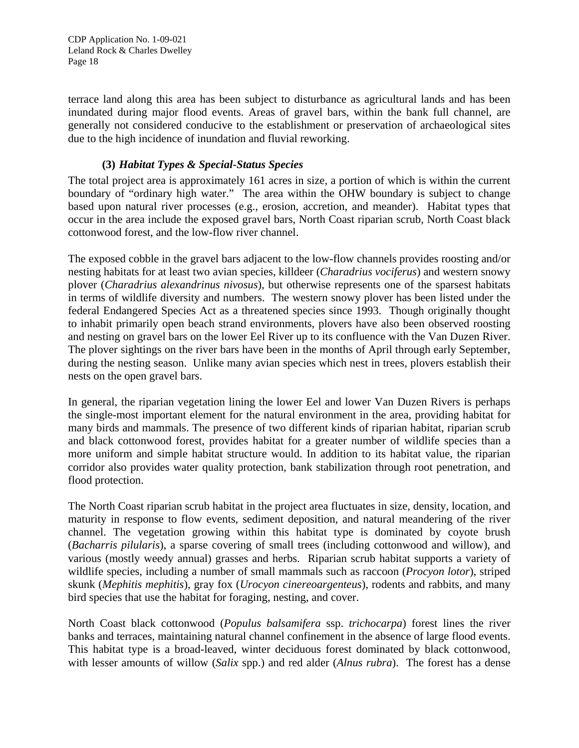CDP Application No. 1-09-021 Leland Rock & Charles Dwelley Page 18

terrace land along this area has been subject to disturbance as agricultural lands and has been inundated during major flood events. Areas of gravel bars, within the bank full channel, are generally not considered conducive to the establishment or preservation of archaeological sites due to the high incidence of inundation and fluvial reworking.

#### **(3)** *Habitat Types & Special-Status Species*

The total project area is approximately 161 acres in size, a portion of which is within the current boundary of "ordinary high water." The area within the OHW boundary is subject to change based upon natural river processes (e.g., erosion, accretion, and meander). Habitat types that occur in the area include the exposed gravel bars, North Coast riparian scrub, North Coast black cottonwood forest, and the low-flow river channel.

The exposed cobble in the gravel bars adjacent to the low-flow channels provides roosting and/or nesting habitats for at least two avian species, killdeer (*Charadrius vociferus*) and western snowy plover (*Charadrius alexandrinus nivosus*), but otherwise represents one of the sparsest habitats in terms of wildlife diversity and numbers. The western snowy plover has been listed under the federal Endangered Species Act as a threatened species since 1993. Though originally thought to inhabit primarily open beach strand environments, plovers have also been observed roosting and nesting on gravel bars on the lower Eel River up to its confluence with the Van Duzen River. The plover sightings on the river bars have been in the months of April through early September, during the nesting season. Unlike many avian species which nest in trees, plovers establish their nests on the open gravel bars.

In general, the riparian vegetation lining the lower Eel and lower Van Duzen Rivers is perhaps the single-most important element for the natural environment in the area, providing habitat for many birds and mammals. The presence of two different kinds of riparian habitat, riparian scrub and black cottonwood forest, provides habitat for a greater number of wildlife species than a more uniform and simple habitat structure would. In addition to its habitat value, the riparian corridor also provides water quality protection, bank stabilization through root penetration, and flood protection.

The North Coast riparian scrub habitat in the project area fluctuates in size, density, location, and maturity in response to flow events, sediment deposition, and natural meandering of the river channel. The vegetation growing within this habitat type is dominated by coyote brush (*Bacharris pilularis*), a sparse covering of small trees (including cottonwood and willow), and various (mostly weedy annual) grasses and herbs. Riparian scrub habitat supports a variety of wildlife species, including a number of small mammals such as raccoon (*Procyon lotor*), striped skunk (*Mephitis mephitis*), gray fox (*Urocyon cinereoargenteus*), rodents and rabbits, and many bird species that use the habitat for foraging, nesting, and cover.

North Coast black cottonwood (*Populus balsamifera* ssp. *trichocarpa*) forest lines the river banks and terraces, maintaining natural channel confinement in the absence of large flood events. This habitat type is a broad-leaved, winter deciduous forest dominated by black cottonwood, with lesser amounts of willow (*Salix* spp.) and red alder (*Alnus rubra*). The forest has a dense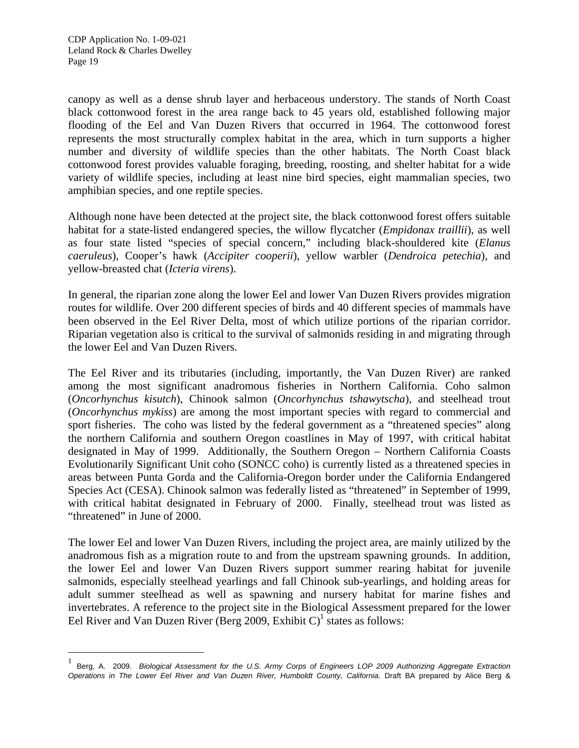-

canopy as well as a dense shrub layer and herbaceous understory. The stands of North Coast black cottonwood forest in the area range back to 45 years old, established following major flooding of the Eel and Van Duzen Rivers that occurred in 1964. The cottonwood forest represents the most structurally complex habitat in the area, which in turn supports a higher number and diversity of wildlife species than the other habitats. The North Coast black cottonwood forest provides valuable foraging, breeding, roosting, and shelter habitat for a wide variety of wildlife species, including at least nine bird species, eight mammalian species, two amphibian species, and one reptile species.

Although none have been detected at the project site, the black cottonwood forest offers suitable habitat for a state-listed endangered species, the willow flycatcher (*Empidonax traillii*), as well as four state listed "species of special concern," including black-shouldered kite (*Elanus caeruleus*), Cooper's hawk (*Accipiter cooperii*), yellow warbler (*Dendroica petechia*), and yellow-breasted chat (*Icteria virens*).

In general, the riparian zone along the lower Eel and lower Van Duzen Rivers provides migration routes for wildlife. Over 200 different species of birds and 40 different species of mammals have been observed in the Eel River Delta, most of which utilize portions of the riparian corridor. Riparian vegetation also is critical to the survival of salmonids residing in and migrating through the lower Eel and Van Duzen Rivers.

The Eel River and its tributaries (including, importantly, the Van Duzen River) are ranked among the most significant anadromous fisheries in Northern California. Coho salmon (*Oncorhynchus kisutch*), Chinook salmon (*Oncorhynchus tshawytscha*), and steelhead trout (*Oncorhynchus mykiss*) are among the most important species with regard to commercial and sport fisheries. The coho was listed by the federal government as a "threatened species" along the northern California and southern Oregon coastlines in May of 1997, with critical habitat designated in May of 1999. Additionally, the Southern Oregon – Northern California Coasts Evolutionarily Significant Unit coho (SONCC coho) is currently listed as a threatened species in areas between Punta Gorda and the California-Oregon border under the California Endangered Species Act (CESA). Chinook salmon was federally listed as "threatened" in September of 1999, with critical habitat designated in February of 2000. Finally, steelhead trout was listed as "threatened" in June of 2000.

The lower Eel and lower Van Duzen Rivers, including the project area, are mainly utilized by the anadromous fish as a migration route to and from the upstream spawning grounds. In addition, the lower Eel and lower Van Duzen Rivers support summer rearing habitat for juvenile salmonids, especially steelhead yearlings and fall Chinook sub-yearlings, and holding areas for adult summer steelhead as well as spawning and nursery habitat for marine fishes and invertebrates. A reference to the project site in the Biological Assessment prepared for the lower Eel River and Van Duzen River (Berg 2009, Exhibit C)<sup>[1](#page-18-0)</sup> states as follows:

<span id="page-18-0"></span><sup>1</sup> Berg, A. 2009. *Biological Assessment for the U.S. Army Corps of Engineers LOP 2009 Authorizing Aggregate Extraction Operations in The Lower Eel River and Van Duzen River, Humboldt County, California*. Draft BA prepared by Alice Berg &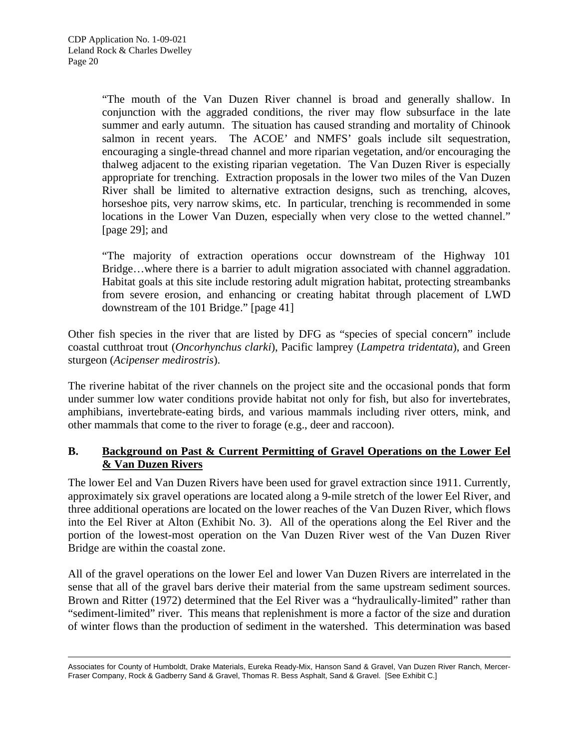"The mouth of the Van Duzen River channel is broad and generally shallow. In conjunction with the aggraded conditions, the river may flow subsurface in the late summer and early autumn. The situation has caused stranding and mortality of Chinook salmon in recent years. The ACOE' and NMFS' goals include silt sequestration, encouraging a single-thread channel and more riparian vegetation, and/or encouraging the thalweg adjacent to the existing riparian vegetation. The Van Duzen River is especially appropriate for trenching. Extraction proposals in the lower two miles of the Van Duzen River shall be limited to alternative extraction designs, such as trenching, alcoves, horseshoe pits, very narrow skims, etc. In particular, trenching is recommended in some locations in the Lower Van Duzen, especially when very close to the wetted channel." [page 29]; and

"The majority of extraction operations occur downstream of the Highway 101 Bridge…where there is a barrier to adult migration associated with channel aggradation. Habitat goals at this site include restoring adult migration habitat, protecting streambanks from severe erosion, and enhancing or creating habitat through placement of LWD downstream of the 101 Bridge." [page 41]

Other fish species in the river that are listed by DFG as "species of special concern" include coastal cutthroat trout (*Oncorhynchus clarki*), Pacific lamprey (*Lampetra tridentata*), and Green sturgeon (*Acipenser medirostris*).

The riverine habitat of the river channels on the project site and the occasional ponds that form under summer low water conditions provide habitat not only for fish, but also for invertebrates, amphibians, invertebrate-eating birds, and various mammals including river otters, mink, and other mammals that come to the river to forage (e.g., deer and raccoon).

## **B. Background on Past & Current Permitting of Gravel Operations on the Lower Eel & Van Duzen Rivers**

The lower Eel and Van Duzen Rivers have been used for gravel extraction since 1911. Currently, approximately six gravel operations are located along a 9-mile stretch of the lower Eel River, and three additional operations are located on the lower reaches of the Van Duzen River, which flows into the Eel River at Alton (Exhibit No. 3). All of the operations along the Eel River and the portion of the lowest-most operation on the Van Duzen River west of the Van Duzen River Bridge are within the coastal zone.

All of the gravel operations on the lower Eel and lower Van Duzen Rivers are interrelated in the sense that all of the gravel bars derive their material from the same upstream sediment sources. Brown and Ritter (1972) determined that the Eel River was a "hydraulically-limited" rather than "sediment-limited" river. This means that replenishment is more a factor of the size and duration of winter flows than the production of sediment in the watershed. This determination was based

<sup>-</sup>Associates for County of Humboldt, Drake Materials, Eureka Ready-Mix, Hanson Sand & Gravel, Van Duzen River Ranch, Mercer-Fraser Company, Rock & Gadberry Sand & Gravel, Thomas R. Bess Asphalt, Sand & Gravel. [See Exhibit C.]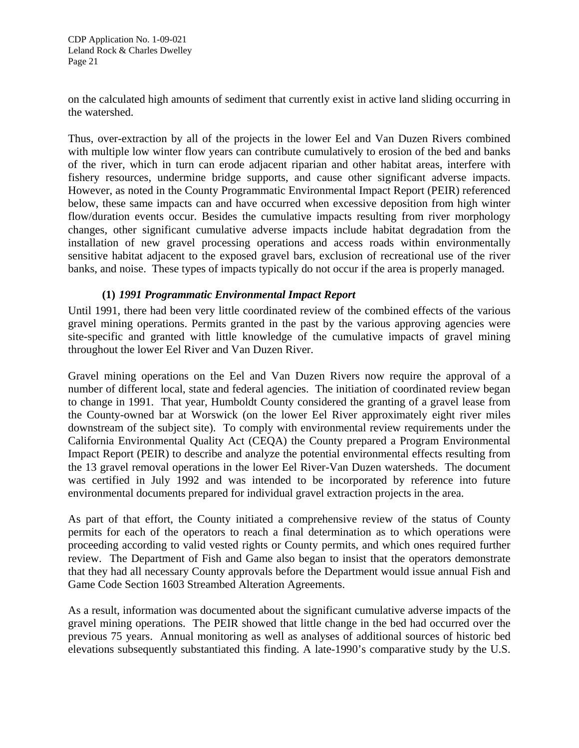on the calculated high amounts of sediment that currently exist in active land sliding occurring in the watershed.

Thus, over-extraction by all of the projects in the lower Eel and Van Duzen Rivers combined with multiple low winter flow years can contribute cumulatively to erosion of the bed and banks of the river, which in turn can erode adjacent riparian and other habitat areas, interfere with fishery resources, undermine bridge supports, and cause other significant adverse impacts. However, as noted in the County Programmatic Environmental Impact Report (PEIR) referenced below, these same impacts can and have occurred when excessive deposition from high winter flow/duration events occur. Besides the cumulative impacts resulting from river morphology changes, other significant cumulative adverse impacts include habitat degradation from the installation of new gravel processing operations and access roads within environmentally sensitive habitat adjacent to the exposed gravel bars, exclusion of recreational use of the river banks, and noise. These types of impacts typically do not occur if the area is properly managed.

#### **(1)** *1991 Programmatic Environmental Impact Report*

Until 1991, there had been very little coordinated review of the combined effects of the various gravel mining operations. Permits granted in the past by the various approving agencies were site-specific and granted with little knowledge of the cumulative impacts of gravel mining throughout the lower Eel River and Van Duzen River.

Gravel mining operations on the Eel and Van Duzen Rivers now require the approval of a number of different local, state and federal agencies. The initiation of coordinated review began to change in 1991. That year, Humboldt County considered the granting of a gravel lease from the County-owned bar at Worswick (on the lower Eel River approximately eight river miles downstream of the subject site). To comply with environmental review requirements under the California Environmental Quality Act (CEQA) the County prepared a Program Environmental Impact Report (PEIR) to describe and analyze the potential environmental effects resulting from the 13 gravel removal operations in the lower Eel River-Van Duzen watersheds. The document was certified in July 1992 and was intended to be incorporated by reference into future environmental documents prepared for individual gravel extraction projects in the area.

As part of that effort, the County initiated a comprehensive review of the status of County permits for each of the operators to reach a final determination as to which operations were proceeding according to valid vested rights or County permits, and which ones required further review. The Department of Fish and Game also began to insist that the operators demonstrate that they had all necessary County approvals before the Department would issue annual Fish and Game Code Section 1603 Streambed Alteration Agreements.

As a result, information was documented about the significant cumulative adverse impacts of the gravel mining operations. The PEIR showed that little change in the bed had occurred over the previous 75 years. Annual monitoring as well as analyses of additional sources of historic bed elevations subsequently substantiated this finding. A late-1990's comparative study by the U.S.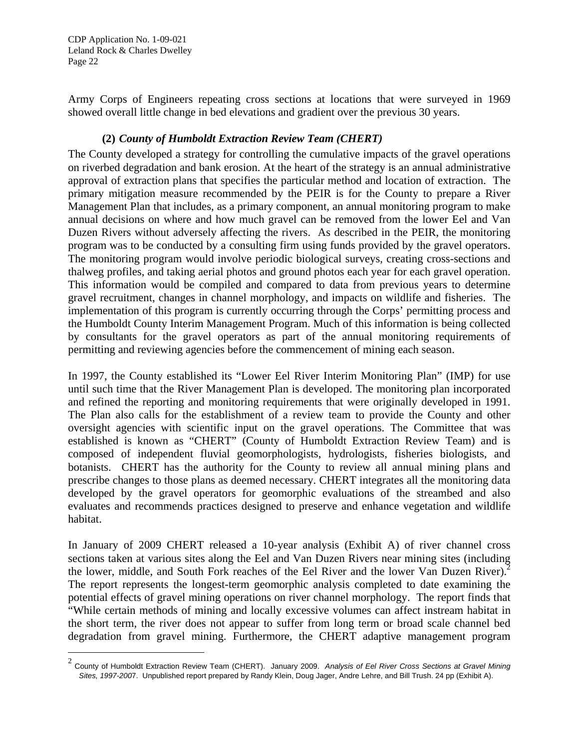CDP Application No. 1-09-021 Leland Rock & Charles Dwelley Page 22

-

Army Corps of Engineers repeating cross sections at locations that were surveyed in 1969 showed overall little change in bed elevations and gradient over the previous 30 years.

## **(2)** *County of Humboldt Extraction Review Team (CHERT)*

The County developed a strategy for controlling the cumulative impacts of the gravel operations on riverbed degradation and bank erosion. At the heart of the strategy is an annual administrative approval of extraction plans that specifies the particular method and location of extraction. The primary mitigation measure recommended by the PEIR is for the County to prepare a River Management Plan that includes, as a primary component, an annual monitoring program to make annual decisions on where and how much gravel can be removed from the lower Eel and Van Duzen Rivers without adversely affecting the rivers. As described in the PEIR, the monitoring program was to be conducted by a consulting firm using funds provided by the gravel operators. The monitoring program would involve periodic biological surveys, creating cross-sections and thalweg profiles, and taking aerial photos and ground photos each year for each gravel operation. This information would be compiled and compared to data from previous years to determine gravel recruitment, changes in channel morphology, and impacts on wildlife and fisheries. The implementation of this program is currently occurring through the Corps' permitting process and the Humboldt County Interim Management Program. Much of this information is being collected by consultants for the gravel operators as part of the annual monitoring requirements of permitting and reviewing agencies before the commencement of mining each season.

In 1997, the County established its "Lower Eel River Interim Monitoring Plan" (IMP) for use until such time that the River Management Plan is developed. The monitoring plan incorporated and refined the reporting and monitoring requirements that were originally developed in 1991. The Plan also calls for the establishment of a review team to provide the County and other oversight agencies with scientific input on the gravel operations. The Committee that was established is known as "CHERT" (County of Humboldt Extraction Review Team) and is composed of independent fluvial geomorphologists, hydrologists, fisheries biologists, and botanists. CHERT has the authority for the County to review all annual mining plans and prescribe changes to those plans as deemed necessary. CHERT integrates all the monitoring data developed by the gravel operators for geomorphic evaluations of the streambed and also evaluates and recommends practices designed to preserve and enhance vegetation and wildlife habitat.

In January of 2009 CHERT released a 10-year analysis (Exhibit A) of river channel cross sections taken at various sites along the Eel and Van Duzen Rivers near mining sites (including the lower, middle, and South Fork reaches of the Eel River and the lower Van Duzen River).<sup>2</sup> The report represents the longest-term geomorphic analysis completed to date examining the potential effects of gravel mining operations on river channel morphology. The report finds that "While certain methods of mining and locally excessive volumes can affect instream habitat in the short term, the river does not appear to suffer from long term or broad scale channel bed degradation from gravel mining. Furthermore, the CHERT adaptive management program

<span id="page-21-0"></span><sup>2</sup> County of Humboldt Extraction Review Team (CHERT). January 2009. *Analysis of Eel River Cross Sections at Gravel Mining Sites, 1997-200*7. Unpublished report prepared by Randy Klein, Doug Jager, Andre Lehre, and Bill Trush. 24 pp (Exhibit A).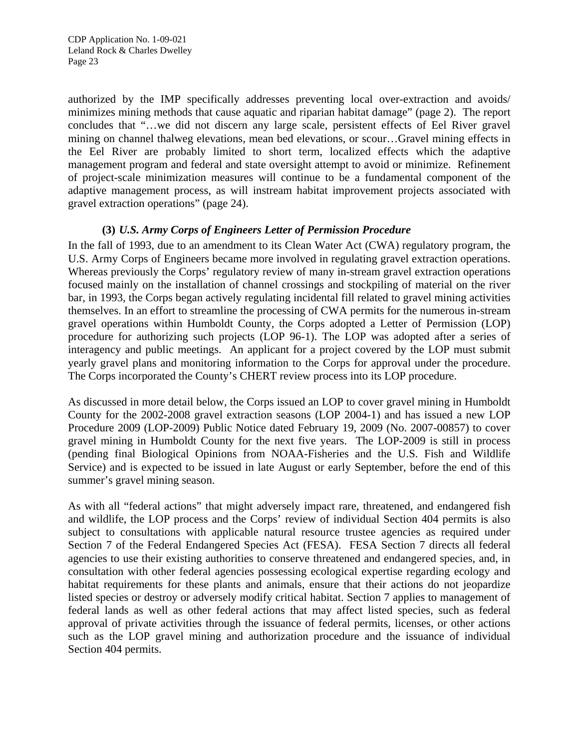authorized by the IMP specifically addresses preventing local over-extraction and avoids/ minimizes mining methods that cause aquatic and riparian habitat damage" (page 2). The report concludes that "…we did not discern any large scale, persistent effects of Eel River gravel mining on channel thalweg elevations, mean bed elevations, or scour…Gravel mining effects in the Eel River are probably limited to short term, localized effects which the adaptive management program and federal and state oversight attempt to avoid or minimize. Refinement of project-scale minimization measures will continue to be a fundamental component of the adaptive management process, as will instream habitat improvement projects associated with gravel extraction operations" (page 24).

## **(3)** *U.S. Army Corps of Engineers Letter of Permission Procedure*

In the fall of 1993, due to an amendment to its Clean Water Act (CWA) regulatory program, the U.S. Army Corps of Engineers became more involved in regulating gravel extraction operations. Whereas previously the Corps' regulatory review of many in-stream gravel extraction operations focused mainly on the installation of channel crossings and stockpiling of material on the river bar, in 1993, the Corps began actively regulating incidental fill related to gravel mining activities themselves. In an effort to streamline the processing of CWA permits for the numerous in-stream gravel operations within Humboldt County, the Corps adopted a Letter of Permission (LOP) procedure for authorizing such projects (LOP 96-1). The LOP was adopted after a series of interagency and public meetings. An applicant for a project covered by the LOP must submit yearly gravel plans and monitoring information to the Corps for approval under the procedure. The Corps incorporated the County's CHERT review process into its LOP procedure.

As discussed in more detail below, the Corps issued an LOP to cover gravel mining in Humboldt County for the 2002-2008 gravel extraction seasons (LOP 2004-1) and has issued a new LOP Procedure 2009 (LOP-2009) Public Notice dated February 19, 2009 (No. 2007-00857) to cover gravel mining in Humboldt County for the next five years. The LOP-2009 is still in process (pending final Biological Opinions from NOAA-Fisheries and the U.S. Fish and Wildlife Service) and is expected to be issued in late August or early September, before the end of this summer's gravel mining season.

As with all "federal actions" that might adversely impact rare, threatened, and endangered fish and wildlife, the LOP process and the Corps' review of individual Section 404 permits is also subject to consultations with applicable natural resource trustee agencies as required under Section 7 of the Federal Endangered Species Act (FESA). FESA Section 7 directs all federal agencies to use their existing authorities to conserve threatened and endangered species, and, in consultation with other federal agencies possessing ecological expertise regarding ecology and habitat requirements for these plants and animals, ensure that their actions do not jeopardize listed species or destroy or adversely modify critical habitat. Section 7 applies to management of federal lands as well as other federal actions that may affect listed species, such as federal approval of private activities through the issuance of federal permits, licenses, or other actions such as the LOP gravel mining and authorization procedure and the issuance of individual Section 404 permits.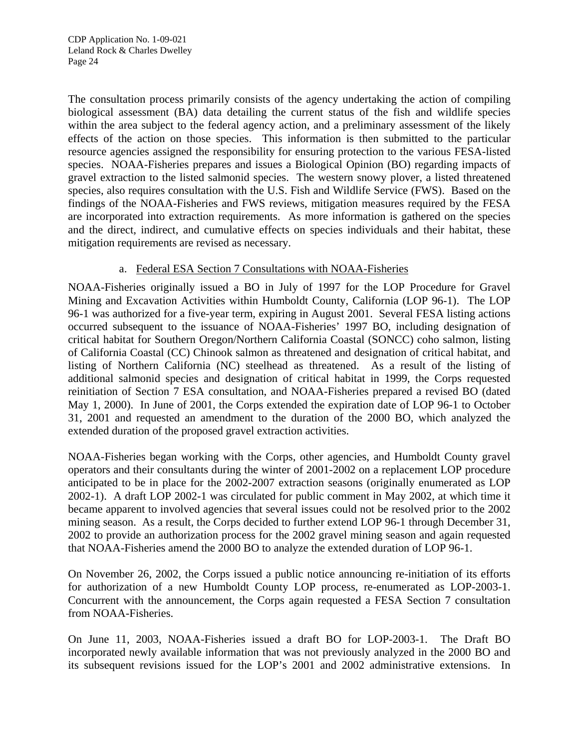The consultation process primarily consists of the agency undertaking the action of compiling biological assessment (BA) data detailing the current status of the fish and wildlife species within the area subject to the federal agency action, and a preliminary assessment of the likely effects of the action on those species. This information is then submitted to the particular resource agencies assigned the responsibility for ensuring protection to the various FESA-listed species. NOAA-Fisheries prepares and issues a Biological Opinion (BO) regarding impacts of gravel extraction to the listed salmonid species. The western snowy plover, a listed threatened species, also requires consultation with the U.S. Fish and Wildlife Service (FWS). Based on the findings of the NOAA-Fisheries and FWS reviews, mitigation measures required by the FESA are incorporated into extraction requirements. As more information is gathered on the species and the direct, indirect, and cumulative effects on species individuals and their habitat, these mitigation requirements are revised as necessary.

#### a. Federal ESA Section 7 Consultations with NOAA-Fisheries

NOAA-Fisheries originally issued a BO in July of 1997 for the LOP Procedure for Gravel Mining and Excavation Activities within Humboldt County, California (LOP 96-1). The LOP 96-1 was authorized for a five-year term, expiring in August 2001. Several FESA listing actions occurred subsequent to the issuance of NOAA-Fisheries' 1997 BO, including designation of critical habitat for Southern Oregon/Northern California Coastal (SONCC) coho salmon, listing of California Coastal (CC) Chinook salmon as threatened and designation of critical habitat, and listing of Northern California (NC) steelhead as threatened. As a result of the listing of additional salmonid species and designation of critical habitat in 1999, the Corps requested reinitiation of Section 7 ESA consultation, and NOAA-Fisheries prepared a revised BO (dated May 1, 2000). In June of 2001, the Corps extended the expiration date of LOP 96-1 to October 31, 2001 and requested an amendment to the duration of the 2000 BO, which analyzed the extended duration of the proposed gravel extraction activities.

NOAA-Fisheries began working with the Corps, other agencies, and Humboldt County gravel operators and their consultants during the winter of 2001-2002 on a replacement LOP procedure anticipated to be in place for the 2002-2007 extraction seasons (originally enumerated as LOP 2002-1). A draft LOP 2002-1 was circulated for public comment in May 2002, at which time it became apparent to involved agencies that several issues could not be resolved prior to the 2002 mining season. As a result, the Corps decided to further extend LOP 96-1 through December 31, 2002 to provide an authorization process for the 2002 gravel mining season and again requested that NOAA-Fisheries amend the 2000 BO to analyze the extended duration of LOP 96-1.

On November 26, 2002, the Corps issued a public notice announcing re-initiation of its efforts for authorization of a new Humboldt County LOP process, re-enumerated as LOP-2003-1. Concurrent with the announcement, the Corps again requested a FESA Section 7 consultation from NOAA-Fisheries.

On June 11, 2003, NOAA-Fisheries issued a draft BO for LOP-2003-1. The Draft BO incorporated newly available information that was not previously analyzed in the 2000 BO and its subsequent revisions issued for the LOP's 2001 and 2002 administrative extensions. In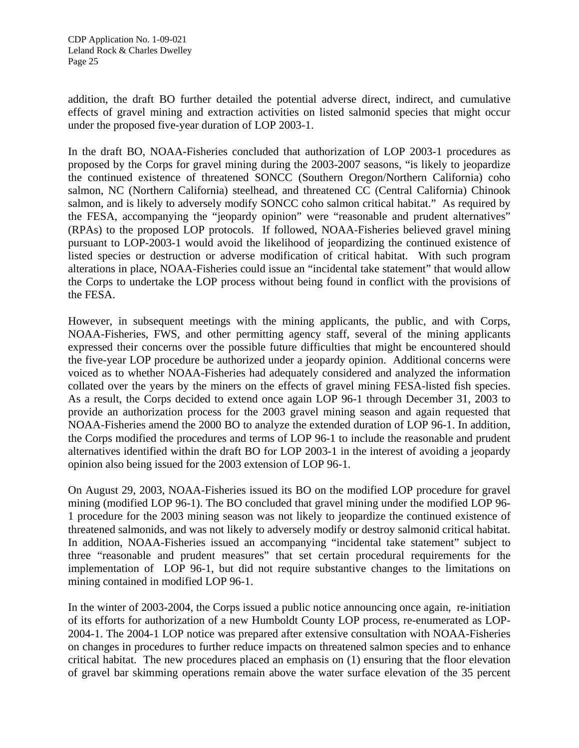addition, the draft BO further detailed the potential adverse direct, indirect, and cumulative effects of gravel mining and extraction activities on listed salmonid species that might occur under the proposed five-year duration of LOP 2003-1.

In the draft BO, NOAA-Fisheries concluded that authorization of LOP 2003-1 procedures as proposed by the Corps for gravel mining during the 2003-2007 seasons, "is likely to jeopardize the continued existence of threatened SONCC (Southern Oregon/Northern California) coho salmon, NC (Northern California) steelhead, and threatened CC (Central California) Chinook salmon, and is likely to adversely modify SONCC coho salmon critical habitat." As required by the FESA, accompanying the "jeopardy opinion" were "reasonable and prudent alternatives" (RPAs) to the proposed LOP protocols. If followed, NOAA-Fisheries believed gravel mining pursuant to LOP-2003-1 would avoid the likelihood of jeopardizing the continued existence of listed species or destruction or adverse modification of critical habitat. With such program alterations in place, NOAA-Fisheries could issue an "incidental take statement" that would allow the Corps to undertake the LOP process without being found in conflict with the provisions of the FESA.

However, in subsequent meetings with the mining applicants, the public, and with Corps, NOAA-Fisheries, FWS, and other permitting agency staff, several of the mining applicants expressed their concerns over the possible future difficulties that might be encountered should the five-year LOP procedure be authorized under a jeopardy opinion. Additional concerns were voiced as to whether NOAA-Fisheries had adequately considered and analyzed the information collated over the years by the miners on the effects of gravel mining FESA-listed fish species. As a result, the Corps decided to extend once again LOP 96-1 through December 31, 2003 to provide an authorization process for the 2003 gravel mining season and again requested that NOAA-Fisheries amend the 2000 BO to analyze the extended duration of LOP 96-1. In addition, the Corps modified the procedures and terms of LOP 96-1 to include the reasonable and prudent alternatives identified within the draft BO for LOP 2003-1 in the interest of avoiding a jeopardy opinion also being issued for the 2003 extension of LOP 96-1.

On August 29, 2003, NOAA-Fisheries issued its BO on the modified LOP procedure for gravel mining (modified LOP 96-1). The BO concluded that gravel mining under the modified LOP 96- 1 procedure for the 2003 mining season was not likely to jeopardize the continued existence of threatened salmonids, and was not likely to adversely modify or destroy salmonid critical habitat. In addition, NOAA-Fisheries issued an accompanying "incidental take statement" subject to three "reasonable and prudent measures" that set certain procedural requirements for the implementation of LOP 96-1, but did not require substantive changes to the limitations on mining contained in modified LOP 96-1.

In the winter of 2003-2004, the Corps issued a public notice announcing once again, re-initiation of its efforts for authorization of a new Humboldt County LOP process, re-enumerated as LOP-2004-1. The 2004-1 LOP notice was prepared after extensive consultation with NOAA-Fisheries on changes in procedures to further reduce impacts on threatened salmon species and to enhance critical habitat. The new procedures placed an emphasis on (1) ensuring that the floor elevation of gravel bar skimming operations remain above the water surface elevation of the 35 percent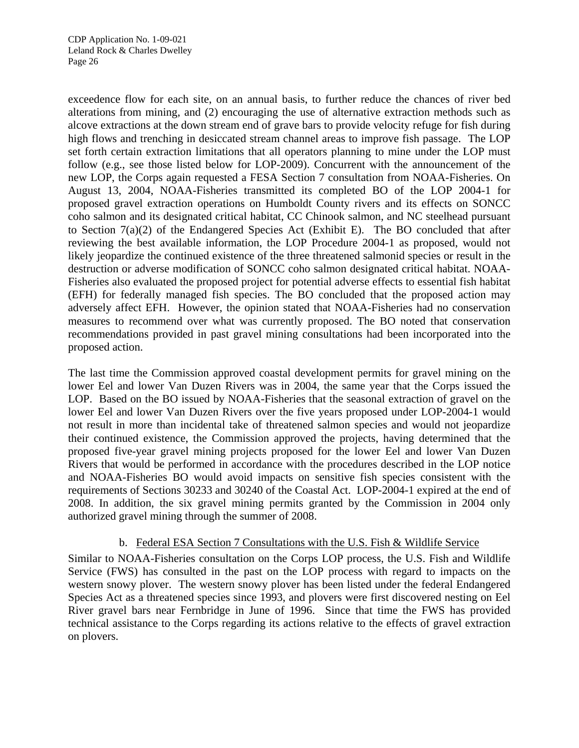exceedence flow for each site, on an annual basis, to further reduce the chances of river bed alterations from mining, and (2) encouraging the use of alternative extraction methods such as alcove extractions at the down stream end of grave bars to provide velocity refuge for fish during high flows and trenching in desiccated stream channel areas to improve fish passage. The LOP set forth certain extraction limitations that all operators planning to mine under the LOP must follow (e.g., see those listed below for LOP-2009). Concurrent with the announcement of the new LOP, the Corps again requested a FESA Section 7 consultation from NOAA-Fisheries. On August 13, 2004, NOAA-Fisheries transmitted its completed BO of the LOP 2004-1 for proposed gravel extraction operations on Humboldt County rivers and its effects on SONCC coho salmon and its designated critical habitat, CC Chinook salmon, and NC steelhead pursuant to Section 7(a)(2) of the Endangered Species Act (Exhibit E). The BO concluded that after reviewing the best available information, the LOP Procedure 2004-1 as proposed, would not likely jeopardize the continued existence of the three threatened salmonid species or result in the destruction or adverse modification of SONCC coho salmon designated critical habitat. NOAA-Fisheries also evaluated the proposed project for potential adverse effects to essential fish habitat (EFH) for federally managed fish species. The BO concluded that the proposed action may adversely affect EFH. However, the opinion stated that NOAA-Fisheries had no conservation measures to recommend over what was currently proposed. The BO noted that conservation recommendations provided in past gravel mining consultations had been incorporated into the proposed action.

The last time the Commission approved coastal development permits for gravel mining on the lower Eel and lower Van Duzen Rivers was in 2004, the same year that the Corps issued the LOP. Based on the BO issued by NOAA-Fisheries that the seasonal extraction of gravel on the lower Eel and lower Van Duzen Rivers over the five years proposed under LOP-2004-1 would not result in more than incidental take of threatened salmon species and would not jeopardize their continued existence, the Commission approved the projects, having determined that the proposed five-year gravel mining projects proposed for the lower Eel and lower Van Duzen Rivers that would be performed in accordance with the procedures described in the LOP notice and NOAA-Fisheries BO would avoid impacts on sensitive fish species consistent with the requirements of Sections 30233 and 30240 of the Coastal Act. LOP-2004-1 expired at the end of 2008. In addition, the six gravel mining permits granted by the Commission in 2004 only authorized gravel mining through the summer of 2008.

#### b. Federal ESA Section 7 Consultations with the U.S. Fish & Wildlife Service

Similar to NOAA-Fisheries consultation on the Corps LOP process, the U.S. Fish and Wildlife Service (FWS) has consulted in the past on the LOP process with regard to impacts on the western snowy plover. The western snowy plover has been listed under the federal Endangered Species Act as a threatened species since 1993, and plovers were first discovered nesting on Eel River gravel bars near Fernbridge in June of 1996. Since that time the FWS has provided technical assistance to the Corps regarding its actions relative to the effects of gravel extraction on plovers.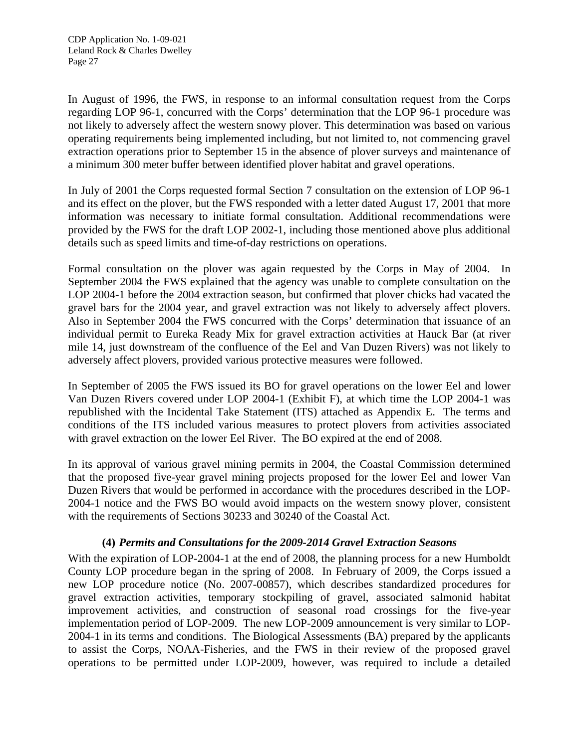In August of 1996, the FWS, in response to an informal consultation request from the Corps regarding LOP 96-1, concurred with the Corps' determination that the LOP 96-1 procedure was not likely to adversely affect the western snowy plover. This determination was based on various operating requirements being implemented including, but not limited to, not commencing gravel extraction operations prior to September 15 in the absence of plover surveys and maintenance of a minimum 300 meter buffer between identified plover habitat and gravel operations.

In July of 2001 the Corps requested formal Section 7 consultation on the extension of LOP 96-1 and its effect on the plover, but the FWS responded with a letter dated August 17, 2001 that more information was necessary to initiate formal consultation. Additional recommendations were provided by the FWS for the draft LOP 2002-1, including those mentioned above plus additional details such as speed limits and time-of-day restrictions on operations.

Formal consultation on the plover was again requested by the Corps in May of 2004. In September 2004 the FWS explained that the agency was unable to complete consultation on the LOP 2004-1 before the 2004 extraction season, but confirmed that plover chicks had vacated the gravel bars for the 2004 year, and gravel extraction was not likely to adversely affect plovers. Also in September 2004 the FWS concurred with the Corps' determination that issuance of an individual permit to Eureka Ready Mix for gravel extraction activities at Hauck Bar (at river mile 14, just downstream of the confluence of the Eel and Van Duzen Rivers) was not likely to adversely affect plovers, provided various protective measures were followed.

In September of 2005 the FWS issued its BO for gravel operations on the lower Eel and lower Van Duzen Rivers covered under LOP 2004-1 (Exhibit F), at which time the LOP 2004-1 was republished with the Incidental Take Statement (ITS) attached as Appendix E. The terms and conditions of the ITS included various measures to protect plovers from activities associated with gravel extraction on the lower Eel River. The BO expired at the end of 2008.

In its approval of various gravel mining permits in 2004, the Coastal Commission determined that the proposed five-year gravel mining projects proposed for the lower Eel and lower Van Duzen Rivers that would be performed in accordance with the procedures described in the LOP-2004-1 notice and the FWS BO would avoid impacts on the western snowy plover, consistent with the requirements of Sections 30233 and 30240 of the Coastal Act.

## **(4)** *Permits and Consultations for the 2009-2014 Gravel Extraction Seasons*

With the expiration of LOP-2004-1 at the end of 2008, the planning process for a new Humboldt County LOP procedure began in the spring of 2008. In February of 2009, the Corps issued a new LOP procedure notice (No. 2007-00857), which describes standardized procedures for gravel extraction activities, temporary stockpiling of gravel, associated salmonid habitat improvement activities, and construction of seasonal road crossings for the five-year implementation period of LOP-2009. The new LOP-2009 announcement is very similar to LOP-2004-1 in its terms and conditions. The Biological Assessments (BA) prepared by the applicants to assist the Corps, NOAA-Fisheries, and the FWS in their review of the proposed gravel operations to be permitted under LOP-2009, however, was required to include a detailed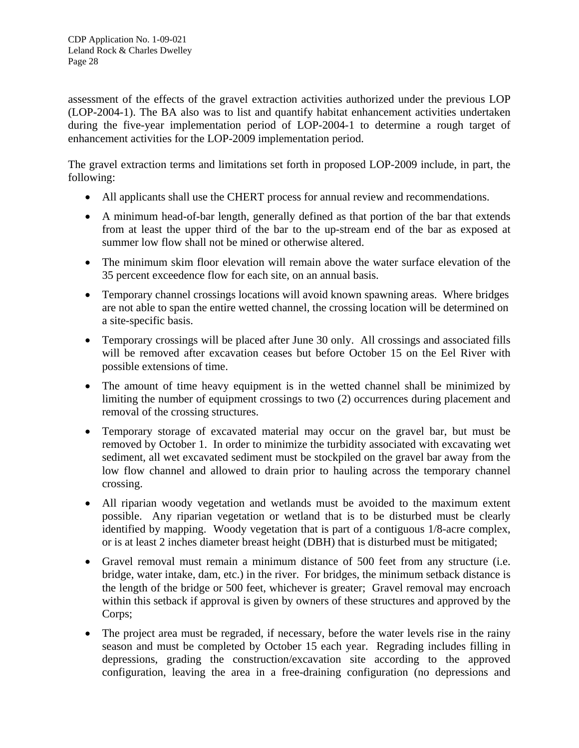assessment of the effects of the gravel extraction activities authorized under the previous LOP (LOP-2004-1). The BA also was to list and quantify habitat enhancement activities undertaken during the five-year implementation period of LOP-2004-1 to determine a rough target of enhancement activities for the LOP-2009 implementation period.

The gravel extraction terms and limitations set forth in proposed LOP-2009 include, in part, the following:

- All applicants shall use the CHERT process for annual review and recommendations.
- A minimum head-of-bar length, generally defined as that portion of the bar that extends from at least the upper third of the bar to the up-stream end of the bar as exposed at summer low flow shall not be mined or otherwise altered.
- The minimum skim floor elevation will remain above the water surface elevation of the 35 percent exceedence flow for each site, on an annual basis.
- Temporary channel crossings locations will avoid known spawning areas. Where bridges are not able to span the entire wetted channel, the crossing location will be determined on a site-specific basis.
- Temporary crossings will be placed after June 30 only. All crossings and associated fills will be removed after excavation ceases but before October 15 on the Eel River with possible extensions of time.
- The amount of time heavy equipment is in the wetted channel shall be minimized by limiting the number of equipment crossings to two (2) occurrences during placement and removal of the crossing structures.
- Temporary storage of excavated material may occur on the gravel bar, but must be removed by October 1. In order to minimize the turbidity associated with excavating wet sediment, all wet excavated sediment must be stockpiled on the gravel bar away from the low flow channel and allowed to drain prior to hauling across the temporary channel crossing.
- All riparian woody vegetation and wetlands must be avoided to the maximum extent possible. Any riparian vegetation or wetland that is to be disturbed must be clearly identified by mapping. Woody vegetation that is part of a contiguous 1/8-acre complex, or is at least 2 inches diameter breast height (DBH) that is disturbed must be mitigated;
- Gravel removal must remain a minimum distance of 500 feet from any structure (i.e. bridge, water intake, dam, etc.) in the river. For bridges, the minimum setback distance is the length of the bridge or 500 feet, whichever is greater; Gravel removal may encroach within this setback if approval is given by owners of these structures and approved by the Corps;
- The project area must be regraded, if necessary, before the water levels rise in the rainy season and must be completed by October 15 each year. Regrading includes filling in depressions, grading the construction/excavation site according to the approved configuration, leaving the area in a free-draining configuration (no depressions and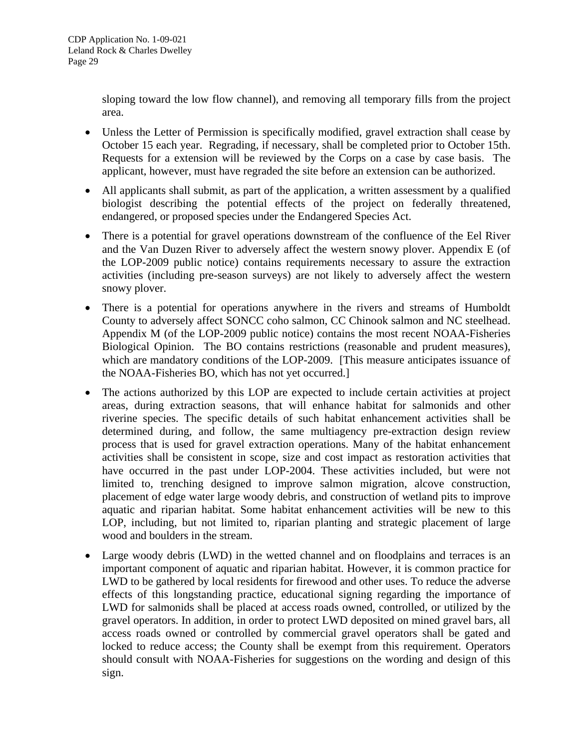sloping toward the low flow channel), and removing all temporary fills from the project area.

- Unless the Letter of Permission is specifically modified, gravel extraction shall cease by October 15 each year. Regrading, if necessary, shall be completed prior to October 15th. Requests for a extension will be reviewed by the Corps on a case by case basis. The applicant, however, must have regraded the site before an extension can be authorized.
- All applicants shall submit, as part of the application, a written assessment by a qualified biologist describing the potential effects of the project on federally threatened, endangered, or proposed species under the Endangered Species Act.
- There is a potential for gravel operations downstream of the confluence of the Eel River and the Van Duzen River to adversely affect the western snowy plover. Appendix E (of the LOP-2009 public notice) contains requirements necessary to assure the extraction activities (including pre-season surveys) are not likely to adversely affect the western snowy plover.
- There is a potential for operations anywhere in the rivers and streams of Humboldt County to adversely affect SONCC coho salmon, CC Chinook salmon and NC steelhead. Appendix M (of the LOP-2009 public notice) contains the most recent NOAA-Fisheries Biological Opinion. The BO contains restrictions (reasonable and prudent measures), which are mandatory conditions of the LOP-2009. [This measure anticipates issuance of the NOAA-Fisheries BO, which has not yet occurred.]
- The actions authorized by this LOP are expected to include certain activities at project areas, during extraction seasons, that will enhance habitat for salmonids and other riverine species. The specific details of such habitat enhancement activities shall be determined during, and follow, the same multiagency pre-extraction design review process that is used for gravel extraction operations. Many of the habitat enhancement activities shall be consistent in scope, size and cost impact as restoration activities that have occurred in the past under LOP-2004. These activities included, but were not limited to, trenching designed to improve salmon migration, alcove construction, placement of edge water large woody debris, and construction of wetland pits to improve aquatic and riparian habitat. Some habitat enhancement activities will be new to this LOP, including, but not limited to, riparian planting and strategic placement of large wood and boulders in the stream.
- Large woody debris (LWD) in the wetted channel and on floodplains and terraces is an important component of aquatic and riparian habitat. However, it is common practice for LWD to be gathered by local residents for firewood and other uses. To reduce the adverse effects of this longstanding practice, educational signing regarding the importance of LWD for salmonids shall be placed at access roads owned, controlled, or utilized by the gravel operators. In addition, in order to protect LWD deposited on mined gravel bars, all access roads owned or controlled by commercial gravel operators shall be gated and locked to reduce access; the County shall be exempt from this requirement. Operators should consult with NOAA-Fisheries for suggestions on the wording and design of this sign.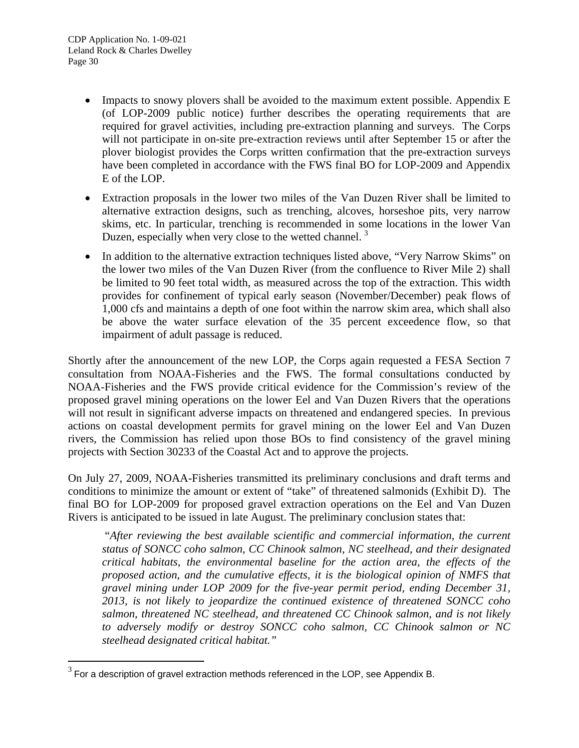l

- Impacts to snowy plovers shall be avoided to the maximum extent possible. Appendix E (of LOP-2009 public notice) further describes the operating requirements that are required for gravel activities, including pre-extraction planning and surveys. The Corps will not participate in on-site pre-extraction reviews until after September 15 or after the plover biologist provides the Corps written confirmation that the pre-extraction surveys have been completed in accordance with the FWS final BO for LOP-2009 and Appendix E of the LOP.
- Extraction proposals in the lower two miles of the Van Duzen River shall be limited to alternative extraction designs, such as trenching, alcoves, horseshoe pits, very narrow skims, etc. In particular, trenching is recommended in some locations in the lower Van Duzen, especially when very close to the wetted channel.<sup>[3](#page-29-0)</sup>
- In addition to the alternative extraction techniques listed above, "Very Narrow Skims" on the lower two miles of the Van Duzen River (from the confluence to River Mile 2) shall be limited to 90 feet total width, as measured across the top of the extraction. This width provides for confinement of typical early season (November/December) peak flows of 1,000 cfs and maintains a depth of one foot within the narrow skim area, which shall also be above the water surface elevation of the 35 percent exceedence flow, so that impairment of adult passage is reduced.

Shortly after the announcement of the new LOP, the Corps again requested a FESA Section 7 consultation from NOAA-Fisheries and the FWS. The formal consultations conducted by NOAA-Fisheries and the FWS provide critical evidence for the Commission's review of the proposed gravel mining operations on the lower Eel and Van Duzen Rivers that the operations will not result in significant adverse impacts on threatened and endangered species. In previous actions on coastal development permits for gravel mining on the lower Eel and Van Duzen rivers, the Commission has relied upon those BOs to find consistency of the gravel mining projects with Section 30233 of the Coastal Act and to approve the projects.

On July 27, 2009, NOAA-Fisheries transmitted its preliminary conclusions and draft terms and conditions to minimize the amount or extent of "take" of threatened salmonids (Exhibit D). The final BO for LOP-2009 for proposed gravel extraction operations on the Eel and Van Duzen Rivers is anticipated to be issued in late August. The preliminary conclusion states that:

 "*After reviewing the best available scientific and commercial information, the current status of SONCC coho salmon, CC Chinook salmon, NC steelhead, and their designated critical habitats, the environmental baseline for the action area, the effects of the proposed action, and the cumulative effects, it is the biological opinion of NMFS that gravel mining under LOP 2009 for the five-year permit period, ending December 31, 2013, is not likely to jeopardize the continued existence of threatened SONCC coho salmon, threatened NC steelhead, and threatened CC Chinook salmon, and is not likely to adversely modify or destroy SONCC coho salmon, CC Chinook salmon or NC steelhead designated critical habitat."* 

<span id="page-29-0"></span> $3$  For a description of gravel extraction methods referenced in the LOP, see Appendix B.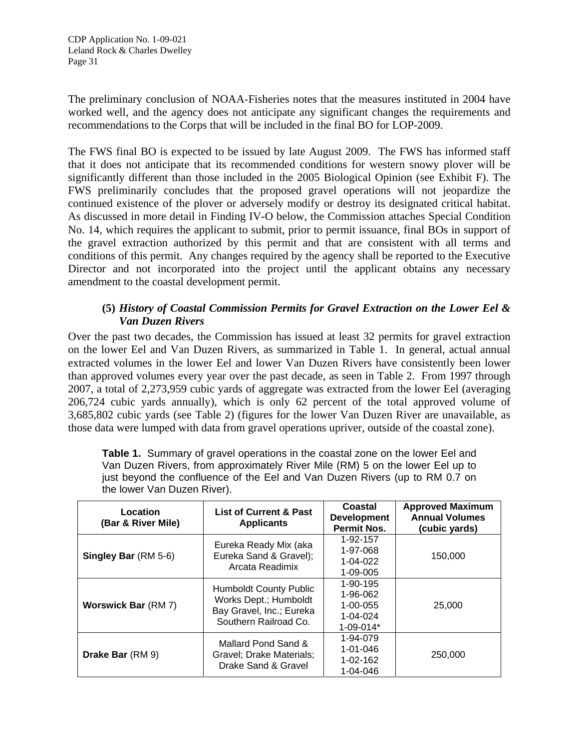The preliminary conclusion of NOAA-Fisheries notes that the measures instituted in 2004 have worked well, and the agency does not anticipate any significant changes the requirements and recommendations to the Corps that will be included in the final BO for LOP-2009.

The FWS final BO is expected to be issued by late August 2009. The FWS has informed staff that it does not anticipate that its recommended conditions for western snowy plover will be significantly different than those included in the 2005 Biological Opinion (see Exhibit F). The FWS preliminarily concludes that the proposed gravel operations will not jeopardize the continued existence of the plover or adversely modify or destroy its designated critical habitat. As discussed in more detail in Finding IV-O below, the Commission attaches Special Condition No. 14, which requires the applicant to submit, prior to permit issuance, final BOs in support of the gravel extraction authorized by this permit and that are consistent with all terms and conditions of this permit. Any changes required by the agency shall be reported to the Executive Director and not incorporated into the project until the applicant obtains any necessary amendment to the coastal development permit.

## **(5)** *History of Coastal Commission Permits for Gravel Extraction on the Lower Eel & Van Duzen Rivers*

Over the past two decades, the Commission has issued at least 32 permits for gravel extraction on the lower Eel and Van Duzen Rivers, as summarized in Table 1. In general, actual annual extracted volumes in the lower Eel and lower Van Duzen Rivers have consistently been lower than approved volumes every year over the past decade, as seen in Table 2. From 1997 through 2007, a total of 2,273,959 cubic yards of aggregate was extracted from the lower Eel (averaging 206,724 cubic yards annually), which is only 62 percent of the total approved volume of 3,685,802 cubic yards (see Table 2) (figures for the lower Van Duzen River are unavailable, as those data were lumped with data from gravel operations upriver, outside of the coastal zone).

| the lower van Duzen River).    |                                                                                                             |                                                                       |                                                                   |  |  |
|--------------------------------|-------------------------------------------------------------------------------------------------------------|-----------------------------------------------------------------------|-------------------------------------------------------------------|--|--|
| Location<br>(Bar & River Mile) | <b>List of Current &amp; Past</b><br><b>Applicants</b>                                                      | Coastal<br><b>Development</b><br><b>Permit Nos.</b>                   | <b>Approved Maximum</b><br><b>Annual Volumes</b><br>(cubic yards) |  |  |
| Singley Bar (RM 5-6)           | Eureka Ready Mix (aka<br>Eureka Sand & Gravel);<br>Arcata Readimix                                          | 1-92-157<br>1-97-068<br>$1 - 04 - 022$<br>1-09-005                    | 150,000                                                           |  |  |
| <b>Worswick Bar (RM 7)</b>     | <b>Humboldt County Public</b><br>Works Dept.; Humboldt<br>Bay Gravel, Inc.; Eureka<br>Southern Railroad Co. | 1-90-195<br>1-96-062<br>$1 - 00 - 055$<br>$1 - 04 - 024$<br>1-09-014* | 25,000                                                            |  |  |
| Drake Bar (RM 9)               | Mallard Pond Sand &<br>Gravel; Drake Materials;<br>Drake Sand & Gravel                                      | 1-94-079<br>$1 - 01 - 046$<br>$1 - 02 - 162$<br>1-04-046              | 250,000                                                           |  |  |

**Table 1.** Summary of gravel operations in the coastal zone on the lower Eel and Van Duzen Rivers, from approximately River Mile (RM) 5 on the lower Eel up to just beyond the confluence of the Eel and Van Duzen Rivers (up to RM 0.7 on the lower Van Duzen River).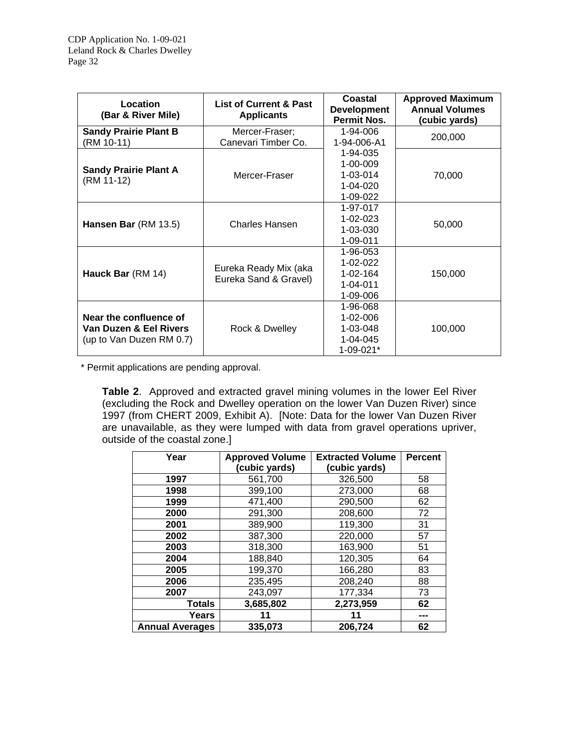| Location<br>(Bar & River Mile)                                               | <b>List of Current &amp; Past</b><br><b>Applicants</b> | Coastal<br><b>Development</b><br><b>Permit Nos.</b>                  | <b>Approved Maximum</b><br><b>Annual Volumes</b><br>(cubic yards) |
|------------------------------------------------------------------------------|--------------------------------------------------------|----------------------------------------------------------------------|-------------------------------------------------------------------|
| <b>Sandy Prairie Plant B</b><br>(RM 10-11)                                   | Mercer-Fraser;<br>Canevari Timber Co.                  | 1-94-006<br>1-94-006-A1                                              | 200,000                                                           |
| <b>Sandy Prairie Plant A</b><br>(RM 11-12)                                   | Mercer-Fraser                                          | 1-94-035<br>$1 - 00 - 009$<br>$1 - 03 - 014$<br>1-04-020<br>1-09-022 | 70,000                                                            |
| Hansen Bar (RM 13.5)                                                         | Charles Hansen                                         | 1-97-017<br>$1 - 02 - 023$<br>1-03-030<br>1-09-011                   | 50,000                                                            |
| Hauck Bar (RM 14)                                                            | Eureka Ready Mix (aka<br>Eureka Sand & Gravel)         | 1-96-053<br>$1 - 02 - 022$<br>$1 - 02 - 164$<br>1-04-011<br>1-09-006 | 150,000                                                           |
| Near the confluence of<br>Van Duzen & Eel Rivers<br>(up to Van Duzen RM 0.7) | Rock & Dwelley                                         | 1-96-068<br>$1 - 02 - 006$<br>1-03-048<br>1-04-045<br>1-09-021*      | 100,000                                                           |

\* Permit applications are pending approval.

**Table 2**. Approved and extracted gravel mining volumes in the lower Eel River (excluding the Rock and Dwelley operation on the lower Van Duzen River) since 1997 (from CHERT 2009, Exhibit A). [Note: Data for the lower Van Duzen River are unavailable, as they were lumped with data from gravel operations upriver, outside of the coastal zone.]

| Year                   | <b>Approved Volume</b><br>(cubic yards) | <b>Extracted Volume</b><br>(cubic yards) | <b>Percent</b> |
|------------------------|-----------------------------------------|------------------------------------------|----------------|
| 1997                   | 561,700                                 | 326,500                                  | 58             |
| 1998                   | 399,100                                 | 273,000                                  | 68             |
| 1999                   | 471,400                                 | 290,500                                  | 62             |
| 2000                   | 291,300                                 | 208,600                                  | 72             |
| 2001                   | 389,900                                 | 119,300                                  | 31             |
| 2002                   | 387,300                                 | 220,000                                  | 57             |
| 2003                   | 318,300                                 | 163,900                                  | 51             |
| 2004                   | 188,840                                 | 120,305                                  | 64             |
| 2005                   | 199,370                                 | 166,280                                  | 83             |
| 2006                   | 235,495                                 | 208,240                                  | 88             |
| 2007                   | 243,097                                 | 177,334                                  | 73             |
| <b>Totals</b>          | 3,685,802                               | 2,273,959                                | 62             |
| Years                  | 11                                      |                                          | ---            |
| <b>Annual Averages</b> | 335.073                                 | 206.724                                  | 62             |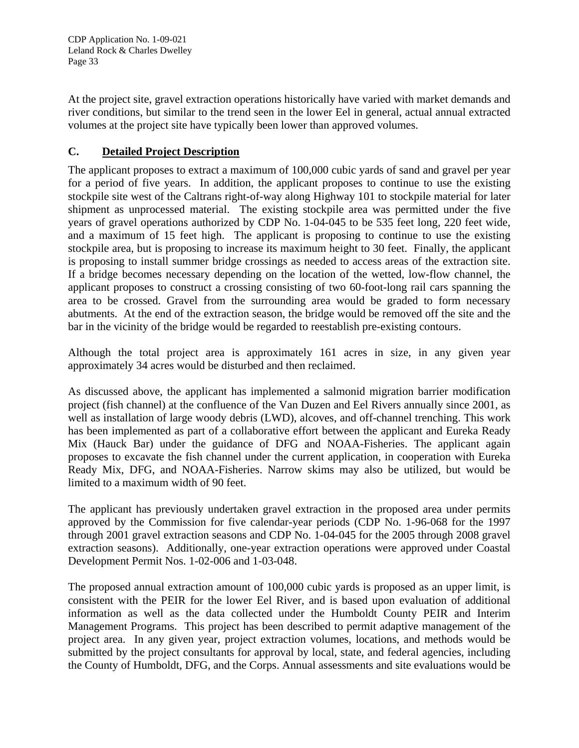CDP Application No. 1-09-021 Leland Rock & Charles Dwelley Page 33

At the project site, gravel extraction operations historically have varied with market demands and river conditions, but similar to the trend seen in the lower Eel in general, actual annual extracted volumes at the project site have typically been lower than approved volumes.

## **C. Detailed Project Description**

The applicant proposes to extract a maximum of 100,000 cubic yards of sand and gravel per year for a period of five years. In addition, the applicant proposes to continue to use the existing stockpile site west of the Caltrans right-of-way along Highway 101 to stockpile material for later shipment as unprocessed material. The existing stockpile area was permitted under the five years of gravel operations authorized by CDP No. 1-04-045 to be 535 feet long, 220 feet wide, and a maximum of 15 feet high. The applicant is proposing to continue to use the existing stockpile area, but is proposing to increase its maximum height to 30 feet. Finally, the applicant is proposing to install summer bridge crossings as needed to access areas of the extraction site. If a bridge becomes necessary depending on the location of the wetted, low-flow channel, the applicant proposes to construct a crossing consisting of two 60-foot-long rail cars spanning the area to be crossed. Gravel from the surrounding area would be graded to form necessary abutments. At the end of the extraction season, the bridge would be removed off the site and the bar in the vicinity of the bridge would be regarded to reestablish pre-existing contours.

Although the total project area is approximately 161 acres in size, in any given year approximately 34 acres would be disturbed and then reclaimed.

As discussed above, the applicant has implemented a salmonid migration barrier modification project (fish channel) at the confluence of the Van Duzen and Eel Rivers annually since 2001, as well as installation of large woody debris (LWD), alcoves, and off-channel trenching. This work has been implemented as part of a collaborative effort between the applicant and Eureka Ready Mix (Hauck Bar) under the guidance of DFG and NOAA-Fisheries. The applicant again proposes to excavate the fish channel under the current application, in cooperation with Eureka Ready Mix, DFG, and NOAA-Fisheries. Narrow skims may also be utilized, but would be limited to a maximum width of 90 feet.

The applicant has previously undertaken gravel extraction in the proposed area under permits approved by the Commission for five calendar-year periods (CDP No. 1-96-068 for the 1997 through 2001 gravel extraction seasons and CDP No. 1-04-045 for the 2005 through 2008 gravel extraction seasons). Additionally, one-year extraction operations were approved under Coastal Development Permit Nos. 1-02-006 and 1-03-048.

The proposed annual extraction amount of 100,000 cubic yards is proposed as an upper limit, is consistent with the PEIR for the lower Eel River, and is based upon evaluation of additional information as well as the data collected under the Humboldt County PEIR and Interim Management Programs. This project has been described to permit adaptive management of the project area. In any given year, project extraction volumes, locations, and methods would be submitted by the project consultants for approval by local, state, and federal agencies, including the County of Humboldt, DFG, and the Corps. Annual assessments and site evaluations would be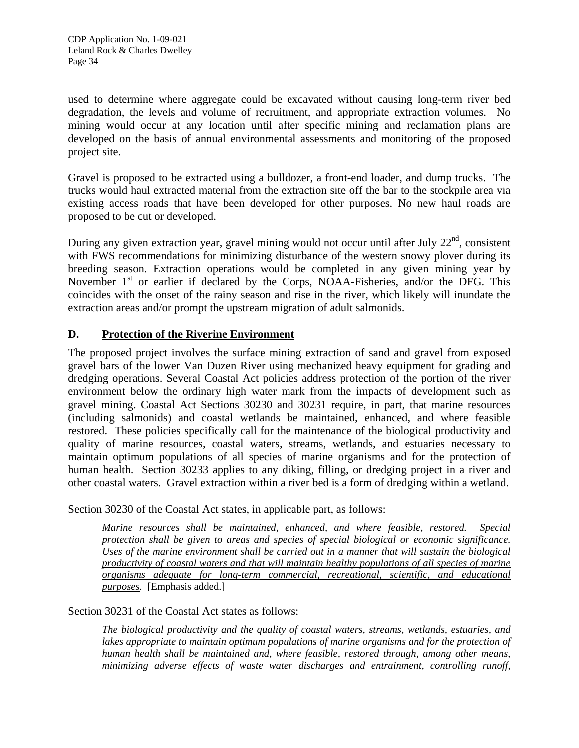used to determine where aggregate could be excavated without causing long-term river bed degradation, the levels and volume of recruitment, and appropriate extraction volumes. No mining would occur at any location until after specific mining and reclamation plans are developed on the basis of annual environmental assessments and monitoring of the proposed project site.

Gravel is proposed to be extracted using a bulldozer, a front-end loader, and dump trucks. The trucks would haul extracted material from the extraction site off the bar to the stockpile area via existing access roads that have been developed for other purposes. No new haul roads are proposed to be cut or developed.

During any given extraction year, gravel mining would not occur until after July  $22<sup>nd</sup>$ , consistent with FWS recommendations for minimizing disturbance of the western snowy plover during its breeding season. Extraction operations would be completed in any given mining year by November  $1<sup>st</sup>$  or earlier if declared by the Corps, NOAA-Fisheries, and/or the DFG. This coincides with the onset of the rainy season and rise in the river, which likely will inundate the extraction areas and/or prompt the upstream migration of adult salmonids.

## **D. Protection of the Riverine Environment**

The proposed project involves the surface mining extraction of sand and gravel from exposed gravel bars of the lower Van Duzen River using mechanized heavy equipment for grading and dredging operations. Several Coastal Act policies address protection of the portion of the river environment below the ordinary high water mark from the impacts of development such as gravel mining. Coastal Act Sections 30230 and 30231 require, in part, that marine resources (including salmonids) and coastal wetlands be maintained, enhanced, and where feasible restored. These policies specifically call for the maintenance of the biological productivity and quality of marine resources, coastal waters, streams, wetlands, and estuaries necessary to maintain optimum populations of all species of marine organisms and for the protection of human health. Section 30233 applies to any diking, filling, or dredging project in a river and other coastal waters. Gravel extraction within a river bed is a form of dredging within a wetland.

Section 30230 of the Coastal Act states, in applicable part, as follows:

*Marine resources shall be maintained, enhanced, and where feasible, restored. Special protection shall be given to areas and species of special biological or economic significance. Uses of the marine environment shall be carried out in a manner that will sustain the biological productivity of coastal waters and that will maintain healthy populations of all species of marine organisms adequate for long-term commercial, recreational, scientific, and educational purposes.* [Emphasis added.]

Section 30231 of the Coastal Act states as follows:

*The biological productivity and the quality of coastal waters, streams, wetlands, estuaries, and*  lakes appropriate to maintain optimum populations of marine organisms and for the protection of *human health shall be maintained and, where feasible, restored through, among other means, minimizing adverse effects of waste water discharges and entrainment, controlling runoff,*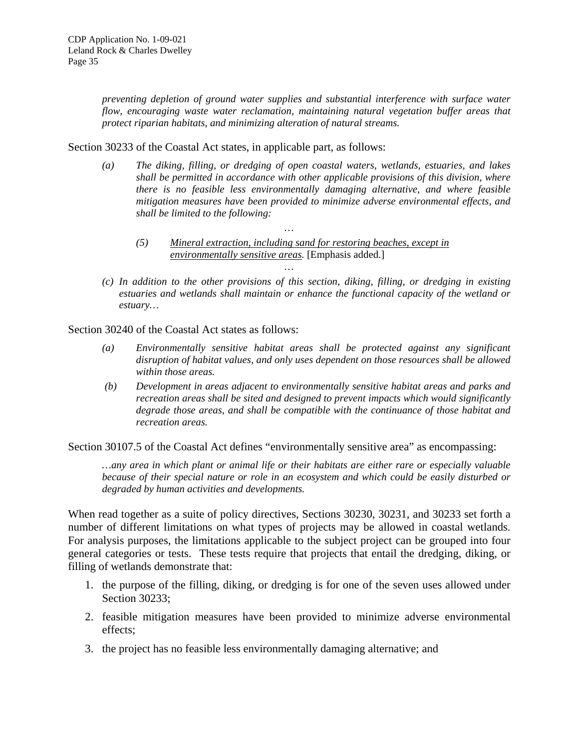*preventing depletion of ground water supplies and substantial interference with surface water flow, encouraging waste water reclamation, maintaining natural vegetation buffer areas that protect riparian habitats, and minimizing alteration of natural streams.* 

Section 30233 of the Coastal Act states, in applicable part, as follows:

- *(a) The diking, filling, or dredging of open coastal waters, wetlands, estuaries, and lakes shall be permitted in accordance with other applicable provisions of this division, where there is no feasible less environmentally damaging alternative, and where feasible mitigation measures have been provided to minimize adverse environmental effects, and shall be limited to the following:* 
	- *(5) Mineral extraction, including sand for restoring beaches, except in environmentally sensitive areas.* [Emphasis added.] *…*

*…* 

*(c) In addition to the other provisions of this section, diking, filling, or dredging in existing estuaries and wetlands shall maintain or enhance the functional capacity of the wetland or estuary…* 

Section 30240 of the Coastal Act states as follows:

- *(a) Environmentally sensitive habitat areas shall be protected against any significant disruption of habitat values, and only uses dependent on those resources shall be allowed within those areas.*
- *(b) Development in areas adjacent to environmentally sensitive habitat areas and parks and recreation areas shall be sited and designed to prevent impacts which would significantly degrade those areas, and shall be compatible with the continuance of those habitat and recreation areas.*

Section 30107.5 of the Coastal Act defines "environmentally sensitive area" as encompassing:

*…any area in which plant or animal life or their habitats are either rare or especially valuable because of their special nature or role in an ecosystem and which could be easily disturbed or degraded by human activities and developments.* 

When read together as a suite of policy directives, Sections 30230, 30231, and 30233 set forth a number of different limitations on what types of projects may be allowed in coastal wetlands. For analysis purposes, the limitations applicable to the subject project can be grouped into four general categories or tests. These tests require that projects that entail the dredging, diking, or filling of wetlands demonstrate that:

- 1. the purpose of the filling, diking, or dredging is for one of the seven uses allowed under Section 30233;
- 2. feasible mitigation measures have been provided to minimize adverse environmental effects;
- 3. the project has no feasible less environmentally damaging alternative; and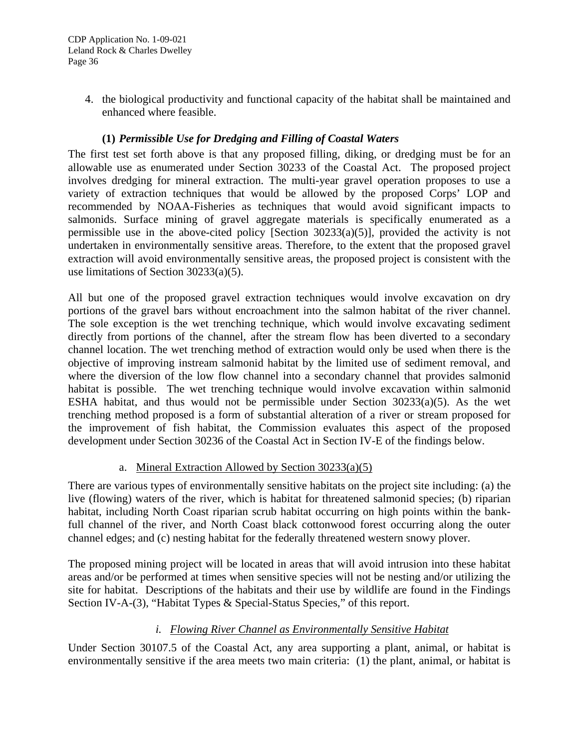4. the biological productivity and functional capacity of the habitat shall be maintained and enhanced where feasible.

## **(1)** *Permissible Use for Dredging and Filling of Coastal Waters*

The first test set forth above is that any proposed filling, diking, or dredging must be for an allowable use as enumerated under Section 30233 of the Coastal Act. The proposed project involves dredging for mineral extraction. The multi-year gravel operation proposes to use a variety of extraction techniques that would be allowed by the proposed Corps' LOP and recommended by NOAA-Fisheries as techniques that would avoid significant impacts to salmonids. Surface mining of gravel aggregate materials is specifically enumerated as a permissible use in the above-cited policy [Section 30233(a)(5)], provided the activity is not undertaken in environmentally sensitive areas. Therefore, to the extent that the proposed gravel extraction will avoid environmentally sensitive areas, the proposed project is consistent with the use limitations of Section 30233(a)(5).

All but one of the proposed gravel extraction techniques would involve excavation on dry portions of the gravel bars without encroachment into the salmon habitat of the river channel. The sole exception is the wet trenching technique, which would involve excavating sediment directly from portions of the channel, after the stream flow has been diverted to a secondary channel location. The wet trenching method of extraction would only be used when there is the objective of improving instream salmonid habitat by the limited use of sediment removal, and where the diversion of the low flow channel into a secondary channel that provides salmonid habitat is possible. The wet trenching technique would involve excavation within salmonid ESHA habitat, and thus would not be permissible under Section 30233(a)(5). As the wet trenching method proposed is a form of substantial alteration of a river or stream proposed for the improvement of fish habitat, the Commission evaluates this aspect of the proposed development under Section 30236 of the Coastal Act in Section IV-E of the findings below.

## a. Mineral Extraction Allowed by Section 30233(a)(5)

There are various types of environmentally sensitive habitats on the project site including: (a) the live (flowing) waters of the river, which is habitat for threatened salmonid species; (b) riparian habitat, including North Coast riparian scrub habitat occurring on high points within the bankfull channel of the river, and North Coast black cottonwood forest occurring along the outer channel edges; and (c) nesting habitat for the federally threatened western snowy plover.

The proposed mining project will be located in areas that will avoid intrusion into these habitat areas and/or be performed at times when sensitive species will not be nesting and/or utilizing the site for habitat. Descriptions of the habitats and their use by wildlife are found in the Findings Section IV-A-(3), "Habitat Types & Special-Status Species," of this report.

## *i. Flowing River Channel as Environmentally Sensitive Habitat*

Under Section 30107.5 of the Coastal Act, any area supporting a plant, animal, or habitat is environmentally sensitive if the area meets two main criteria: (1) the plant, animal, or habitat is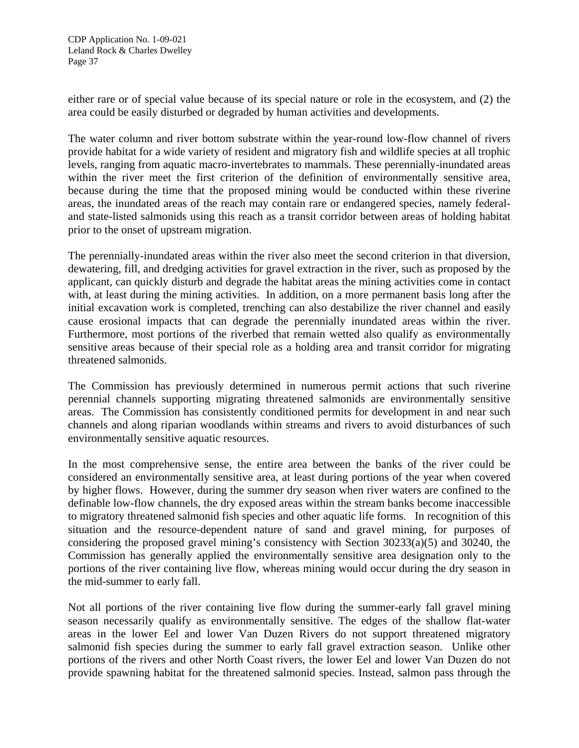either rare or of special value because of its special nature or role in the ecosystem, and (2) the area could be easily disturbed or degraded by human activities and developments.

The water column and river bottom substrate within the year-round low-flow channel of rivers provide habitat for a wide variety of resident and migratory fish and wildlife species at all trophic levels, ranging from aquatic macro-invertebrates to mammals. These perennially-inundated areas within the river meet the first criterion of the definition of environmentally sensitive area, because during the time that the proposed mining would be conducted within these riverine areas, the inundated areas of the reach may contain rare or endangered species, namely federaland state-listed salmonids using this reach as a transit corridor between areas of holding habitat prior to the onset of upstream migration.

The perennially-inundated areas within the river also meet the second criterion in that diversion, dewatering, fill, and dredging activities for gravel extraction in the river, such as proposed by the applicant, can quickly disturb and degrade the habitat areas the mining activities come in contact with, at least during the mining activities. In addition, on a more permanent basis long after the initial excavation work is completed, trenching can also destabilize the river channel and easily cause erosional impacts that can degrade the perennially inundated areas within the river. Furthermore, most portions of the riverbed that remain wetted also qualify as environmentally sensitive areas because of their special role as a holding area and transit corridor for migrating threatened salmonids.

The Commission has previously determined in numerous permit actions that such riverine perennial channels supporting migrating threatened salmonids are environmentally sensitive areas. The Commission has consistently conditioned permits for development in and near such channels and along riparian woodlands within streams and rivers to avoid disturbances of such environmentally sensitive aquatic resources.

In the most comprehensive sense, the entire area between the banks of the river could be considered an environmentally sensitive area, at least during portions of the year when covered by higher flows. However, during the summer dry season when river waters are confined to the definable low-flow channels, the dry exposed areas within the stream banks become inaccessible to migratory threatened salmonid fish species and other aquatic life forms. In recognition of this situation and the resource-dependent nature of sand and gravel mining, for purposes of considering the proposed gravel mining's consistency with Section 30233(a)(5) and 30240, the Commission has generally applied the environmentally sensitive area designation only to the portions of the river containing live flow, whereas mining would occur during the dry season in the mid-summer to early fall.

Not all portions of the river containing live flow during the summer-early fall gravel mining season necessarily qualify as environmentally sensitive. The edges of the shallow flat-water areas in the lower Eel and lower Van Duzen Rivers do not support threatened migratory salmonid fish species during the summer to early fall gravel extraction season. Unlike other portions of the rivers and other North Coast rivers, the lower Eel and lower Van Duzen do not provide spawning habitat for the threatened salmonid species. Instead, salmon pass through the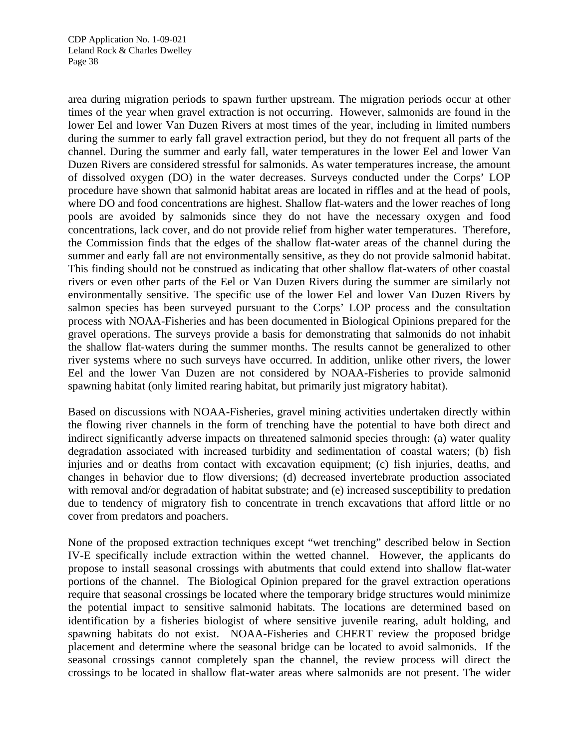area during migration periods to spawn further upstream. The migration periods occur at other times of the year when gravel extraction is not occurring. However, salmonids are found in the lower Eel and lower Van Duzen Rivers at most times of the year, including in limited numbers during the summer to early fall gravel extraction period, but they do not frequent all parts of the channel. During the summer and early fall, water temperatures in the lower Eel and lower Van Duzen Rivers are considered stressful for salmonids. As water temperatures increase, the amount of dissolved oxygen (DO) in the water decreases. Surveys conducted under the Corps' LOP procedure have shown that salmonid habitat areas are located in riffles and at the head of pools, where DO and food concentrations are highest. Shallow flat-waters and the lower reaches of long pools are avoided by salmonids since they do not have the necessary oxygen and food concentrations, lack cover, and do not provide relief from higher water temperatures. Therefore, the Commission finds that the edges of the shallow flat-water areas of the channel during the summer and early fall are not environmentally sensitive, as they do not provide salmonid habitat. This finding should not be construed as indicating that other shallow flat-waters of other coastal rivers or even other parts of the Eel or Van Duzen Rivers during the summer are similarly not environmentally sensitive. The specific use of the lower Eel and lower Van Duzen Rivers by salmon species has been surveyed pursuant to the Corps' LOP process and the consultation process with NOAA-Fisheries and has been documented in Biological Opinions prepared for the gravel operations. The surveys provide a basis for demonstrating that salmonids do not inhabit the shallow flat-waters during the summer months. The results cannot be generalized to other river systems where no such surveys have occurred. In addition, unlike other rivers, the lower Eel and the lower Van Duzen are not considered by NOAA-Fisheries to provide salmonid spawning habitat (only limited rearing habitat, but primarily just migratory habitat).

Based on discussions with NOAA-Fisheries, gravel mining activities undertaken directly within the flowing river channels in the form of trenching have the potential to have both direct and indirect significantly adverse impacts on threatened salmonid species through: (a) water quality degradation associated with increased turbidity and sedimentation of coastal waters; (b) fish injuries and or deaths from contact with excavation equipment; (c) fish injuries, deaths, and changes in behavior due to flow diversions; (d) decreased invertebrate production associated with removal and/or degradation of habitat substrate; and (e) increased susceptibility to predation due to tendency of migratory fish to concentrate in trench excavations that afford little or no cover from predators and poachers.

None of the proposed extraction techniques except "wet trenching" described below in Section IV-E specifically include extraction within the wetted channel. However, the applicants do propose to install seasonal crossings with abutments that could extend into shallow flat-water portions of the channel. The Biological Opinion prepared for the gravel extraction operations require that seasonal crossings be located where the temporary bridge structures would minimize the potential impact to sensitive salmonid habitats. The locations are determined based on identification by a fisheries biologist of where sensitive juvenile rearing, adult holding, and spawning habitats do not exist. NOAA-Fisheries and CHERT review the proposed bridge placement and determine where the seasonal bridge can be located to avoid salmonids. If the seasonal crossings cannot completely span the channel, the review process will direct the crossings to be located in shallow flat-water areas where salmonids are not present. The wider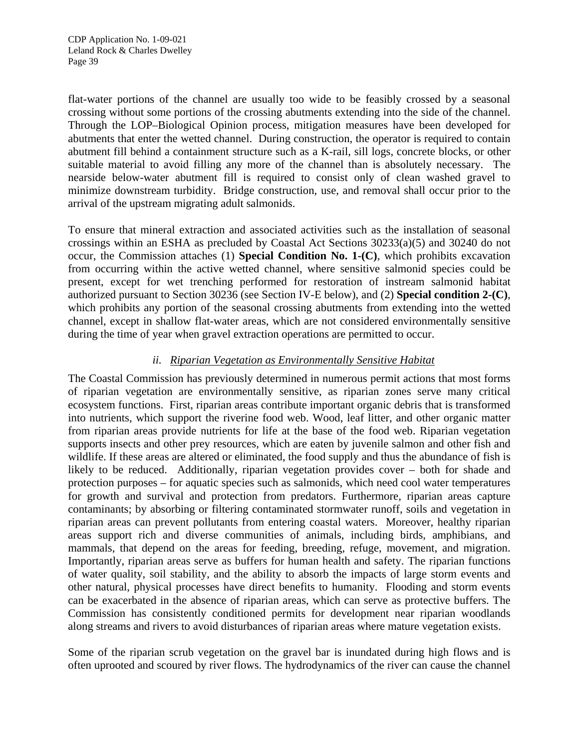flat-water portions of the channel are usually too wide to be feasibly crossed by a seasonal crossing without some portions of the crossing abutments extending into the side of the channel. Through the LOP–Biological Opinion process, mitigation measures have been developed for abutments that enter the wetted channel. During construction, the operator is required to contain abutment fill behind a containment structure such as a K-rail, sill logs, concrete blocks, or other suitable material to avoid filling any more of the channel than is absolutely necessary. The nearside below-water abutment fill is required to consist only of clean washed gravel to minimize downstream turbidity. Bridge construction, use, and removal shall occur prior to the arrival of the upstream migrating adult salmonids.

To ensure that mineral extraction and associated activities such as the installation of seasonal crossings within an ESHA as precluded by Coastal Act Sections 30233(a)(5) and 30240 do not occur, the Commission attaches (1) **Special Condition No. 1-(C)**, which prohibits excavation from occurring within the active wetted channel, where sensitive salmonid species could be present, except for wet trenching performed for restoration of instream salmonid habitat authorized pursuant to Section 30236 (see Section IV-E below), and (2) **Special condition 2-(C)**, which prohibits any portion of the seasonal crossing abutments from extending into the wetted channel, except in shallow flat-water areas, which are not considered environmentally sensitive during the time of year when gravel extraction operations are permitted to occur.

## *ii. Riparian Vegetation as Environmentally Sensitive Habitat*

The Coastal Commission has previously determined in numerous permit actions that most forms of riparian vegetation are environmentally sensitive, as riparian zones serve many critical ecosystem functions. First, riparian areas contribute important organic debris that is transformed into nutrients, which support the riverine food web. Wood, leaf litter, and other organic matter from riparian areas provide nutrients for life at the base of the food web. Riparian vegetation supports insects and other prey resources, which are eaten by juvenile salmon and other fish and wildlife. If these areas are altered or eliminated, the food supply and thus the abundance of fish is likely to be reduced. Additionally, riparian vegetation provides cover – both for shade and protection purposes – for aquatic species such as salmonids, which need cool water temperatures for growth and survival and protection from predators. Furthermore, riparian areas capture contaminants; by absorbing or filtering contaminated stormwater runoff, soils and vegetation in riparian areas can prevent pollutants from entering coastal waters. Moreover, healthy riparian areas support rich and diverse communities of animals, including birds, amphibians, and mammals, that depend on the areas for feeding, breeding, refuge, movement, and migration. Importantly, riparian areas serve as buffers for human health and safety. The riparian functions of water quality, soil stability, and the ability to absorb the impacts of large storm events and other natural, physical processes have direct benefits to humanity. Flooding and storm events can be exacerbated in the absence of riparian areas, which can serve as protective buffers. The Commission has consistently conditioned permits for development near riparian woodlands along streams and rivers to avoid disturbances of riparian areas where mature vegetation exists.

Some of the riparian scrub vegetation on the gravel bar is inundated during high flows and is often uprooted and scoured by river flows. The hydrodynamics of the river can cause the channel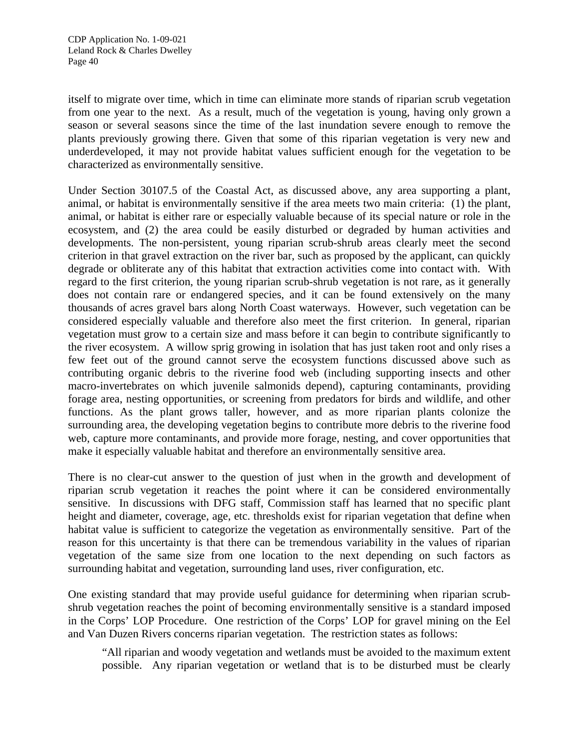itself to migrate over time, which in time can eliminate more stands of riparian scrub vegetation from one year to the next. As a result, much of the vegetation is young, having only grown a season or several seasons since the time of the last inundation severe enough to remove the plants previously growing there. Given that some of this riparian vegetation is very new and underdeveloped, it may not provide habitat values sufficient enough for the vegetation to be characterized as environmentally sensitive.

Under Section 30107.5 of the Coastal Act, as discussed above, any area supporting a plant, animal, or habitat is environmentally sensitive if the area meets two main criteria: (1) the plant, animal, or habitat is either rare or especially valuable because of its special nature or role in the ecosystem, and (2) the area could be easily disturbed or degraded by human activities and developments. The non-persistent, young riparian scrub-shrub areas clearly meet the second criterion in that gravel extraction on the river bar, such as proposed by the applicant, can quickly degrade or obliterate any of this habitat that extraction activities come into contact with. With regard to the first criterion, the young riparian scrub-shrub vegetation is not rare, as it generally does not contain rare or endangered species, and it can be found extensively on the many thousands of acres gravel bars along North Coast waterways. However, such vegetation can be considered especially valuable and therefore also meet the first criterion. In general, riparian vegetation must grow to a certain size and mass before it can begin to contribute significantly to the river ecosystem. A willow sprig growing in isolation that has just taken root and only rises a few feet out of the ground cannot serve the ecosystem functions discussed above such as contributing organic debris to the riverine food web (including supporting insects and other macro-invertebrates on which juvenile salmonids depend), capturing contaminants, providing forage area, nesting opportunities, or screening from predators for birds and wildlife, and other functions. As the plant grows taller, however, and as more riparian plants colonize the surrounding area, the developing vegetation begins to contribute more debris to the riverine food web, capture more contaminants, and provide more forage, nesting, and cover opportunities that make it especially valuable habitat and therefore an environmentally sensitive area.

There is no clear-cut answer to the question of just when in the growth and development of riparian scrub vegetation it reaches the point where it can be considered environmentally sensitive. In discussions with DFG staff, Commission staff has learned that no specific plant height and diameter, coverage, age, etc. thresholds exist for riparian vegetation that define when habitat value is sufficient to categorize the vegetation as environmentally sensitive. Part of the reason for this uncertainty is that there can be tremendous variability in the values of riparian vegetation of the same size from one location to the next depending on such factors as surrounding habitat and vegetation, surrounding land uses, river configuration, etc.

One existing standard that may provide useful guidance for determining when riparian scrubshrub vegetation reaches the point of becoming environmentally sensitive is a standard imposed in the Corps' LOP Procedure. One restriction of the Corps' LOP for gravel mining on the Eel and Van Duzen Rivers concerns riparian vegetation. The restriction states as follows:

"All riparian and woody vegetation and wetlands must be avoided to the maximum extent possible. Any riparian vegetation or wetland that is to be disturbed must be clearly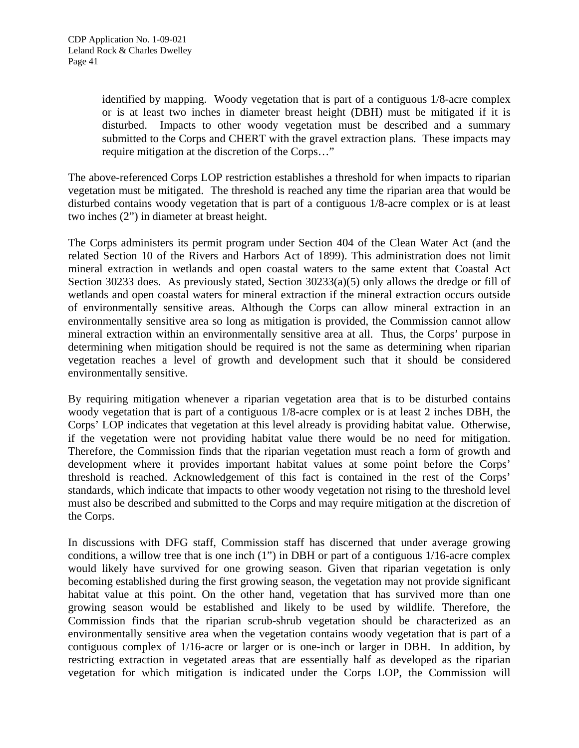identified by mapping. Woody vegetation that is part of a contiguous 1/8-acre complex or is at least two inches in diameter breast height (DBH) must be mitigated if it is disturbed. Impacts to other woody vegetation must be described and a summary submitted to the Corps and CHERT with the gravel extraction plans. These impacts may require mitigation at the discretion of the Corps…"

The above-referenced Corps LOP restriction establishes a threshold for when impacts to riparian vegetation must be mitigated. The threshold is reached any time the riparian area that would be disturbed contains woody vegetation that is part of a contiguous 1/8-acre complex or is at least two inches (2") in diameter at breast height.

The Corps administers its permit program under Section 404 of the Clean Water Act (and the related Section 10 of the Rivers and Harbors Act of 1899). This administration does not limit mineral extraction in wetlands and open coastal waters to the same extent that Coastal Act Section 30233 does. As previously stated, Section 30233(a)(5) only allows the dredge or fill of wetlands and open coastal waters for mineral extraction if the mineral extraction occurs outside of environmentally sensitive areas. Although the Corps can allow mineral extraction in an environmentally sensitive area so long as mitigation is provided, the Commission cannot allow mineral extraction within an environmentally sensitive area at all. Thus, the Corps' purpose in determining when mitigation should be required is not the same as determining when riparian vegetation reaches a level of growth and development such that it should be considered environmentally sensitive.

By requiring mitigation whenever a riparian vegetation area that is to be disturbed contains woody vegetation that is part of a contiguous 1/8-acre complex or is at least 2 inches DBH, the Corps' LOP indicates that vegetation at this level already is providing habitat value. Otherwise, if the vegetation were not providing habitat value there would be no need for mitigation. Therefore, the Commission finds that the riparian vegetation must reach a form of growth and development where it provides important habitat values at some point before the Corps' threshold is reached. Acknowledgement of this fact is contained in the rest of the Corps' standards, which indicate that impacts to other woody vegetation not rising to the threshold level must also be described and submitted to the Corps and may require mitigation at the discretion of the Corps.

In discussions with DFG staff, Commission staff has discerned that under average growing conditions, a willow tree that is one inch (1") in DBH or part of a contiguous 1/16-acre complex would likely have survived for one growing season. Given that riparian vegetation is only becoming established during the first growing season, the vegetation may not provide significant habitat value at this point. On the other hand, vegetation that has survived more than one growing season would be established and likely to be used by wildlife. Therefore, the Commission finds that the riparian scrub-shrub vegetation should be characterized as an environmentally sensitive area when the vegetation contains woody vegetation that is part of a contiguous complex of 1/16-acre or larger or is one-inch or larger in DBH. In addition, by restricting extraction in vegetated areas that are essentially half as developed as the riparian vegetation for which mitigation is indicated under the Corps LOP, the Commission will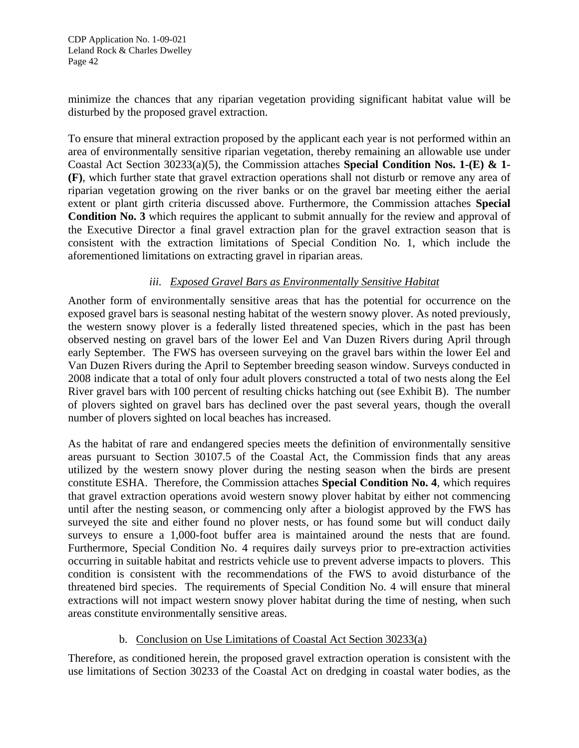minimize the chances that any riparian vegetation providing significant habitat value will be disturbed by the proposed gravel extraction.

To ensure that mineral extraction proposed by the applicant each year is not performed within an area of environmentally sensitive riparian vegetation, thereby remaining an allowable use under Coastal Act Section 30233(a)(5), the Commission attaches **Special Condition Nos. 1-(E) & 1- (F)**, which further state that gravel extraction operations shall not disturb or remove any area of riparian vegetation growing on the river banks or on the gravel bar meeting either the aerial extent or plant girth criteria discussed above. Furthermore, the Commission attaches **Special Condition No. 3** which requires the applicant to submit annually for the review and approval of the Executive Director a final gravel extraction plan for the gravel extraction season that is consistent with the extraction limitations of Special Condition No. 1, which include the aforementioned limitations on extracting gravel in riparian areas.

## *iii. Exposed Gravel Bars as Environmentally Sensitive Habitat*

Another form of environmentally sensitive areas that has the potential for occurrence on the exposed gravel bars is seasonal nesting habitat of the western snowy plover. As noted previously, the western snowy plover is a federally listed threatened species, which in the past has been observed nesting on gravel bars of the lower Eel and Van Duzen Rivers during April through early September. The FWS has overseen surveying on the gravel bars within the lower Eel and Van Duzen Rivers during the April to September breeding season window. Surveys conducted in 2008 indicate that a total of only four adult plovers constructed a total of two nests along the Eel River gravel bars with 100 percent of resulting chicks hatching out (see Exhibit B). The number of plovers sighted on gravel bars has declined over the past several years, though the overall number of plovers sighted on local beaches has increased.

As the habitat of rare and endangered species meets the definition of environmentally sensitive areas pursuant to Section 30107.5 of the Coastal Act, the Commission finds that any areas utilized by the western snowy plover during the nesting season when the birds are present constitute ESHA. Therefore, the Commission attaches **Special Condition No. 4**, which requires that gravel extraction operations avoid western snowy plover habitat by either not commencing until after the nesting season, or commencing only after a biologist approved by the FWS has surveyed the site and either found no plover nests, or has found some but will conduct daily surveys to ensure a 1,000-foot buffer area is maintained around the nests that are found. Furthermore, Special Condition No. 4 requires daily surveys prior to pre-extraction activities occurring in suitable habitat and restricts vehicle use to prevent adverse impacts to plovers. This condition is consistent with the recommendations of the FWS to avoid disturbance of the threatened bird species. The requirements of Special Condition No. 4 will ensure that mineral extractions will not impact western snowy plover habitat during the time of nesting, when such areas constitute environmentally sensitive areas.

## b. Conclusion on Use Limitations of Coastal Act Section 30233(a)

Therefore, as conditioned herein, the proposed gravel extraction operation is consistent with the use limitations of Section 30233 of the Coastal Act on dredging in coastal water bodies, as the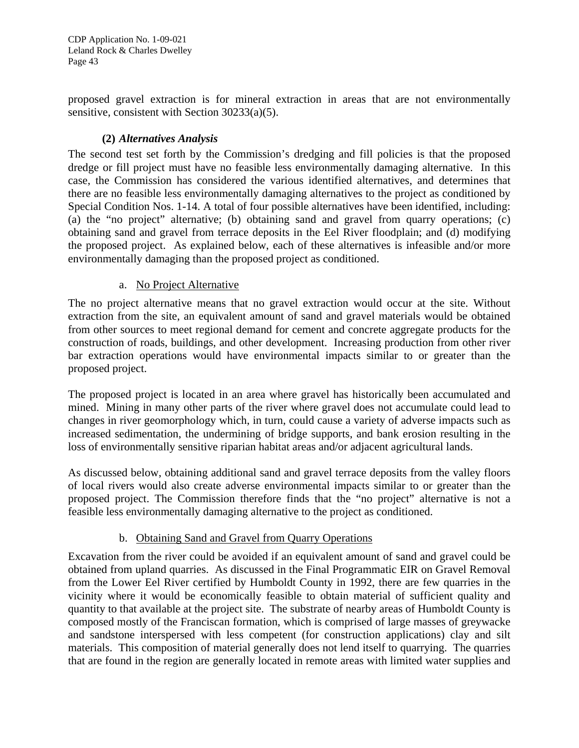CDP Application No. 1-09-021 Leland Rock & Charles Dwelley Page 43

proposed gravel extraction is for mineral extraction in areas that are not environmentally sensitive, consistent with Section 30233(a)(5).

## **(2)** *Alternatives Analysis*

The second test set forth by the Commission's dredging and fill policies is that the proposed dredge or fill project must have no feasible less environmentally damaging alternative. In this case, the Commission has considered the various identified alternatives, and determines that there are no feasible less environmentally damaging alternatives to the project as conditioned by Special Condition Nos. 1-14. A total of four possible alternatives have been identified, including: (a) the "no project" alternative; (b) obtaining sand and gravel from quarry operations; (c) obtaining sand and gravel from terrace deposits in the Eel River floodplain; and (d) modifying the proposed project. As explained below, each of these alternatives is infeasible and/or more environmentally damaging than the proposed project as conditioned.

#### a. No Project Alternative

The no project alternative means that no gravel extraction would occur at the site. Without extraction from the site, an equivalent amount of sand and gravel materials would be obtained from other sources to meet regional demand for cement and concrete aggregate products for the construction of roads, buildings, and other development. Increasing production from other river bar extraction operations would have environmental impacts similar to or greater than the proposed project.

The proposed project is located in an area where gravel has historically been accumulated and mined. Mining in many other parts of the river where gravel does not accumulate could lead to changes in river geomorphology which, in turn, could cause a variety of adverse impacts such as increased sedimentation, the undermining of bridge supports, and bank erosion resulting in the loss of environmentally sensitive riparian habitat areas and/or adjacent agricultural lands.

As discussed below, obtaining additional sand and gravel terrace deposits from the valley floors of local rivers would also create adverse environmental impacts similar to or greater than the proposed project. The Commission therefore finds that the "no project" alternative is not a feasible less environmentally damaging alternative to the project as conditioned.

## b. Obtaining Sand and Gravel from Quarry Operations

Excavation from the river could be avoided if an equivalent amount of sand and gravel could be obtained from upland quarries. As discussed in the Final Programmatic EIR on Gravel Removal from the Lower Eel River certified by Humboldt County in 1992, there are few quarries in the vicinity where it would be economically feasible to obtain material of sufficient quality and quantity to that available at the project site. The substrate of nearby areas of Humboldt County is composed mostly of the Franciscan formation, which is comprised of large masses of greywacke and sandstone interspersed with less competent (for construction applications) clay and silt materials. This composition of material generally does not lend itself to quarrying. The quarries that are found in the region are generally located in remote areas with limited water supplies and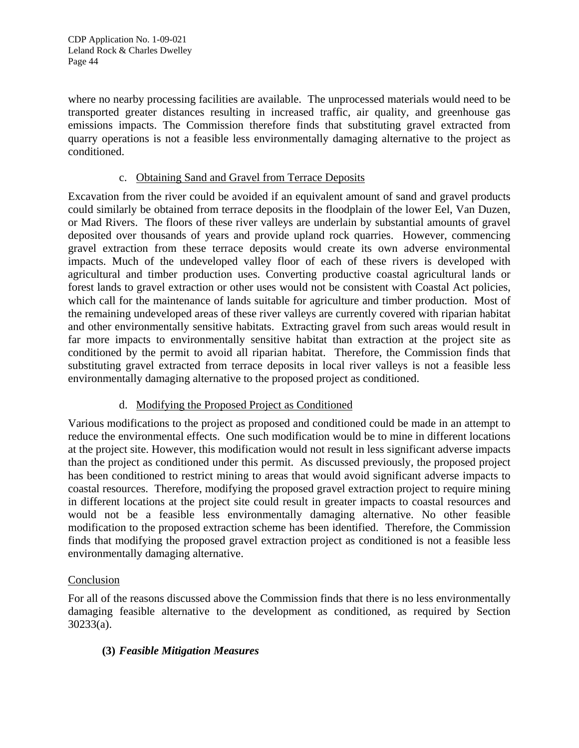where no nearby processing facilities are available. The unprocessed materials would need to be transported greater distances resulting in increased traffic, air quality, and greenhouse gas emissions impacts. The Commission therefore finds that substituting gravel extracted from quarry operations is not a feasible less environmentally damaging alternative to the project as conditioned.

## c. Obtaining Sand and Gravel from Terrace Deposits

Excavation from the river could be avoided if an equivalent amount of sand and gravel products could similarly be obtained from terrace deposits in the floodplain of the lower Eel, Van Duzen, or Mad Rivers. The floors of these river valleys are underlain by substantial amounts of gravel deposited over thousands of years and provide upland rock quarries. However, commencing gravel extraction from these terrace deposits would create its own adverse environmental impacts. Much of the undeveloped valley floor of each of these rivers is developed with agricultural and timber production uses. Converting productive coastal agricultural lands or forest lands to gravel extraction or other uses would not be consistent with Coastal Act policies, which call for the maintenance of lands suitable for agriculture and timber production. Most of the remaining undeveloped areas of these river valleys are currently covered with riparian habitat and other environmentally sensitive habitats. Extracting gravel from such areas would result in far more impacts to environmentally sensitive habitat than extraction at the project site as conditioned by the permit to avoid all riparian habitat. Therefore, the Commission finds that substituting gravel extracted from terrace deposits in local river valleys is not a feasible less environmentally damaging alternative to the proposed project as conditioned.

## d. Modifying the Proposed Project as Conditioned

Various modifications to the project as proposed and conditioned could be made in an attempt to reduce the environmental effects. One such modification would be to mine in different locations at the project site. However, this modification would not result in less significant adverse impacts than the project as conditioned under this permit. As discussed previously, the proposed project has been conditioned to restrict mining to areas that would avoid significant adverse impacts to coastal resources. Therefore, modifying the proposed gravel extraction project to require mining in different locations at the project site could result in greater impacts to coastal resources and would not be a feasible less environmentally damaging alternative. No other feasible modification to the proposed extraction scheme has been identified. Therefore, the Commission finds that modifying the proposed gravel extraction project as conditioned is not a feasible less environmentally damaging alternative.

## Conclusion

For all of the reasons discussed above the Commission finds that there is no less environmentally damaging feasible alternative to the development as conditioned, as required by Section 30233(a).

## **(3)** *Feasible Mitigation Measures*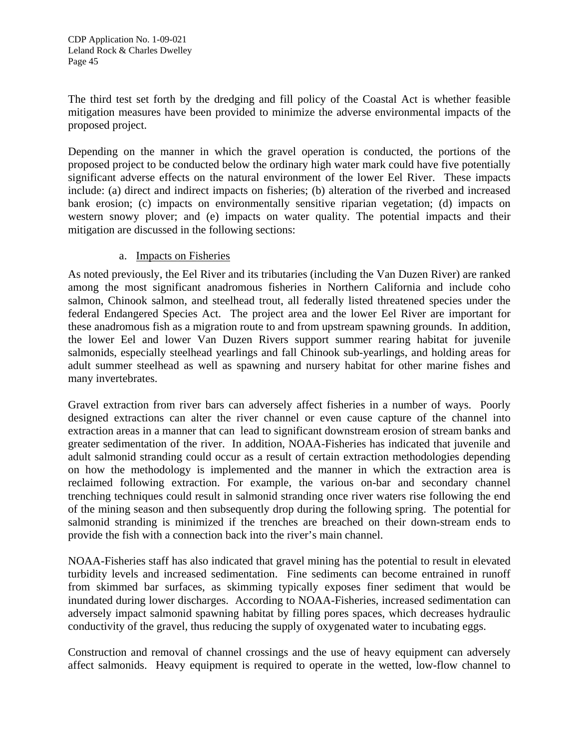The third test set forth by the dredging and fill policy of the Coastal Act is whether feasible mitigation measures have been provided to minimize the adverse environmental impacts of the proposed project.

Depending on the manner in which the gravel operation is conducted, the portions of the proposed project to be conducted below the ordinary high water mark could have five potentially significant adverse effects on the natural environment of the lower Eel River. These impacts include: (a) direct and indirect impacts on fisheries; (b) alteration of the riverbed and increased bank erosion; (c) impacts on environmentally sensitive riparian vegetation; (d) impacts on western snowy plover; and (e) impacts on water quality. The potential impacts and their mitigation are discussed in the following sections:

## a. Impacts on Fisheries

As noted previously, the Eel River and its tributaries (including the Van Duzen River) are ranked among the most significant anadromous fisheries in Northern California and include coho salmon, Chinook salmon, and steelhead trout, all federally listed threatened species under the federal Endangered Species Act. The project area and the lower Eel River are important for these anadromous fish as a migration route to and from upstream spawning grounds. In addition, the lower Eel and lower Van Duzen Rivers support summer rearing habitat for juvenile salmonids, especially steelhead yearlings and fall Chinook sub-yearlings, and holding areas for adult summer steelhead as well as spawning and nursery habitat for other marine fishes and many invertebrates.

Gravel extraction from river bars can adversely affect fisheries in a number of ways. Poorly designed extractions can alter the river channel or even cause capture of the channel into extraction areas in a manner that can lead to significant downstream erosion of stream banks and greater sedimentation of the river. In addition, NOAA-Fisheries has indicated that juvenile and adult salmonid stranding could occur as a result of certain extraction methodologies depending on how the methodology is implemented and the manner in which the extraction area is reclaimed following extraction. For example, the various on-bar and secondary channel trenching techniques could result in salmonid stranding once river waters rise following the end of the mining season and then subsequently drop during the following spring. The potential for salmonid stranding is minimized if the trenches are breached on their down-stream ends to provide the fish with a connection back into the river's main channel.

NOAA-Fisheries staff has also indicated that gravel mining has the potential to result in elevated turbidity levels and increased sedimentation. Fine sediments can become entrained in runoff from skimmed bar surfaces, as skimming typically exposes finer sediment that would be inundated during lower discharges. According to NOAA-Fisheries, increased sedimentation can adversely impact salmonid spawning habitat by filling pores spaces, which decreases hydraulic conductivity of the gravel, thus reducing the supply of oxygenated water to incubating eggs.

Construction and removal of channel crossings and the use of heavy equipment can adversely affect salmonids. Heavy equipment is required to operate in the wetted, low-flow channel to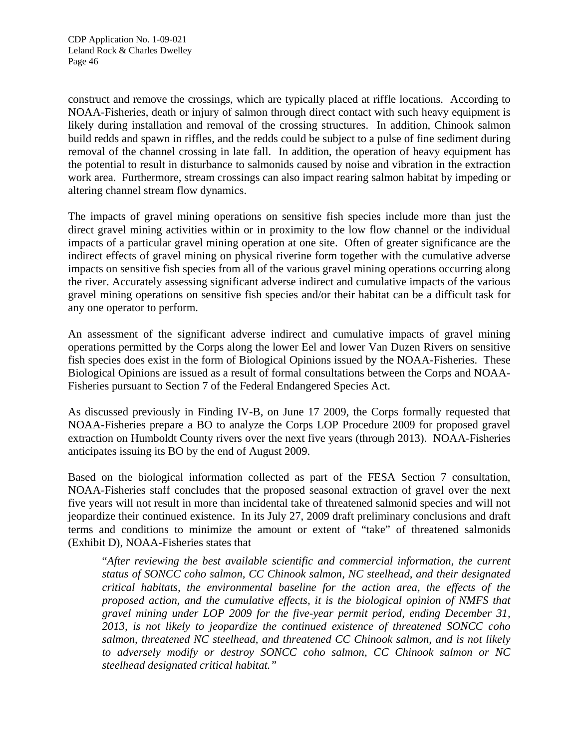construct and remove the crossings, which are typically placed at riffle locations. According to NOAA-Fisheries, death or injury of salmon through direct contact with such heavy equipment is likely during installation and removal of the crossing structures. In addition, Chinook salmon build redds and spawn in riffles, and the redds could be subject to a pulse of fine sediment during removal of the channel crossing in late fall. In addition, the operation of heavy equipment has the potential to result in disturbance to salmonids caused by noise and vibration in the extraction work area. Furthermore, stream crossings can also impact rearing salmon habitat by impeding or altering channel stream flow dynamics.

The impacts of gravel mining operations on sensitive fish species include more than just the direct gravel mining activities within or in proximity to the low flow channel or the individual impacts of a particular gravel mining operation at one site. Often of greater significance are the indirect effects of gravel mining on physical riverine form together with the cumulative adverse impacts on sensitive fish species from all of the various gravel mining operations occurring along the river. Accurately assessing significant adverse indirect and cumulative impacts of the various gravel mining operations on sensitive fish species and/or their habitat can be a difficult task for any one operator to perform.

An assessment of the significant adverse indirect and cumulative impacts of gravel mining operations permitted by the Corps along the lower Eel and lower Van Duzen Rivers on sensitive fish species does exist in the form of Biological Opinions issued by the NOAA-Fisheries. These Biological Opinions are issued as a result of formal consultations between the Corps and NOAA-Fisheries pursuant to Section 7 of the Federal Endangered Species Act.

As discussed previously in Finding IV-B, on June 17 2009, the Corps formally requested that NOAA-Fisheries prepare a BO to analyze the Corps LOP Procedure 2009 for proposed gravel extraction on Humboldt County rivers over the next five years (through 2013). NOAA-Fisheries anticipates issuing its BO by the end of August 2009.

Based on the biological information collected as part of the FESA Section 7 consultation, NOAA-Fisheries staff concludes that the proposed seasonal extraction of gravel over the next five years will not result in more than incidental take of threatened salmonid species and will not jeopardize their continued existence. In its July 27, 2009 draft preliminary conclusions and draft terms and conditions to minimize the amount or extent of "take" of threatened salmonids (Exhibit D), NOAA-Fisheries states that

"*After reviewing the best available scientific and commercial information, the current status of SONCC coho salmon, CC Chinook salmon, NC steelhead, and their designated critical habitats, the environmental baseline for the action area, the effects of the proposed action, and the cumulative effects, it is the biological opinion of NMFS that gravel mining under LOP 2009 for the five-year permit period, ending December 31, 2013, is not likely to jeopardize the continued existence of threatened SONCC coho salmon, threatened NC steelhead, and threatened CC Chinook salmon, and is not likely to adversely modify or destroy SONCC coho salmon, CC Chinook salmon or NC steelhead designated critical habitat."*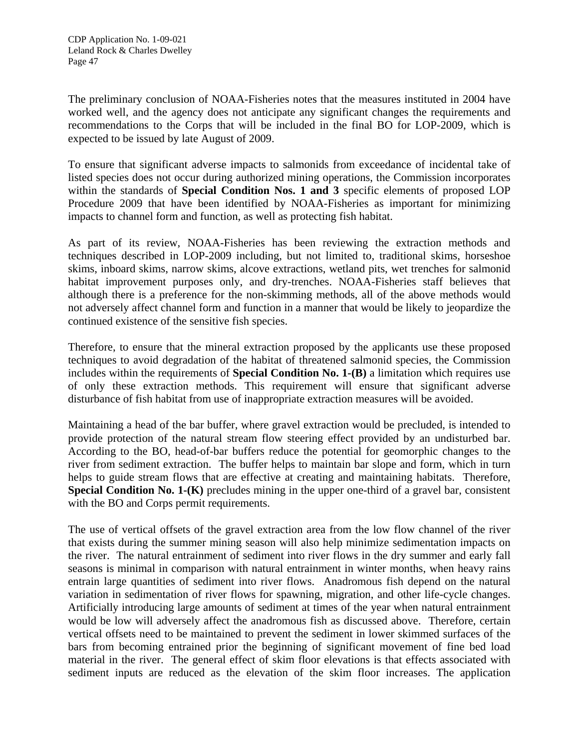The preliminary conclusion of NOAA-Fisheries notes that the measures instituted in 2004 have worked well, and the agency does not anticipate any significant changes the requirements and recommendations to the Corps that will be included in the final BO for LOP-2009, which is expected to be issued by late August of 2009.

To ensure that significant adverse impacts to salmonids from exceedance of incidental take of listed species does not occur during authorized mining operations, the Commission incorporates within the standards of **Special Condition Nos. 1 and 3** specific elements of proposed LOP Procedure 2009 that have been identified by NOAA-Fisheries as important for minimizing impacts to channel form and function, as well as protecting fish habitat.

As part of its review, NOAA-Fisheries has been reviewing the extraction methods and techniques described in LOP-2009 including, but not limited to, traditional skims, horseshoe skims, inboard skims, narrow skims, alcove extractions, wetland pits, wet trenches for salmonid habitat improvement purposes only, and dry-trenches. NOAA-Fisheries staff believes that although there is a preference for the non-skimming methods, all of the above methods would not adversely affect channel form and function in a manner that would be likely to jeopardize the continued existence of the sensitive fish species.

Therefore, to ensure that the mineral extraction proposed by the applicants use these proposed techniques to avoid degradation of the habitat of threatened salmonid species, the Commission includes within the requirements of **Special Condition No. 1-(B)** a limitation which requires use of only these extraction methods. This requirement will ensure that significant adverse disturbance of fish habitat from use of inappropriate extraction measures will be avoided.

Maintaining a head of the bar buffer, where gravel extraction would be precluded, is intended to provide protection of the natural stream flow steering effect provided by an undisturbed bar. According to the BO, head-of-bar buffers reduce the potential for geomorphic changes to the river from sediment extraction. The buffer helps to maintain bar slope and form, which in turn helps to guide stream flows that are effective at creating and maintaining habitats. Therefore, **Special Condition No. 1-(K)** precludes mining in the upper one-third of a gravel bar, consistent with the BO and Corps permit requirements.

The use of vertical offsets of the gravel extraction area from the low flow channel of the river that exists during the summer mining season will also help minimize sedimentation impacts on the river. The natural entrainment of sediment into river flows in the dry summer and early fall seasons is minimal in comparison with natural entrainment in winter months, when heavy rains entrain large quantities of sediment into river flows. Anadromous fish depend on the natural variation in sedimentation of river flows for spawning, migration, and other life-cycle changes. Artificially introducing large amounts of sediment at times of the year when natural entrainment would be low will adversely affect the anadromous fish as discussed above. Therefore, certain vertical offsets need to be maintained to prevent the sediment in lower skimmed surfaces of the bars from becoming entrained prior the beginning of significant movement of fine bed load material in the river. The general effect of skim floor elevations is that effects associated with sediment inputs are reduced as the elevation of the skim floor increases. The application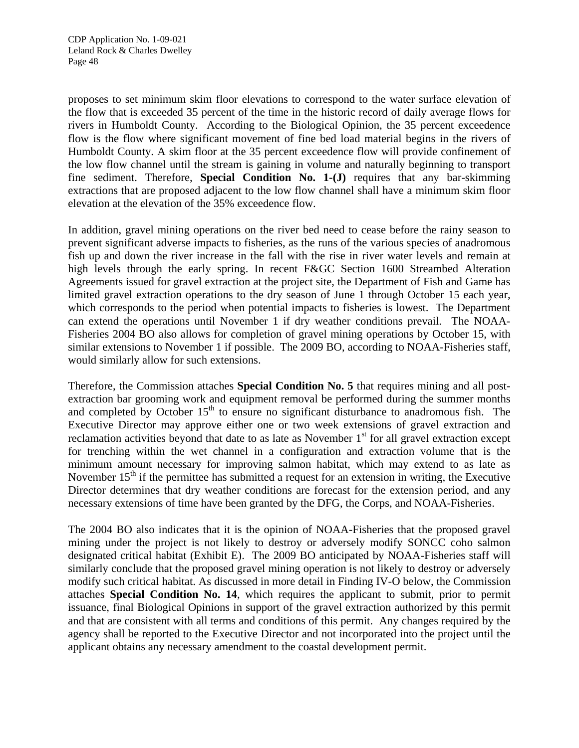proposes to set minimum skim floor elevations to correspond to the water surface elevation of the flow that is exceeded 35 percent of the time in the historic record of daily average flows for rivers in Humboldt County. According to the Biological Opinion, the 35 percent exceedence flow is the flow where significant movement of fine bed load material begins in the rivers of Humboldt County. A skim floor at the 35 percent exceedence flow will provide confinement of the low flow channel until the stream is gaining in volume and naturally beginning to transport fine sediment. Therefore, **Special Condition No. 1-(J)** requires that any bar-skimming extractions that are proposed adjacent to the low flow channel shall have a minimum skim floor elevation at the elevation of the 35% exceedence flow.

In addition, gravel mining operations on the river bed need to cease before the rainy season to prevent significant adverse impacts to fisheries, as the runs of the various species of anadromous fish up and down the river increase in the fall with the rise in river water levels and remain at high levels through the early spring. In recent F&GC Section 1600 Streambed Alteration Agreements issued for gravel extraction at the project site, the Department of Fish and Game has limited gravel extraction operations to the dry season of June 1 through October 15 each year, which corresponds to the period when potential impacts to fisheries is lowest. The Department can extend the operations until November 1 if dry weather conditions prevail. The NOAA-Fisheries 2004 BO also allows for completion of gravel mining operations by October 15, with similar extensions to November 1 if possible. The 2009 BO, according to NOAA-Fisheries staff, would similarly allow for such extensions.

Therefore, the Commission attaches **Special Condition No. 5** that requires mining and all postextraction bar grooming work and equipment removal be performed during the summer months and completed by October  $15<sup>th</sup>$  to ensure no significant disturbance to anadromous fish. The Executive Director may approve either one or two week extensions of gravel extraction and reclamation activities beyond that date to as late as November 1<sup>st</sup> for all gravel extraction except for trenching within the wet channel in a configuration and extraction volume that is the minimum amount necessary for improving salmon habitat, which may extend to as late as November  $15<sup>th</sup>$  if the permittee has submitted a request for an extension in writing, the Executive Director determines that dry weather conditions are forecast for the extension period, and any necessary extensions of time have been granted by the DFG, the Corps, and NOAA-Fisheries.

The 2004 BO also indicates that it is the opinion of NOAA-Fisheries that the proposed gravel mining under the project is not likely to destroy or adversely modify SONCC coho salmon designated critical habitat (Exhibit E). The 2009 BO anticipated by NOAA-Fisheries staff will similarly conclude that the proposed gravel mining operation is not likely to destroy or adversely modify such critical habitat. As discussed in more detail in Finding IV-O below, the Commission attaches **Special Condition No. 14**, which requires the applicant to submit, prior to permit issuance, final Biological Opinions in support of the gravel extraction authorized by this permit and that are consistent with all terms and conditions of this permit. Any changes required by the agency shall be reported to the Executive Director and not incorporated into the project until the applicant obtains any necessary amendment to the coastal development permit.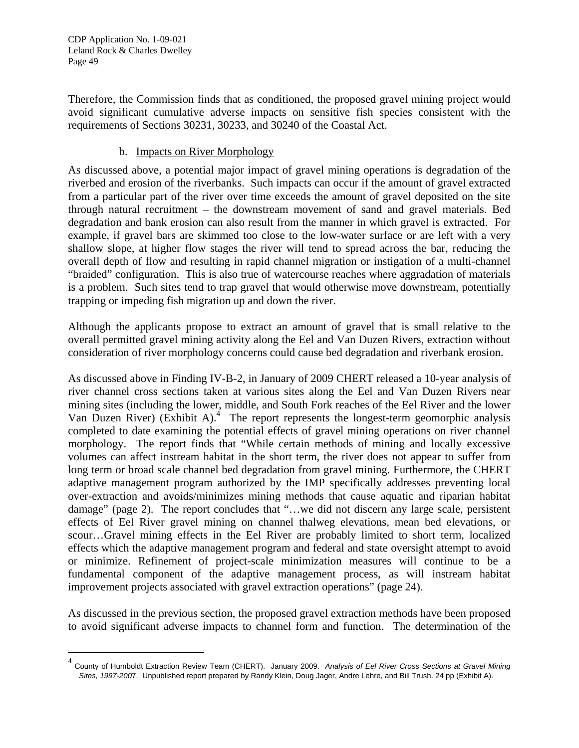CDP Application No. 1-09-021 Leland Rock & Charles Dwelley Page 49

-

Therefore, the Commission finds that as conditioned, the proposed gravel mining project would avoid significant cumulative adverse impacts on sensitive fish species consistent with the requirements of Sections 30231, 30233, and 30240 of the Coastal Act.

#### b. Impacts on River Morphology

As discussed above, a potential major impact of gravel mining operations is degradation of the riverbed and erosion of the riverbanks. Such impacts can occur if the amount of gravel extracted from a particular part of the river over time exceeds the amount of gravel deposited on the site through natural recruitment – the downstream movement of sand and gravel materials. Bed degradation and bank erosion can also result from the manner in which gravel is extracted. For example, if gravel bars are skimmed too close to the low-water surface or are left with a very shallow slope, at higher flow stages the river will tend to spread across the bar, reducing the overall depth of flow and resulting in rapid channel migration or instigation of a multi-channel "braided" configuration. This is also true of watercourse reaches where aggradation of materials is a problem. Such sites tend to trap gravel that would otherwise move downstream, potentially trapping or impeding fish migration up and down the river.

Although the applicants propose to extract an amount of gravel that is small relative to the overall permitted gravel mining activity along the Eel and Van Duzen Rivers, extraction without consideration of river morphology concerns could cause bed degradation and riverbank erosion.

As discussed above in Finding IV-B-2, in January of 2009 CHERT released a 10-year analysis of river channel cross sections taken at various sites along the Eel and Van Duzen Rivers near mining sites (including the lower, middle, and South Fork reaches of the Eel River and the lower Van Duzen River) (Exhibit A).<sup>4</sup> The report represents the longest-term geomorphic analysis completed to date examining the potential effects of gravel mining operations on river channel morphology. The report finds that "While certain methods of mining and locally excessive volumes can affect instream habitat in the short term, the river does not appear to suffer from long term or broad scale channel bed degradation from gravel mining. Furthermore, the CHERT adaptive management program authorized by the IMP specifically addresses preventing local over-extraction and avoids/minimizes mining methods that cause aquatic and riparian habitat damage" (page 2). The report concludes that "…we did not discern any large scale, persistent effects of Eel River gravel mining on channel thalweg elevations, mean bed elevations, or scour…Gravel mining effects in the Eel River are probably limited to short term, localized effects which the adaptive management program and federal and state oversight attempt to avoid or minimize. Refinement of project-scale minimization measures will continue to be a fundamental component of the adaptive management process, as will instream habitat improvement projects associated with gravel extraction operations" (page 24).

As discussed in the previous section, the proposed gravel extraction methods have been proposed to avoid significant adverse impacts to channel form and function. The determination of the

<span id="page-48-0"></span><sup>4</sup> County of Humboldt Extraction Review Team (CHERT). January 2009. *Analysis of Eel River Cross Sections at Gravel Mining Sites, 1997-200*7. Unpublished report prepared by Randy Klein, Doug Jager, Andre Lehre, and Bill Trush. 24 pp (Exhibit A).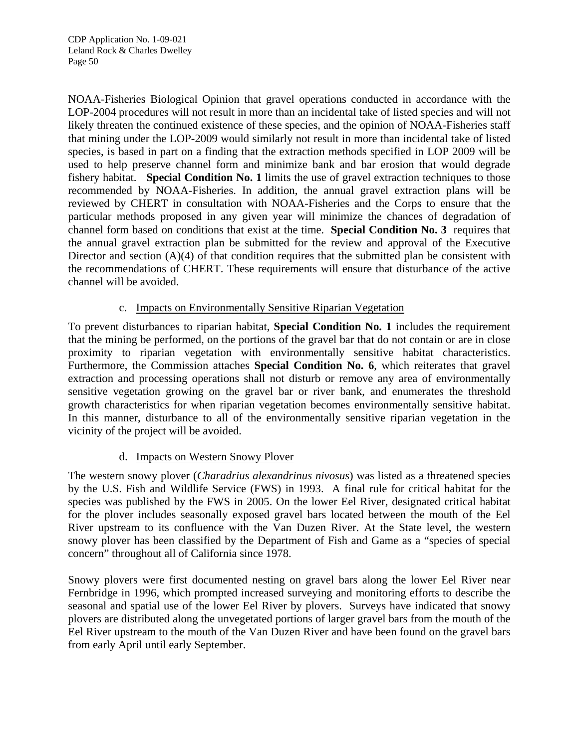CDP Application No. 1-09-021 Leland Rock & Charles Dwelley Page 50

NOAA-Fisheries Biological Opinion that gravel operations conducted in accordance with the LOP-2004 procedures will not result in more than an incidental take of listed species and will not likely threaten the continued existence of these species, and the opinion of NOAA-Fisheries staff that mining under the LOP-2009 would similarly not result in more than incidental take of listed species, is based in part on a finding that the extraction methods specified in LOP 2009 will be used to help preserve channel form and minimize bank and bar erosion that would degrade fishery habitat. **Special Condition No. 1** limits the use of gravel extraction techniques to those recommended by NOAA-Fisheries. In addition, the annual gravel extraction plans will be reviewed by CHERT in consultation with NOAA-Fisheries and the Corps to ensure that the particular methods proposed in any given year will minimize the chances of degradation of channel form based on conditions that exist at the time. **Special Condition No. 3** requires that the annual gravel extraction plan be submitted for the review and approval of the Executive Director and section (A)(4) of that condition requires that the submitted plan be consistent with the recommendations of CHERT. These requirements will ensure that disturbance of the active channel will be avoided.

## c. Impacts on Environmentally Sensitive Riparian Vegetation

To prevent disturbances to riparian habitat, **Special Condition No. 1** includes the requirement that the mining be performed, on the portions of the gravel bar that do not contain or are in close proximity to riparian vegetation with environmentally sensitive habitat characteristics. Furthermore, the Commission attaches **Special Condition No. 6**, which reiterates that gravel extraction and processing operations shall not disturb or remove any area of environmentally sensitive vegetation growing on the gravel bar or river bank, and enumerates the threshold growth characteristics for when riparian vegetation becomes environmentally sensitive habitat. In this manner, disturbance to all of the environmentally sensitive riparian vegetation in the vicinity of the project will be avoided.

## d. Impacts on Western Snowy Plover

The western snowy plover (*Charadrius alexandrinus nivosus*) was listed as a threatened species by the U.S. Fish and Wildlife Service (FWS) in 1993. A final rule for critical habitat for the species was published by the FWS in 2005. On the lower Eel River, designated critical habitat for the plover includes seasonally exposed gravel bars located between the mouth of the Eel River upstream to its confluence with the Van Duzen River. At the State level, the western snowy plover has been classified by the Department of Fish and Game as a "species of special concern" throughout all of California since 1978.

Snowy plovers were first documented nesting on gravel bars along the lower Eel River near Fernbridge in 1996, which prompted increased surveying and monitoring efforts to describe the seasonal and spatial use of the lower Eel River by plovers. Surveys have indicated that snowy plovers are distributed along the unvegetated portions of larger gravel bars from the mouth of the Eel River upstream to the mouth of the Van Duzen River and have been found on the gravel bars from early April until early September.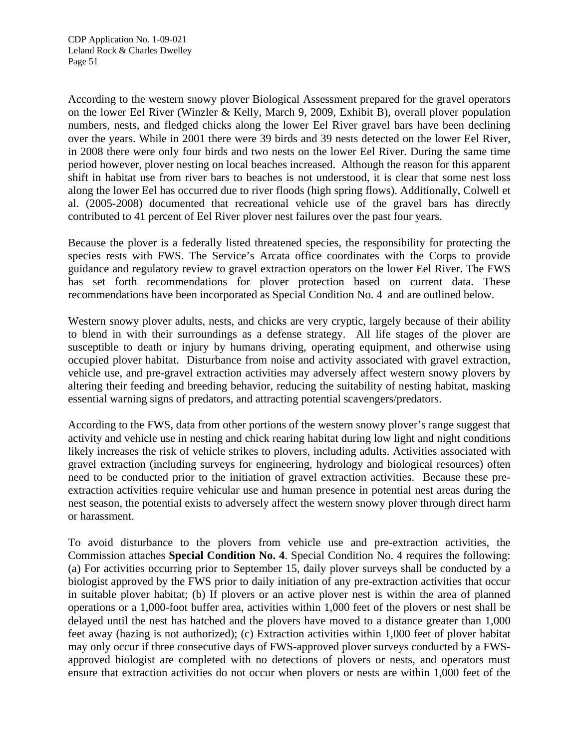According to the western snowy plover Biological Assessment prepared for the gravel operators on the lower Eel River (Winzler & Kelly, March 9, 2009, Exhibit B), overall plover population numbers, nests, and fledged chicks along the lower Eel River gravel bars have been declining over the years. While in 2001 there were 39 birds and 39 nests detected on the lower Eel River, in 2008 there were only four birds and two nests on the lower Eel River. During the same time period however, plover nesting on local beaches increased. Although the reason for this apparent shift in habitat use from river bars to beaches is not understood, it is clear that some nest loss along the lower Eel has occurred due to river floods (high spring flows). Additionally, Colwell et al. (2005-2008) documented that recreational vehicle use of the gravel bars has directly contributed to 41 percent of Eel River plover nest failures over the past four years.

Because the plover is a federally listed threatened species, the responsibility for protecting the species rests with FWS. The Service's Arcata office coordinates with the Corps to provide guidance and regulatory review to gravel extraction operators on the lower Eel River. The FWS has set forth recommendations for plover protection based on current data. These recommendations have been incorporated as Special Condition No. 4 and are outlined below.

Western snowy plover adults, nests, and chicks are very cryptic, largely because of their ability to blend in with their surroundings as a defense strategy. All life stages of the plover are susceptible to death or injury by humans driving, operating equipment, and otherwise using occupied plover habitat. Disturbance from noise and activity associated with gravel extraction, vehicle use, and pre-gravel extraction activities may adversely affect western snowy plovers by altering their feeding and breeding behavior, reducing the suitability of nesting habitat, masking essential warning signs of predators, and attracting potential scavengers/predators.

According to the FWS, data from other portions of the western snowy plover's range suggest that activity and vehicle use in nesting and chick rearing habitat during low light and night conditions likely increases the risk of vehicle strikes to plovers, including adults. Activities associated with gravel extraction (including surveys for engineering, hydrology and biological resources) often need to be conducted prior to the initiation of gravel extraction activities. Because these preextraction activities require vehicular use and human presence in potential nest areas during the nest season, the potential exists to adversely affect the western snowy plover through direct harm or harassment.

To avoid disturbance to the plovers from vehicle use and pre-extraction activities, the Commission attaches **Special Condition No. 4**. Special Condition No. 4 requires the following: (a) For activities occurring prior to September 15, daily plover surveys shall be conducted by a biologist approved by the FWS prior to daily initiation of any pre-extraction activities that occur in suitable plover habitat; (b) If plovers or an active plover nest is within the area of planned operations or a 1,000-foot buffer area, activities within 1,000 feet of the plovers or nest shall be delayed until the nest has hatched and the plovers have moved to a distance greater than 1,000 feet away (hazing is not authorized); (c) Extraction activities within 1,000 feet of plover habitat may only occur if three consecutive days of FWS-approved plover surveys conducted by a FWSapproved biologist are completed with no detections of plovers or nests, and operators must ensure that extraction activities do not occur when plovers or nests are within 1,000 feet of the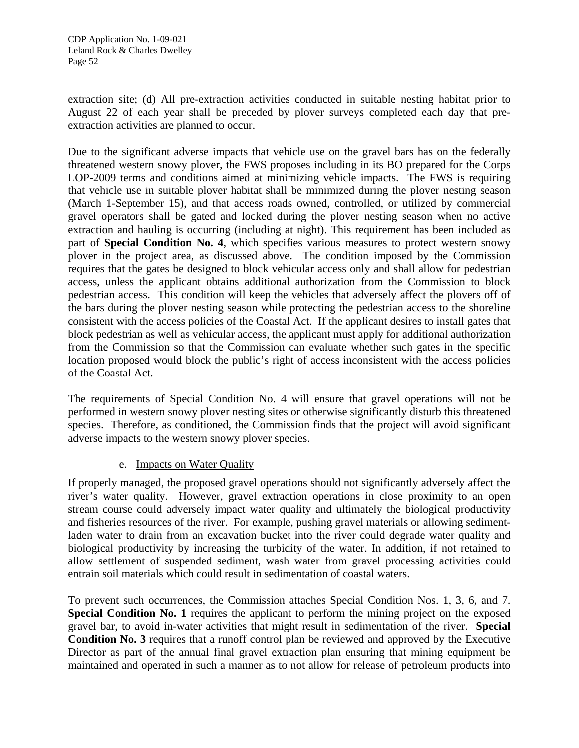extraction site; (d) All pre-extraction activities conducted in suitable nesting habitat prior to August 22 of each year shall be preceded by plover surveys completed each day that preextraction activities are planned to occur.

Due to the significant adverse impacts that vehicle use on the gravel bars has on the federally threatened western snowy plover, the FWS proposes including in its BO prepared for the Corps LOP-2009 terms and conditions aimed at minimizing vehicle impacts. The FWS is requiring that vehicle use in suitable plover habitat shall be minimized during the plover nesting season (March 1-September 15), and that access roads owned, controlled, or utilized by commercial gravel operators shall be gated and locked during the plover nesting season when no active extraction and hauling is occurring (including at night). This requirement has been included as part of **Special Condition No. 4**, which specifies various measures to protect western snowy plover in the project area, as discussed above. The condition imposed by the Commission requires that the gates be designed to block vehicular access only and shall allow for pedestrian access, unless the applicant obtains additional authorization from the Commission to block pedestrian access. This condition will keep the vehicles that adversely affect the plovers off of the bars during the plover nesting season while protecting the pedestrian access to the shoreline consistent with the access policies of the Coastal Act. If the applicant desires to install gates that block pedestrian as well as vehicular access, the applicant must apply for additional authorization from the Commission so that the Commission can evaluate whether such gates in the specific location proposed would block the public's right of access inconsistent with the access policies of the Coastal Act.

The requirements of Special Condition No. 4 will ensure that gravel operations will not be performed in western snowy plover nesting sites or otherwise significantly disturb this threatened species. Therefore, as conditioned, the Commission finds that the project will avoid significant adverse impacts to the western snowy plover species.

## e. Impacts on Water Quality

If properly managed, the proposed gravel operations should not significantly adversely affect the river's water quality. However, gravel extraction operations in close proximity to an open stream course could adversely impact water quality and ultimately the biological productivity and fisheries resources of the river. For example, pushing gravel materials or allowing sedimentladen water to drain from an excavation bucket into the river could degrade water quality and biological productivity by increasing the turbidity of the water. In addition, if not retained to allow settlement of suspended sediment, wash water from gravel processing activities could entrain soil materials which could result in sedimentation of coastal waters.

To prevent such occurrences, the Commission attaches Special Condition Nos. 1, 3, 6, and 7. **Special Condition No. 1** requires the applicant to perform the mining project on the exposed gravel bar, to avoid in-water activities that might result in sedimentation of the river. **Special Condition No. 3** requires that a runoff control plan be reviewed and approved by the Executive Director as part of the annual final gravel extraction plan ensuring that mining equipment be maintained and operated in such a manner as to not allow for release of petroleum products into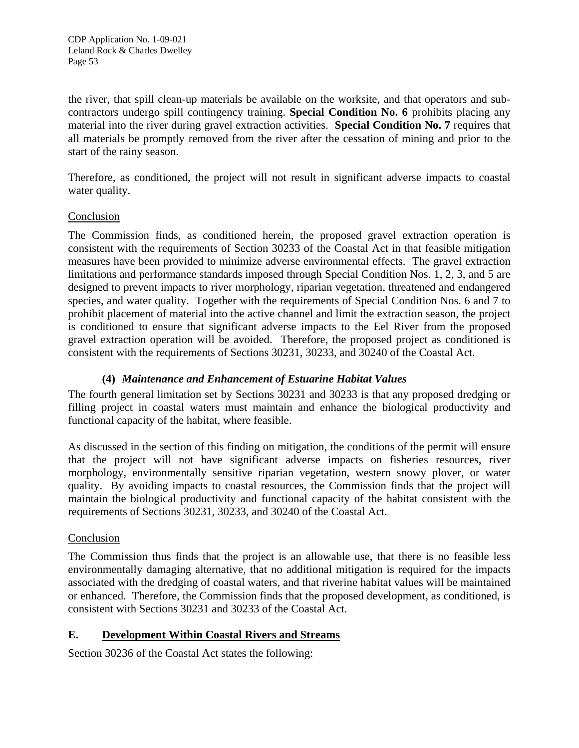the river, that spill clean-up materials be available on the worksite, and that operators and subcontractors undergo spill contingency training. **Special Condition No. 6** prohibits placing any material into the river during gravel extraction activities. **Special Condition No. 7** requires that all materials be promptly removed from the river after the cessation of mining and prior to the start of the rainy season.

Therefore, as conditioned, the project will not result in significant adverse impacts to coastal water quality.

#### Conclusion

The Commission finds, as conditioned herein, the proposed gravel extraction operation is consistent with the requirements of Section 30233 of the Coastal Act in that feasible mitigation measures have been provided to minimize adverse environmental effects. The gravel extraction limitations and performance standards imposed through Special Condition Nos. 1, 2, 3, and 5 are designed to prevent impacts to river morphology, riparian vegetation, threatened and endangered species, and water quality. Together with the requirements of Special Condition Nos. 6 and 7 to prohibit placement of material into the active channel and limit the extraction season, the project is conditioned to ensure that significant adverse impacts to the Eel River from the proposed gravel extraction operation will be avoided. Therefore, the proposed project as conditioned is consistent with the requirements of Sections 30231, 30233, and 30240 of the Coastal Act.

## **(4)** *Maintenance and Enhancement of Estuarine Habitat Values*

The fourth general limitation set by Sections 30231 and 30233 is that any proposed dredging or filling project in coastal waters must maintain and enhance the biological productivity and functional capacity of the habitat, where feasible.

As discussed in the section of this finding on mitigation, the conditions of the permit will ensure that the project will not have significant adverse impacts on fisheries resources, river morphology, environmentally sensitive riparian vegetation, western snowy plover, or water quality. By avoiding impacts to coastal resources, the Commission finds that the project will maintain the biological productivity and functional capacity of the habitat consistent with the requirements of Sections 30231, 30233, and 30240 of the Coastal Act.

#### Conclusion

The Commission thus finds that the project is an allowable use, that there is no feasible less environmentally damaging alternative, that no additional mitigation is required for the impacts associated with the dredging of coastal waters, and that riverine habitat values will be maintained or enhanced. Therefore, the Commission finds that the proposed development, as conditioned, is consistent with Sections 30231 and 30233 of the Coastal Act.

## **E. Development Within Coastal Rivers and Streams**

Section 30236 of the Coastal Act states the following: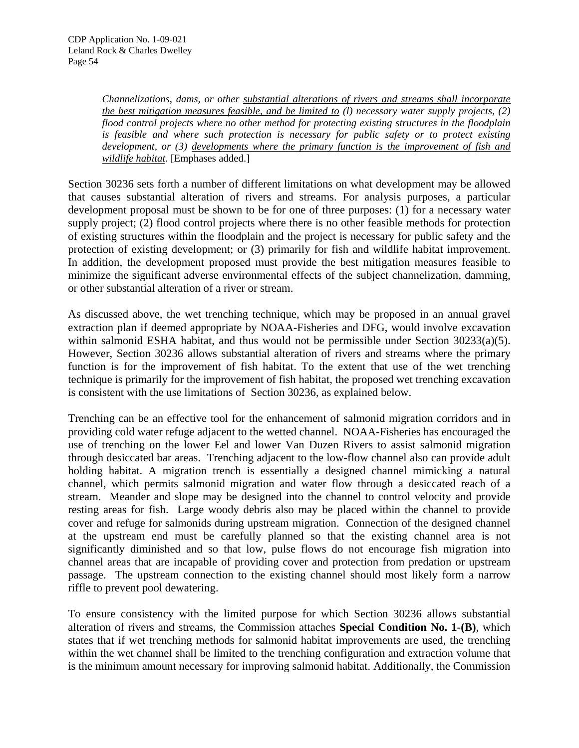*Channelizations, dams, or other substantial alterations of rivers and streams shall incorporate the best mitigation measures feasible, and be limited to (l) necessary water supply projects, (2) flood control projects where no other method for protecting existing structures in the floodplain is feasible and where such protection is necessary for public safety or to protect existing development, or (3) developments where the primary function is the improvement of fish and wildlife habitat*. [Emphases added.]

Section 30236 sets forth a number of different limitations on what development may be allowed that causes substantial alteration of rivers and streams. For analysis purposes, a particular development proposal must be shown to be for one of three purposes: (1) for a necessary water supply project; (2) flood control projects where there is no other feasible methods for protection of existing structures within the floodplain and the project is necessary for public safety and the protection of existing development; or (3) primarily for fish and wildlife habitat improvement. In addition, the development proposed must provide the best mitigation measures feasible to minimize the significant adverse environmental effects of the subject channelization, damming, or other substantial alteration of a river or stream.

As discussed above, the wet trenching technique, which may be proposed in an annual gravel extraction plan if deemed appropriate by NOAA-Fisheries and DFG, would involve excavation within salmonid ESHA habitat, and thus would not be permissible under Section 30233(a)(5). However, Section 30236 allows substantial alteration of rivers and streams where the primary function is for the improvement of fish habitat. To the extent that use of the wet trenching technique is primarily for the improvement of fish habitat, the proposed wet trenching excavation is consistent with the use limitations of Section 30236, as explained below.

Trenching can be an effective tool for the enhancement of salmonid migration corridors and in providing cold water refuge adjacent to the wetted channel. NOAA-Fisheries has encouraged the use of trenching on the lower Eel and lower Van Duzen Rivers to assist salmonid migration through desiccated bar areas. Trenching adjacent to the low-flow channel also can provide adult holding habitat. A migration trench is essentially a designed channel mimicking a natural channel, which permits salmonid migration and water flow through a desiccated reach of a stream. Meander and slope may be designed into the channel to control velocity and provide resting areas for fish. Large woody debris also may be placed within the channel to provide cover and refuge for salmonids during upstream migration. Connection of the designed channel at the upstream end must be carefully planned so that the existing channel area is not significantly diminished and so that low, pulse flows do not encourage fish migration into channel areas that are incapable of providing cover and protection from predation or upstream passage. The upstream connection to the existing channel should most likely form a narrow riffle to prevent pool dewatering.

To ensure consistency with the limited purpose for which Section 30236 allows substantial alteration of rivers and streams, the Commission attaches **Special Condition No. 1-(B)**, which states that if wet trenching methods for salmonid habitat improvements are used, the trenching within the wet channel shall be limited to the trenching configuration and extraction volume that is the minimum amount necessary for improving salmonid habitat. Additionally, the Commission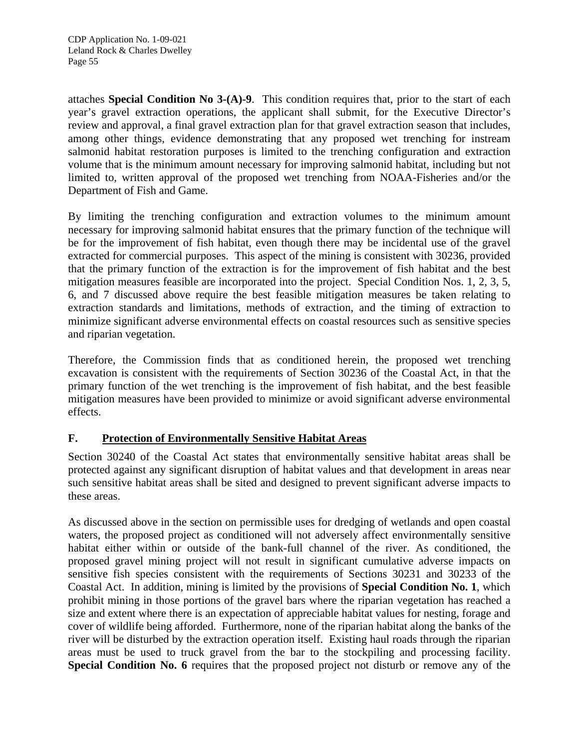attaches **Special Condition No 3-(A)-9**. This condition requires that, prior to the start of each year's gravel extraction operations, the applicant shall submit, for the Executive Director's review and approval, a final gravel extraction plan for that gravel extraction season that includes, among other things, evidence demonstrating that any proposed wet trenching for instream salmonid habitat restoration purposes is limited to the trenching configuration and extraction volume that is the minimum amount necessary for improving salmonid habitat, including but not limited to, written approval of the proposed wet trenching from NOAA-Fisheries and/or the Department of Fish and Game.

By limiting the trenching configuration and extraction volumes to the minimum amount necessary for improving salmonid habitat ensures that the primary function of the technique will be for the improvement of fish habitat, even though there may be incidental use of the gravel extracted for commercial purposes. This aspect of the mining is consistent with 30236, provided that the primary function of the extraction is for the improvement of fish habitat and the best mitigation measures feasible are incorporated into the project. Special Condition Nos. 1, 2, 3, 5, 6, and 7 discussed above require the best feasible mitigation measures be taken relating to extraction standards and limitations, methods of extraction, and the timing of extraction to minimize significant adverse environmental effects on coastal resources such as sensitive species and riparian vegetation.

Therefore, the Commission finds that as conditioned herein, the proposed wet trenching excavation is consistent with the requirements of Section 30236 of the Coastal Act, in that the primary function of the wet trenching is the improvement of fish habitat, and the best feasible mitigation measures have been provided to minimize or avoid significant adverse environmental effects.

## **F. Protection of Environmentally Sensitive Habitat Areas**

Section 30240 of the Coastal Act states that environmentally sensitive habitat areas shall be protected against any significant disruption of habitat values and that development in areas near such sensitive habitat areas shall be sited and designed to prevent significant adverse impacts to these areas.

As discussed above in the section on permissible uses for dredging of wetlands and open coastal waters, the proposed project as conditioned will not adversely affect environmentally sensitive habitat either within or outside of the bank-full channel of the river. As conditioned, the proposed gravel mining project will not result in significant cumulative adverse impacts on sensitive fish species consistent with the requirements of Sections 30231 and 30233 of the Coastal Act. In addition, mining is limited by the provisions of **Special Condition No. 1**, which prohibit mining in those portions of the gravel bars where the riparian vegetation has reached a size and extent where there is an expectation of appreciable habitat values for nesting, forage and cover of wildlife being afforded. Furthermore, none of the riparian habitat along the banks of the river will be disturbed by the extraction operation itself. Existing haul roads through the riparian areas must be used to truck gravel from the bar to the stockpiling and processing facility. **Special Condition No. 6** requires that the proposed project not disturb or remove any of the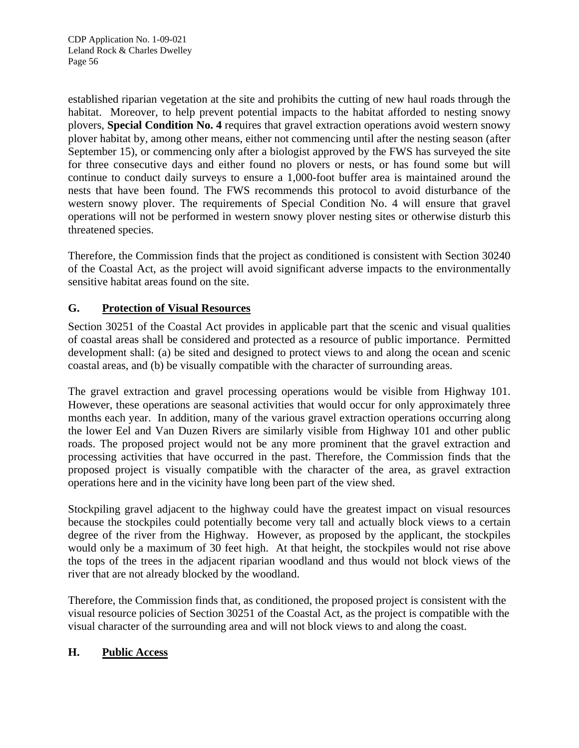established riparian vegetation at the site and prohibits the cutting of new haul roads through the habitat. Moreover, to help prevent potential impacts to the habitat afforded to nesting snowy plovers, **Special Condition No. 4** requires that gravel extraction operations avoid western snowy plover habitat by, among other means, either not commencing until after the nesting season (after September 15), or commencing only after a biologist approved by the FWS has surveyed the site for three consecutive days and either found no plovers or nests, or has found some but will continue to conduct daily surveys to ensure a 1,000-foot buffer area is maintained around the nests that have been found. The FWS recommends this protocol to avoid disturbance of the western snowy plover. The requirements of Special Condition No. 4 will ensure that gravel operations will not be performed in western snowy plover nesting sites or otherwise disturb this threatened species.

Therefore, the Commission finds that the project as conditioned is consistent with Section 30240 of the Coastal Act, as the project will avoid significant adverse impacts to the environmentally sensitive habitat areas found on the site.

## **G. Protection of Visual Resources**

Section 30251 of the Coastal Act provides in applicable part that the scenic and visual qualities of coastal areas shall be considered and protected as a resource of public importance. Permitted development shall: (a) be sited and designed to protect views to and along the ocean and scenic coastal areas, and (b) be visually compatible with the character of surrounding areas.

The gravel extraction and gravel processing operations would be visible from Highway 101. However, these operations are seasonal activities that would occur for only approximately three months each year. In addition, many of the various gravel extraction operations occurring along the lower Eel and Van Duzen Rivers are similarly visible from Highway 101 and other public roads. The proposed project would not be any more prominent that the gravel extraction and processing activities that have occurred in the past. Therefore, the Commission finds that the proposed project is visually compatible with the character of the area, as gravel extraction operations here and in the vicinity have long been part of the view shed.

Stockpiling gravel adjacent to the highway could have the greatest impact on visual resources because the stockpiles could potentially become very tall and actually block views to a certain degree of the river from the Highway. However, as proposed by the applicant, the stockpiles would only be a maximum of 30 feet high. At that height, the stockpiles would not rise above the tops of the trees in the adjacent riparian woodland and thus would not block views of the river that are not already blocked by the woodland.

Therefore, the Commission finds that, as conditioned, the proposed project is consistent with the visual resource policies of Section 30251 of the Coastal Act, as the project is compatible with the visual character of the surrounding area and will not block views to and along the coast.

## **H. Public Access**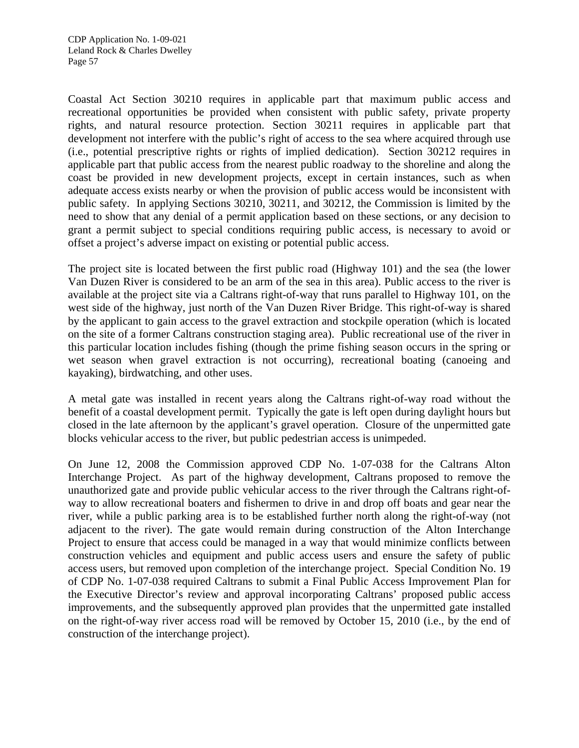Coastal Act Section 30210 requires in applicable part that maximum public access and recreational opportunities be provided when consistent with public safety, private property rights, and natural resource protection. Section 30211 requires in applicable part that development not interfere with the public's right of access to the sea where acquired through use (i.e., potential prescriptive rights or rights of implied dedication). Section 30212 requires in applicable part that public access from the nearest public roadway to the shoreline and along the coast be provided in new development projects, except in certain instances, such as when adequate access exists nearby or when the provision of public access would be inconsistent with public safety. In applying Sections 30210, 30211, and 30212, the Commission is limited by the need to show that any denial of a permit application based on these sections, or any decision to grant a permit subject to special conditions requiring public access, is necessary to avoid or offset a project's adverse impact on existing or potential public access.

The project site is located between the first public road (Highway 101) and the sea (the lower Van Duzen River is considered to be an arm of the sea in this area). Public access to the river is available at the project site via a Caltrans right-of-way that runs parallel to Highway 101, on the west side of the highway, just north of the Van Duzen River Bridge. This right-of-way is shared by the applicant to gain access to the gravel extraction and stockpile operation (which is located on the site of a former Caltrans construction staging area). Public recreational use of the river in this particular location includes fishing (though the prime fishing season occurs in the spring or wet season when gravel extraction is not occurring), recreational boating (canoeing and kayaking), birdwatching, and other uses.

A metal gate was installed in recent years along the Caltrans right-of-way road without the benefit of a coastal development permit. Typically the gate is left open during daylight hours but closed in the late afternoon by the applicant's gravel operation. Closure of the unpermitted gate blocks vehicular access to the river, but public pedestrian access is unimpeded.

On June 12, 2008 the Commission approved CDP No. 1-07-038 for the Caltrans Alton Interchange Project. As part of the highway development, Caltrans proposed to remove the unauthorized gate and provide public vehicular access to the river through the Caltrans right-ofway to allow recreational boaters and fishermen to drive in and drop off boats and gear near the river, while a public parking area is to be established further north along the right-of-way (not adjacent to the river). The gate would remain during construction of the Alton Interchange Project to ensure that access could be managed in a way that would minimize conflicts between construction vehicles and equipment and public access users and ensure the safety of public access users, but removed upon completion of the interchange project. Special Condition No. 19 of CDP No. 1-07-038 required Caltrans to submit a Final Public Access Improvement Plan for the Executive Director's review and approval incorporating Caltrans' proposed public access improvements, and the subsequently approved plan provides that the unpermitted gate installed on the right-of-way river access road will be removed by October 15, 2010 (i.e., by the end of construction of the interchange project).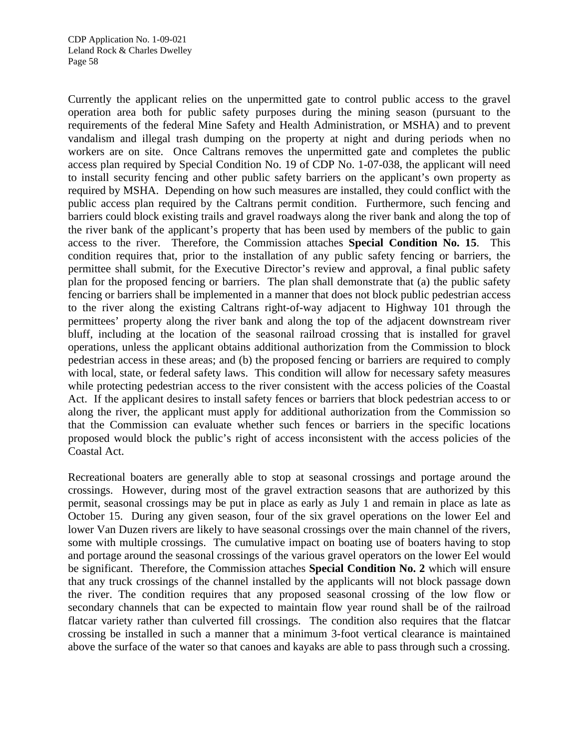Currently the applicant relies on the unpermitted gate to control public access to the gravel operation area both for public safety purposes during the mining season (pursuant to the requirements of the federal Mine Safety and Health Administration, or MSHA) and to prevent vandalism and illegal trash dumping on the property at night and during periods when no workers are on site. Once Caltrans removes the unpermitted gate and completes the public access plan required by Special Condition No. 19 of CDP No. 1-07-038, the applicant will need to install security fencing and other public safety barriers on the applicant's own property as required by MSHA. Depending on how such measures are installed, they could conflict with the public access plan required by the Caltrans permit condition. Furthermore, such fencing and barriers could block existing trails and gravel roadways along the river bank and along the top of the river bank of the applicant's property that has been used by members of the public to gain access to the river. Therefore, the Commission attaches **Special Condition No. 15**. This condition requires that, prior to the installation of any public safety fencing or barriers, the permittee shall submit, for the Executive Director's review and approval, a final public safety plan for the proposed fencing or barriers. The plan shall demonstrate that (a) the public safety fencing or barriers shall be implemented in a manner that does not block public pedestrian access to the river along the existing Caltrans right-of-way adjacent to Highway 101 through the permittees' property along the river bank and along the top of the adjacent downstream river bluff, including at the location of the seasonal railroad crossing that is installed for gravel operations, unless the applicant obtains additional authorization from the Commission to block pedestrian access in these areas; and (b) the proposed fencing or barriers are required to comply with local, state, or federal safety laws. This condition will allow for necessary safety measures while protecting pedestrian access to the river consistent with the access policies of the Coastal Act. If the applicant desires to install safety fences or barriers that block pedestrian access to or along the river, the applicant must apply for additional authorization from the Commission so that the Commission can evaluate whether such fences or barriers in the specific locations proposed would block the public's right of access inconsistent with the access policies of the Coastal Act.

Recreational boaters are generally able to stop at seasonal crossings and portage around the crossings. However, during most of the gravel extraction seasons that are authorized by this permit, seasonal crossings may be put in place as early as July 1 and remain in place as late as October 15. During any given season, four of the six gravel operations on the lower Eel and lower Van Duzen rivers are likely to have seasonal crossings over the main channel of the rivers, some with multiple crossings. The cumulative impact on boating use of boaters having to stop and portage around the seasonal crossings of the various gravel operators on the lower Eel would be significant. Therefore, the Commission attaches **Special Condition No. 2** which will ensure that any truck crossings of the channel installed by the applicants will not block passage down the river. The condition requires that any proposed seasonal crossing of the low flow or secondary channels that can be expected to maintain flow year round shall be of the railroad flatcar variety rather than culverted fill crossings. The condition also requires that the flatcar crossing be installed in such a manner that a minimum 3-foot vertical clearance is maintained above the surface of the water so that canoes and kayaks are able to pass through such a crossing.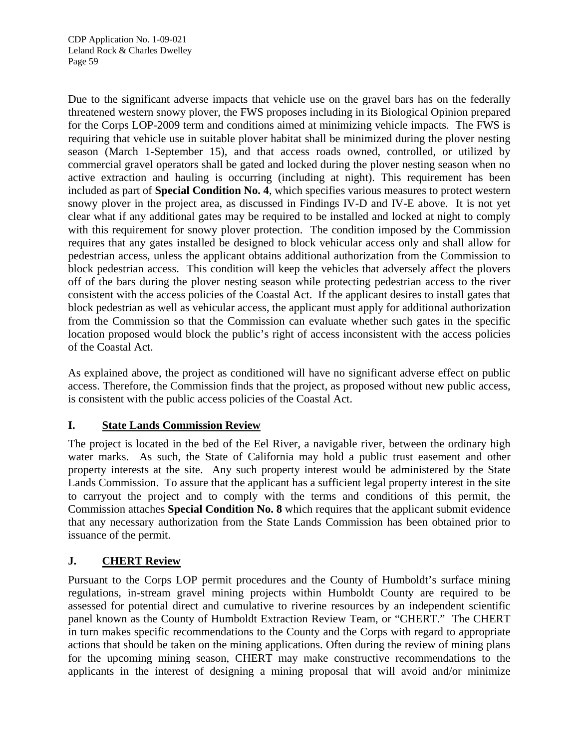Due to the significant adverse impacts that vehicle use on the gravel bars has on the federally threatened western snowy plover, the FWS proposes including in its Biological Opinion prepared for the Corps LOP-2009 term and conditions aimed at minimizing vehicle impacts. The FWS is requiring that vehicle use in suitable plover habitat shall be minimized during the plover nesting season (March 1-September 15), and that access roads owned, controlled, or utilized by commercial gravel operators shall be gated and locked during the plover nesting season when no active extraction and hauling is occurring (including at night). This requirement has been included as part of **Special Condition No. 4**, which specifies various measures to protect western snowy plover in the project area, as discussed in Findings IV-D and IV-E above. It is not yet clear what if any additional gates may be required to be installed and locked at night to comply with this requirement for snowy plover protection. The condition imposed by the Commission requires that any gates installed be designed to block vehicular access only and shall allow for pedestrian access, unless the applicant obtains additional authorization from the Commission to block pedestrian access. This condition will keep the vehicles that adversely affect the plovers off of the bars during the plover nesting season while protecting pedestrian access to the river consistent with the access policies of the Coastal Act. If the applicant desires to install gates that block pedestrian as well as vehicular access, the applicant must apply for additional authorization from the Commission so that the Commission can evaluate whether such gates in the specific location proposed would block the public's right of access inconsistent with the access policies of the Coastal Act.

As explained above, the project as conditioned will have no significant adverse effect on public access. Therefore, the Commission finds that the project, as proposed without new public access, is consistent with the public access policies of the Coastal Act.

## **I. State Lands Commission Review**

The project is located in the bed of the Eel River, a navigable river, between the ordinary high water marks. As such, the State of California may hold a public trust easement and other property interests at the site. Any such property interest would be administered by the State Lands Commission. To assure that the applicant has a sufficient legal property interest in the site to carryout the project and to comply with the terms and conditions of this permit, the Commission attaches **Special Condition No. 8** which requires that the applicant submit evidence that any necessary authorization from the State Lands Commission has been obtained prior to issuance of the permit.

## **J. CHERT Review**

Pursuant to the Corps LOP permit procedures and the County of Humboldt's surface mining regulations, in-stream gravel mining projects within Humboldt County are required to be assessed for potential direct and cumulative to riverine resources by an independent scientific panel known as the County of Humboldt Extraction Review Team, or "CHERT." The CHERT in turn makes specific recommendations to the County and the Corps with regard to appropriate actions that should be taken on the mining applications. Often during the review of mining plans for the upcoming mining season, CHERT may make constructive recommendations to the applicants in the interest of designing a mining proposal that will avoid and/or minimize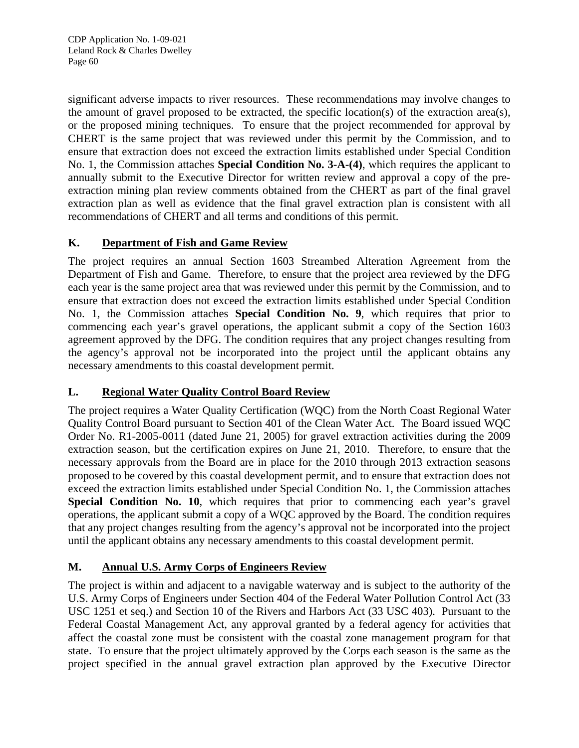significant adverse impacts to river resources. These recommendations may involve changes to the amount of gravel proposed to be extracted, the specific location(s) of the extraction area(s), or the proposed mining techniques. To ensure that the project recommended for approval by CHERT is the same project that was reviewed under this permit by the Commission, and to ensure that extraction does not exceed the extraction limits established under Special Condition No. 1, the Commission attaches **Special Condition No. 3-A-(4)**, which requires the applicant to annually submit to the Executive Director for written review and approval a copy of the preextraction mining plan review comments obtained from the CHERT as part of the final gravel extraction plan as well as evidence that the final gravel extraction plan is consistent with all recommendations of CHERT and all terms and conditions of this permit.

## **K. Department of Fish and Game Review**

The project requires an annual Section 1603 Streambed Alteration Agreement from the Department of Fish and Game. Therefore, to ensure that the project area reviewed by the DFG each year is the same project area that was reviewed under this permit by the Commission, and to ensure that extraction does not exceed the extraction limits established under Special Condition No. 1, the Commission attaches **Special Condition No. 9**, which requires that prior to commencing each year's gravel operations, the applicant submit a copy of the Section 1603 agreement approved by the DFG. The condition requires that any project changes resulting from the agency's approval not be incorporated into the project until the applicant obtains any necessary amendments to this coastal development permit.

## **L. Regional Water Quality Control Board Review**

The project requires a Water Quality Certification (WQC) from the North Coast Regional Water Quality Control Board pursuant to Section 401 of the Clean Water Act. The Board issued WQC Order No. R1-2005-0011 (dated June 21, 2005) for gravel extraction activities during the 2009 extraction season, but the certification expires on June 21, 2010. Therefore, to ensure that the necessary approvals from the Board are in place for the 2010 through 2013 extraction seasons proposed to be covered by this coastal development permit, and to ensure that extraction does not exceed the extraction limits established under Special Condition No. 1, the Commission attaches **Special Condition No. 10**, which requires that prior to commencing each year's gravel operations, the applicant submit a copy of a WQC approved by the Board. The condition requires that any project changes resulting from the agency's approval not be incorporated into the project until the applicant obtains any necessary amendments to this coastal development permit.

## **M. Annual U.S. Army Corps of Engineers Review**

The project is within and adjacent to a navigable waterway and is subject to the authority of the U.S. Army Corps of Engineers under Section 404 of the Federal Water Pollution Control Act (33 USC 1251 et seq.) and Section 10 of the Rivers and Harbors Act (33 USC 403). Pursuant to the Federal Coastal Management Act, any approval granted by a federal agency for activities that affect the coastal zone must be consistent with the coastal zone management program for that state. To ensure that the project ultimately approved by the Corps each season is the same as the project specified in the annual gravel extraction plan approved by the Executive Director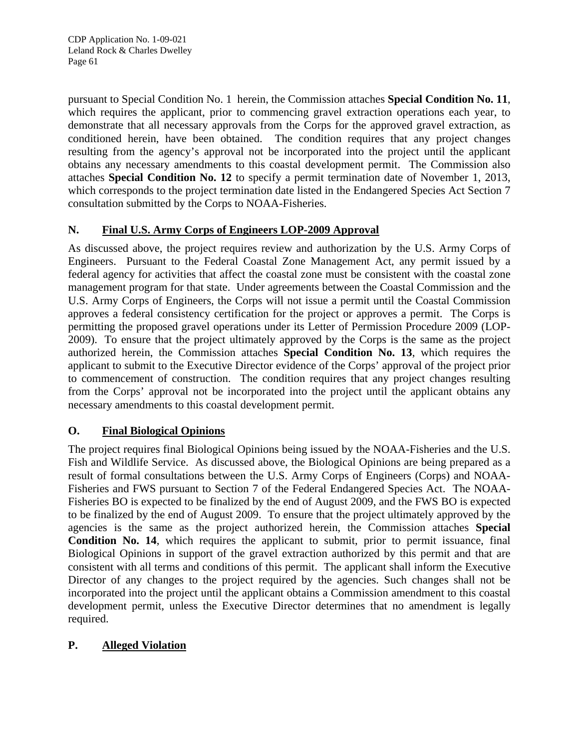pursuant to Special Condition No. 1 herein, the Commission attaches **Special Condition No. 11**, which requires the applicant, prior to commencing gravel extraction operations each year, to demonstrate that all necessary approvals from the Corps for the approved gravel extraction, as conditioned herein, have been obtained. The condition requires that any project changes resulting from the agency's approval not be incorporated into the project until the applicant obtains any necessary amendments to this coastal development permit. The Commission also attaches **Special Condition No. 12** to specify a permit termination date of November 1, 2013, which corresponds to the project termination date listed in the Endangered Species Act Section 7 consultation submitted by the Corps to NOAA-Fisheries.

## **N. Final U.S. Army Corps of Engineers LOP-2009 Approval**

As discussed above, the project requires review and authorization by the U.S. Army Corps of Engineers. Pursuant to the Federal Coastal Zone Management Act, any permit issued by a federal agency for activities that affect the coastal zone must be consistent with the coastal zone management program for that state. Under agreements between the Coastal Commission and the U.S. Army Corps of Engineers, the Corps will not issue a permit until the Coastal Commission approves a federal consistency certification for the project or approves a permit. The Corps is permitting the proposed gravel operations under its Letter of Permission Procedure 2009 (LOP-2009). To ensure that the project ultimately approved by the Corps is the same as the project authorized herein, the Commission attaches **Special Condition No. 13**, which requires the applicant to submit to the Executive Director evidence of the Corps' approval of the project prior to commencement of construction. The condition requires that any project changes resulting from the Corps' approval not be incorporated into the project until the applicant obtains any necessary amendments to this coastal development permit.

## **O. Final Biological Opinions**

The project requires final Biological Opinions being issued by the NOAA-Fisheries and the U.S. Fish and Wildlife Service. As discussed above, the Biological Opinions are being prepared as a result of formal consultations between the U.S. Army Corps of Engineers (Corps) and NOAA-Fisheries and FWS pursuant to Section 7 of the Federal Endangered Species Act. The NOAA-Fisheries BO is expected to be finalized by the end of August 2009, and the FWS BO is expected to be finalized by the end of August 2009. To ensure that the project ultimately approved by the agencies is the same as the project authorized herein, the Commission attaches **Special Condition No. 14**, which requires the applicant to submit, prior to permit issuance, final Biological Opinions in support of the gravel extraction authorized by this permit and that are consistent with all terms and conditions of this permit. The applicant shall inform the Executive Director of any changes to the project required by the agencies. Such changes shall not be incorporated into the project until the applicant obtains a Commission amendment to this coastal development permit, unless the Executive Director determines that no amendment is legally required.

## **P. Alleged Violation**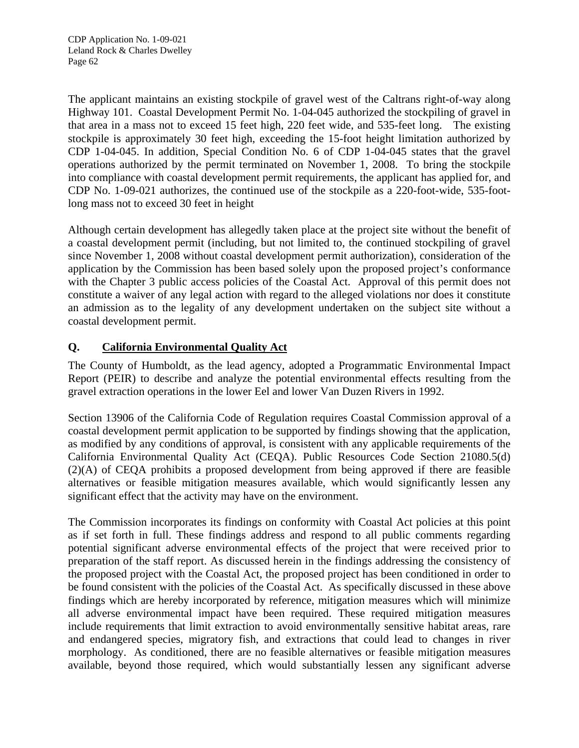The applicant maintains an existing stockpile of gravel west of the Caltrans right-of-way along Highway 101. Coastal Development Permit No. 1-04-045 authorized the stockpiling of gravel in that area in a mass not to exceed 15 feet high, 220 feet wide, and 535-feet long. The existing stockpile is approximately 30 feet high, exceeding the 15-foot height limitation authorized by CDP 1-04-045. In addition, Special Condition No. 6 of CDP 1-04-045 states that the gravel operations authorized by the permit terminated on November 1, 2008. To bring the stockpile into compliance with coastal development permit requirements, the applicant has applied for, and CDP No. 1-09-021 authorizes, the continued use of the stockpile as a 220-foot-wide, 535-footlong mass not to exceed 30 feet in height

Although certain development has allegedly taken place at the project site without the benefit of a coastal development permit (including, but not limited to, the continued stockpiling of gravel since November 1, 2008 without coastal development permit authorization), consideration of the application by the Commission has been based solely upon the proposed project's conformance with the Chapter 3 public access policies of the Coastal Act. Approval of this permit does not constitute a waiver of any legal action with regard to the alleged violations nor does it constitute an admission as to the legality of any development undertaken on the subject site without a coastal development permit.

## **Q. California Environmental Quality Act**

The County of Humboldt, as the lead agency, adopted a Programmatic Environmental Impact Report (PEIR) to describe and analyze the potential environmental effects resulting from the gravel extraction operations in the lower Eel and lower Van Duzen Rivers in 1992.

Section 13906 of the California Code of Regulation requires Coastal Commission approval of a coastal development permit application to be supported by findings showing that the application, as modified by any conditions of approval, is consistent with any applicable requirements of the California Environmental Quality Act (CEQA). Public Resources Code Section 21080.5(d) (2)(A) of CEQA prohibits a proposed development from being approved if there are feasible alternatives or feasible mitigation measures available, which would significantly lessen any significant effect that the activity may have on the environment.

The Commission incorporates its findings on conformity with Coastal Act policies at this point as if set forth in full. These findings address and respond to all public comments regarding potential significant adverse environmental effects of the project that were received prior to preparation of the staff report. As discussed herein in the findings addressing the consistency of the proposed project with the Coastal Act, the proposed project has been conditioned in order to be found consistent with the policies of the Coastal Act. As specifically discussed in these above findings which are hereby incorporated by reference, mitigation measures which will minimize all adverse environmental impact have been required. These required mitigation measures include requirements that limit extraction to avoid environmentally sensitive habitat areas, rare and endangered species, migratory fish, and extractions that could lead to changes in river morphology. As conditioned, there are no feasible alternatives or feasible mitigation measures available, beyond those required, which would substantially lessen any significant adverse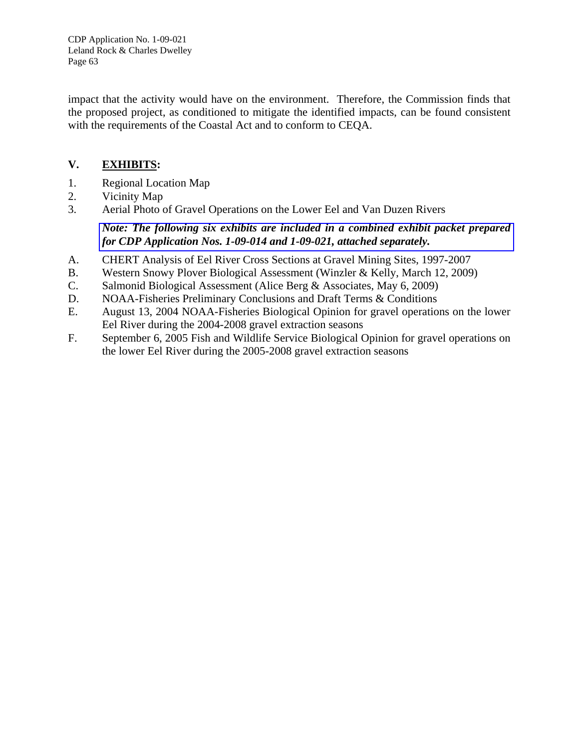CDP Application No. 1-09-021 Leland Rock & Charles Dwelley Page 63

impact that the activity would have on the environment. Therefore, the Commission finds that the proposed project, as conditioned to mitigate the identified impacts, can be found consistent with the requirements of the Coastal Act and to conform to CEQA.

## **V. EXHIBITS:**

- 1. Regional Location Map
- 2. Vicinity Map
- 3. Aerial Photo of Gravel Operations on the Lower Eel and Van Duzen Rivers

## *[Note: The following six exhibits are included in a combined exhibit packet prepared](http://documents.coastal.ca.gov/reports/2009/9/W25b-s-9-2009-a1.pdf)  for CDP Application Nos. 1-09-014 and 1-09-021, attached separately.*

- A. CHERT Analysis of Eel River Cross Sections at Gravel Mining Sites, 1997-2007
- B. Western Snowy Plover Biological Assessment (Winzler & Kelly, March 12, 2009)
- C. Salmonid Biological Assessment (Alice Berg & Associates, May 6, 2009)
- D. NOAA-Fisheries Preliminary Conclusions and Draft Terms & Conditions
- E. August 13, 2004 NOAA-Fisheries Biological Opinion for gravel operations on the lower Eel River during the 2004-2008 gravel extraction seasons
- F. September 6, 2005 Fish and Wildlife Service Biological Opinion for gravel operations on the lower Eel River during the 2005-2008 gravel extraction seasons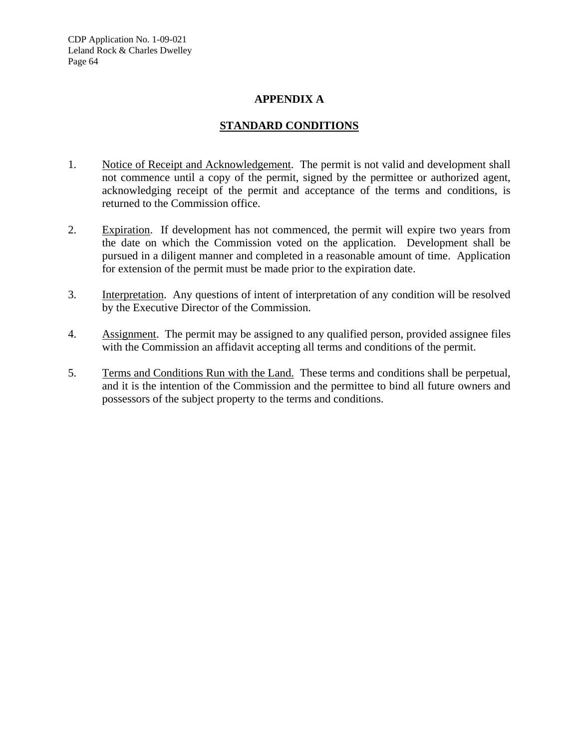CDP Application No. 1-09-021 Leland Rock & Charles Dwelley Page 64

#### **APPENDIX A**

#### **STANDARD CONDITIONS**

- 1. Notice of Receipt and Acknowledgement. The permit is not valid and development shall not commence until a copy of the permit, signed by the permittee or authorized agent, acknowledging receipt of the permit and acceptance of the terms and conditions, is returned to the Commission office.
- 2. Expiration. If development has not commenced, the permit will expire two years from the date on which the Commission voted on the application. Development shall be pursued in a diligent manner and completed in a reasonable amount of time. Application for extension of the permit must be made prior to the expiration date.
- 3. Interpretation. Any questions of intent of interpretation of any condition will be resolved by the Executive Director of the Commission.
- 4. Assignment. The permit may be assigned to any qualified person, provided assignee files with the Commission an affidavit accepting all terms and conditions of the permit.
- 5. Terms and Conditions Run with the Land. These terms and conditions shall be perpetual, and it is the intention of the Commission and the permittee to bind all future owners and possessors of the subject property to the terms and conditions.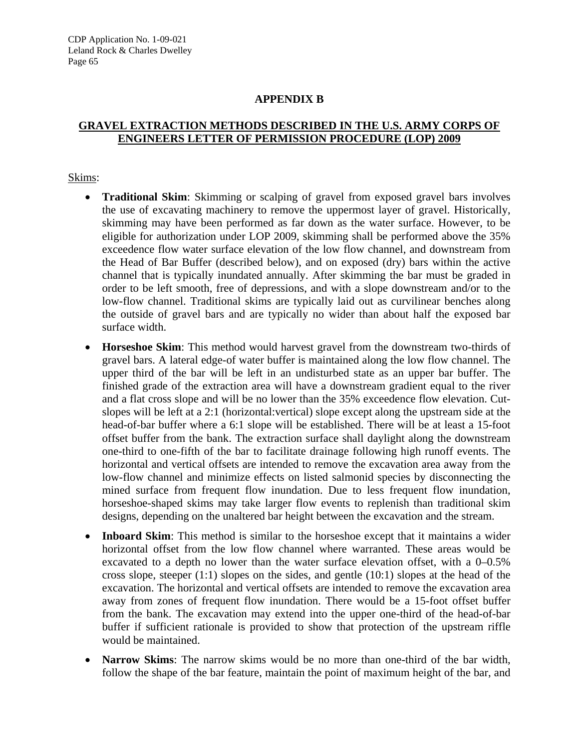#### **APPENDIX B**

## **GRAVEL EXTRACTION METHODS DESCRIBED IN THE U.S. ARMY CORPS OF ENGINEERS LETTER OF PERMISSION PROCEDURE (LOP) 2009**

#### Skims:

- **Traditional Skim**: Skimming or scalping of gravel from exposed gravel bars involves the use of excavating machinery to remove the uppermost layer of gravel. Historically, skimming may have been performed as far down as the water surface. However, to be eligible for authorization under LOP 2009, skimming shall be performed above the 35% exceedence flow water surface elevation of the low flow channel, and downstream from the Head of Bar Buffer (described below), and on exposed (dry) bars within the active channel that is typically inundated annually. After skimming the bar must be graded in order to be left smooth, free of depressions, and with a slope downstream and/or to the low-flow channel. Traditional skims are typically laid out as curvilinear benches along the outside of gravel bars and are typically no wider than about half the exposed bar surface width.
- **Horseshoe Skim**: This method would harvest gravel from the downstream two-thirds of gravel bars. A lateral edge-of water buffer is maintained along the low flow channel. The upper third of the bar will be left in an undisturbed state as an upper bar buffer. The finished grade of the extraction area will have a downstream gradient equal to the river and a flat cross slope and will be no lower than the 35% exceedence flow elevation. Cutslopes will be left at a 2:1 (horizontal:vertical) slope except along the upstream side at the head-of-bar buffer where a 6:1 slope will be established. There will be at least a 15-foot offset buffer from the bank. The extraction surface shall daylight along the downstream one-third to one-fifth of the bar to facilitate drainage following high runoff events. The horizontal and vertical offsets are intended to remove the excavation area away from the low-flow channel and minimize effects on listed salmonid species by disconnecting the mined surface from frequent flow inundation. Due to less frequent flow inundation, horseshoe-shaped skims may take larger flow events to replenish than traditional skim designs, depending on the unaltered bar height between the excavation and the stream.
- **Inboard Skim**: This method is similar to the horseshoe except that it maintains a wider horizontal offset from the low flow channel where warranted. These areas would be excavated to a depth no lower than the water surface elevation offset, with a 0–0.5% cross slope, steeper  $(1:1)$  slopes on the sides, and gentle  $(10:1)$  slopes at the head of the excavation. The horizontal and vertical offsets are intended to remove the excavation area away from zones of frequent flow inundation. There would be a 15-foot offset buffer from the bank. The excavation may extend into the upper one-third of the head-of-bar buffer if sufficient rationale is provided to show that protection of the upstream riffle would be maintained.
- **Narrow Skims**: The narrow skims would be no more than one-third of the bar width, follow the shape of the bar feature, maintain the point of maximum height of the bar, and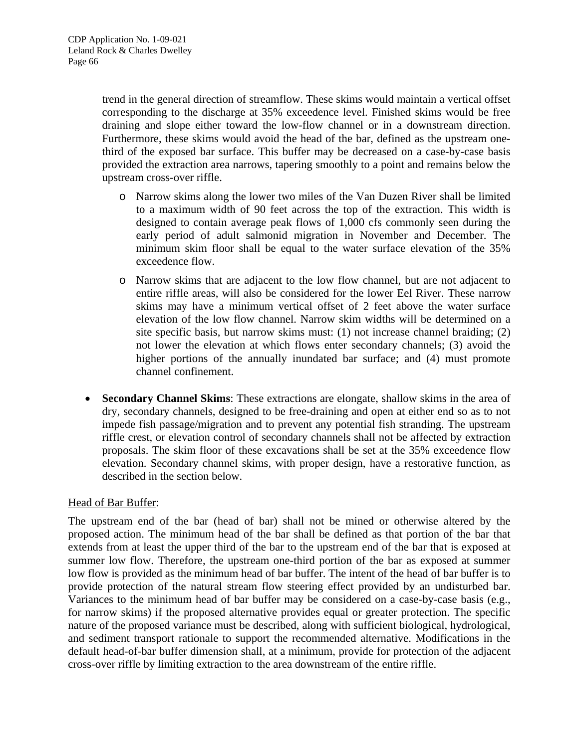trend in the general direction of streamflow. These skims would maintain a vertical offset corresponding to the discharge at 35% exceedence level. Finished skims would be free draining and slope either toward the low-flow channel or in a downstream direction. Furthermore, these skims would avoid the head of the bar, defined as the upstream onethird of the exposed bar surface. This buffer may be decreased on a case-by-case basis provided the extraction area narrows, tapering smoothly to a point and remains below the upstream cross-over riffle.

- o Narrow skims along the lower two miles of the Van Duzen River shall be limited to a maximum width of 90 feet across the top of the extraction. This width is designed to contain average peak flows of 1,000 cfs commonly seen during the early period of adult salmonid migration in November and December. The minimum skim floor shall be equal to the water surface elevation of the 35% exceedence flow.
- o Narrow skims that are adjacent to the low flow channel, but are not adjacent to entire riffle areas, will also be considered for the lower Eel River. These narrow skims may have a minimum vertical offset of 2 feet above the water surface elevation of the low flow channel. Narrow skim widths will be determined on a site specific basis, but narrow skims must: (1) not increase channel braiding; (2) not lower the elevation at which flows enter secondary channels; (3) avoid the higher portions of the annually inundated bar surface; and (4) must promote channel confinement.
- **Secondary Channel Skims**: These extractions are elongate, shallow skims in the area of dry, secondary channels, designed to be free-draining and open at either end so as to not impede fish passage/migration and to prevent any potential fish stranding. The upstream riffle crest, or elevation control of secondary channels shall not be affected by extraction proposals. The skim floor of these excavations shall be set at the 35% exceedence flow elevation. Secondary channel skims, with proper design, have a restorative function, as described in the section below.

#### Head of Bar Buffer:

The upstream end of the bar (head of bar) shall not be mined or otherwise altered by the proposed action. The minimum head of the bar shall be defined as that portion of the bar that extends from at least the upper third of the bar to the upstream end of the bar that is exposed at summer low flow. Therefore, the upstream one-third portion of the bar as exposed at summer low flow is provided as the minimum head of bar buffer. The intent of the head of bar buffer is to provide protection of the natural stream flow steering effect provided by an undisturbed bar. Variances to the minimum head of bar buffer may be considered on a case-by-case basis (e.g., for narrow skims) if the proposed alternative provides equal or greater protection. The specific nature of the proposed variance must be described, along with sufficient biological, hydrological, and sediment transport rationale to support the recommended alternative. Modifications in the default head-of-bar buffer dimension shall, at a minimum, provide for protection of the adjacent cross-over riffle by limiting extraction to the area downstream of the entire riffle.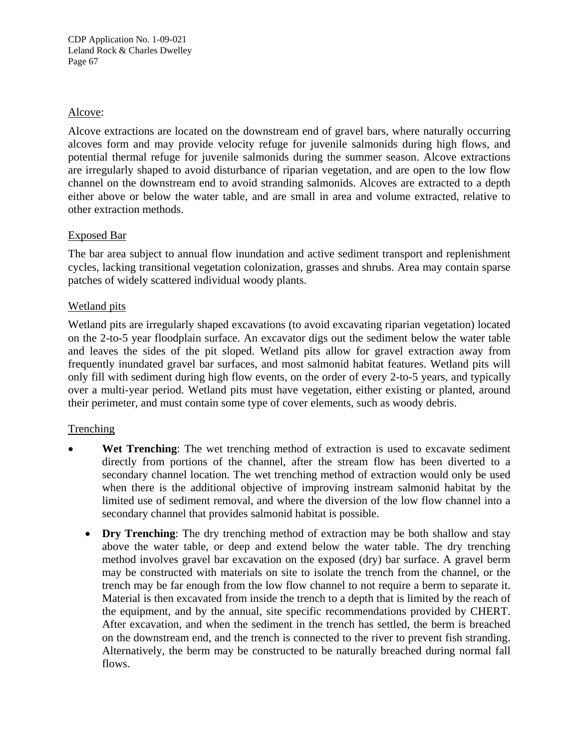## Alcove:

Alcove extractions are located on the downstream end of gravel bars, where naturally occurring alcoves form and may provide velocity refuge for juvenile salmonids during high flows, and potential thermal refuge for juvenile salmonids during the summer season. Alcove extractions are irregularly shaped to avoid disturbance of riparian vegetation, and are open to the low flow channel on the downstream end to avoid stranding salmonids. Alcoves are extracted to a depth either above or below the water table, and are small in area and volume extracted, relative to other extraction methods.

## Exposed Bar

The bar area subject to annual flow inundation and active sediment transport and replenishment cycles, lacking transitional vegetation colonization, grasses and shrubs. Area may contain sparse patches of widely scattered individual woody plants.

## Wetland pits

Wetland pits are irregularly shaped excavations (to avoid excavating riparian vegetation) located on the 2-to-5 year floodplain surface. An excavator digs out the sediment below the water table and leaves the sides of the pit sloped. Wetland pits allow for gravel extraction away from frequently inundated gravel bar surfaces, and most salmonid habitat features. Wetland pits will only fill with sediment during high flow events, on the order of every 2-to-5 years, and typically over a multi-year period. Wetland pits must have vegetation, either existing or planted, around their perimeter, and must contain some type of cover elements, such as woody debris.

## **Trenching**

- **Wet Trenching:** The wet trenching method of extraction is used to excavate sediment directly from portions of the channel, after the stream flow has been diverted to a secondary channel location. The wet trenching method of extraction would only be used when there is the additional objective of improving instream salmonid habitat by the limited use of sediment removal, and where the diversion of the low flow channel into a secondary channel that provides salmonid habitat is possible.
	- **Dry Trenching**: The dry trenching method of extraction may be both shallow and stay above the water table, or deep and extend below the water table. The dry trenching method involves gravel bar excavation on the exposed (dry) bar surface. A gravel berm may be constructed with materials on site to isolate the trench from the channel, or the trench may be far enough from the low flow channel to not require a berm to separate it. Material is then excavated from inside the trench to a depth that is limited by the reach of the equipment, and by the annual, site specific recommendations provided by CHERT. After excavation, and when the sediment in the trench has settled, the berm is breached on the downstream end, and the trench is connected to the river to prevent fish stranding. Alternatively, the berm may be constructed to be naturally breached during normal fall flows.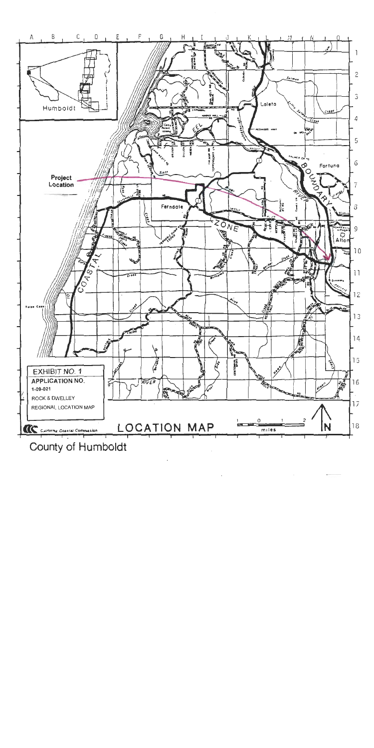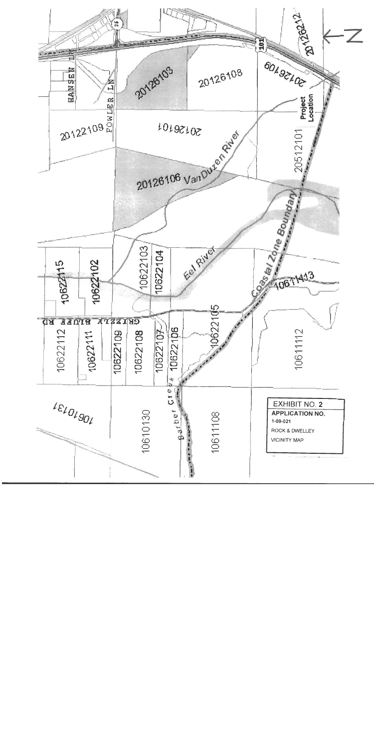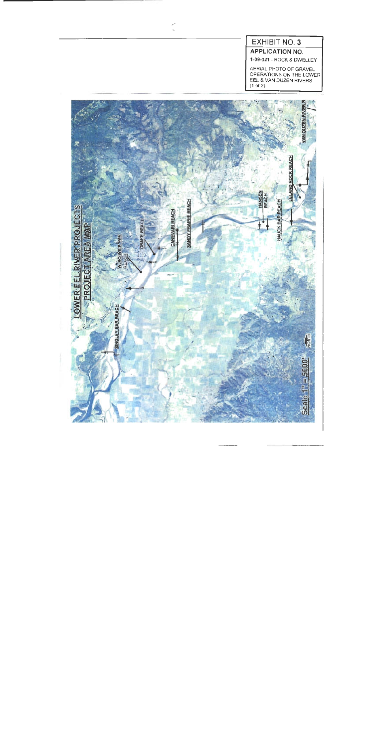# EXHIBIT NO. 3

**APPLICATION NO.** 

1-09-021 - ROCK & DWELLEY

AERIAL PHOTO OF GRAVEL<br>OPERATIONS ON THE LOWER<br>EEL & VAN DUZEN RIVERS  $(1 of 2)$ 



 $\tilde{\phantom{a}}$